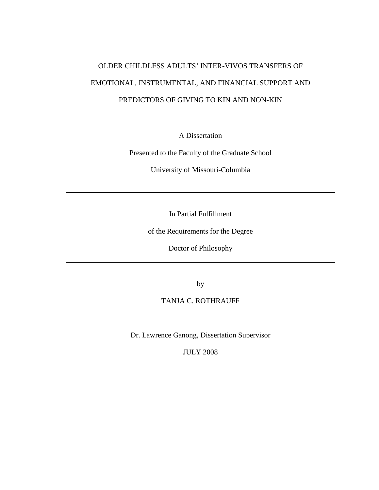# OLDER CHILDLESS ADULTS' INTER-VIVOS TRANSFERS OF EMOTIONAL, INSTRUMENTAL, AND FINANCIAL SUPPORT AND

PREDICTORS OF GIVING TO KIN AND NON-KIN

A Dissertation

Presented to the Faculty of the Graduate School

University of Missouri-Columbia

In Partial Fulfillment

of the Requirements for the Degree

Doctor of Philosophy

by

TANJA C. ROTHRAUFF

Dr. Lawrence Ganong, Dissertation Supervisor

JULY 2008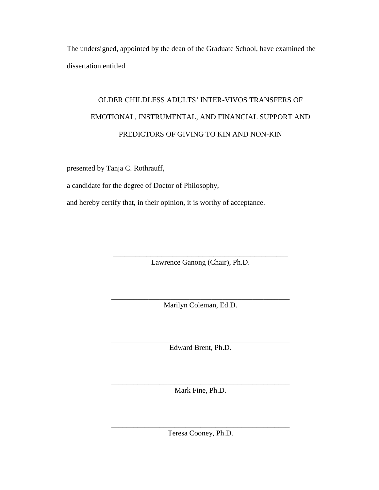The undersigned, appointed by the dean of the Graduate School, have examined the dissertation entitled

# OLDER CHILDLESS ADULTS' INTER-VIVOS TRANSFERS OF EMOTIONAL, INSTRUMENTAL, AND FINANCIAL SUPPORT AND PREDICTORS OF GIVING TO KIN AND NON-KIN

presented by Tanja C. Rothrauff,

a candidate for the degree of Doctor of Philosophy,

and hereby certify that, in their opinion, it is worthy of acceptance.

\_\_\_\_\_\_\_\_\_\_\_\_\_\_\_\_\_\_\_\_\_\_\_\_\_\_\_\_\_\_\_\_\_\_\_\_\_\_\_\_\_\_\_\_\_\_\_ Lawrence Ganong (Chair), Ph.D.

\_\_\_\_\_\_\_\_\_\_\_\_\_\_\_\_\_\_\_\_\_\_\_\_\_\_\_\_\_\_\_\_\_\_\_\_\_\_\_\_\_\_\_\_\_\_\_\_ Marilyn Coleman, Ed.D.

\_\_\_\_\_\_\_\_\_\_\_\_\_\_\_\_\_\_\_\_\_\_\_\_\_\_\_\_\_\_\_\_\_\_\_\_\_\_\_\_\_\_\_\_\_\_\_\_ Edward Brent, Ph.D.

\_\_\_\_\_\_\_\_\_\_\_\_\_\_\_\_\_\_\_\_\_\_\_\_\_\_\_\_\_\_\_\_\_\_\_\_\_\_\_\_\_\_\_\_\_\_\_\_ Mark Fine, Ph.D.

\_\_\_\_\_\_\_\_\_\_\_\_\_\_\_\_\_\_\_\_\_\_\_\_\_\_\_\_\_\_\_\_\_\_\_\_\_\_\_\_\_\_\_\_\_\_\_\_ Teresa Cooney, Ph.D.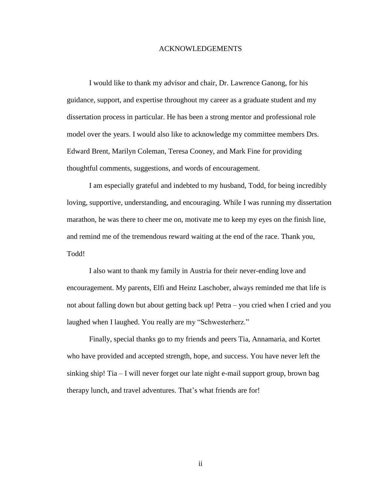#### ACKNOWLEDGEMENTS

I would like to thank my advisor and chair, Dr. Lawrence Ganong, for his guidance, support, and expertise throughout my career as a graduate student and my dissertation process in particular. He has been a strong mentor and professional role model over the years. I would also like to acknowledge my committee members Drs. Edward Brent, Marilyn Coleman, Teresa Cooney, and Mark Fine for providing thoughtful comments, suggestions, and words of encouragement.

I am especially grateful and indebted to my husband, Todd, for being incredibly loving, supportive, understanding, and encouraging. While I was running my dissertation marathon, he was there to cheer me on, motivate me to keep my eyes on the finish line, and remind me of the tremendous reward waiting at the end of the race. Thank you, Todd!

I also want to thank my family in Austria for their never-ending love and encouragement. My parents, Elfi and Heinz Laschober, always reminded me that life is not about falling down but about getting back up! Petra – you cried when I cried and you laughed when I laughed. You really are my "Schwesterherz."

Finally, special thanks go to my friends and peers Tia, Annamaria, and Kortet who have provided and accepted strength, hope, and success. You have never left the sinking ship! Tia – I will never forget our late night e-mail support group, brown bag therapy lunch, and travel adventures. That's what friends are for!

ii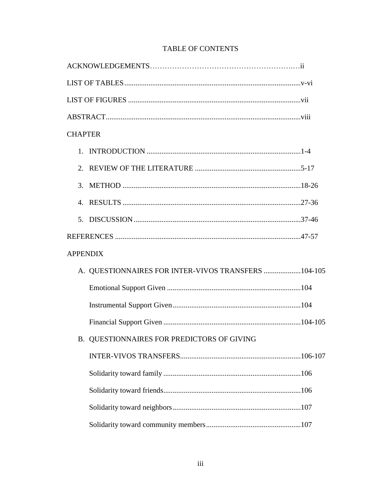| <b>CHAPTER</b>  |                                                     |  |
|-----------------|-----------------------------------------------------|--|
|                 |                                                     |  |
|                 |                                                     |  |
|                 |                                                     |  |
|                 |                                                     |  |
|                 |                                                     |  |
|                 |                                                     |  |
| <b>APPENDIX</b> |                                                     |  |
|                 | A. QUESTIONNAIRES FOR INTER-VIVOS TRANSFERS 104-105 |  |
|                 |                                                     |  |
|                 |                                                     |  |
|                 |                                                     |  |
|                 | B. QUESTIONNAIRES FOR PREDICTORS OF GIVING          |  |
|                 |                                                     |  |
|                 |                                                     |  |
|                 |                                                     |  |
|                 |                                                     |  |
|                 |                                                     |  |

## **TABLE OF CONTENTS**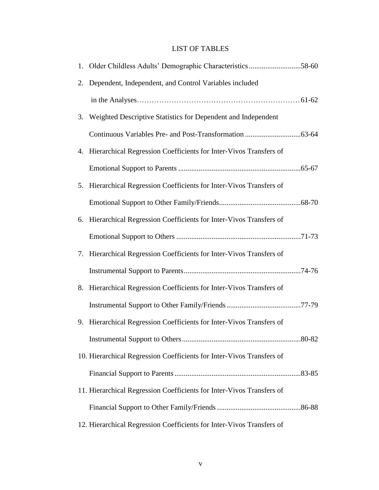### LIST OF TABLES

|    | 1. Older Childless Adults' Demographic Characteristics58-60           |  |
|----|-----------------------------------------------------------------------|--|
| 2. | Dependent, Independent, and Control Variables included                |  |
|    |                                                                       |  |
| 3. | Weighted Descriptive Statistics for Dependent and Independent         |  |
|    |                                                                       |  |
|    | 4. Hierarchical Regression Coefficients for Inter-Vivos Transfers of  |  |
|    |                                                                       |  |
|    | 5. Hierarchical Regression Coefficients for Inter-Vivos Transfers of  |  |
|    |                                                                       |  |
|    | 6. Hierarchical Regression Coefficients for Inter-Vivos Transfers of  |  |
|    |                                                                       |  |
|    | 7. Hierarchical Regression Coefficients for Inter-Vivos Transfers of  |  |
|    |                                                                       |  |
| 8. | Hierarchical Regression Coefficients for Inter-Vivos Transfers of     |  |
|    |                                                                       |  |
|    | 9. Hierarchical Regression Coefficients for Inter-Vivos Transfers of  |  |
|    |                                                                       |  |
|    | 10. Hierarchical Regression Coefficients for Inter-Vivos Transfers of |  |
|    |                                                                       |  |
|    | 11. Hierarchical Regression Coefficients for Inter-Vivos Transfers of |  |
|    |                                                                       |  |
|    | 12. Hierarchical Regression Coefficients for Inter-Vivos Transfers of |  |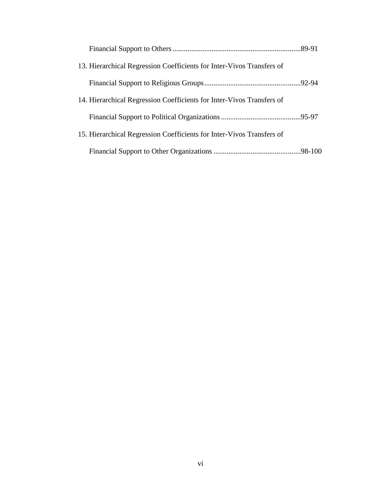| 13. Hierarchical Regression Coefficients for Inter-Vivos Transfers of |  |
|-----------------------------------------------------------------------|--|
|                                                                       |  |
| 14. Hierarchical Regression Coefficients for Inter-Vivos Transfers of |  |
|                                                                       |  |
| 15. Hierarchical Regression Coefficients for Inter-Vivos Transfers of |  |
|                                                                       |  |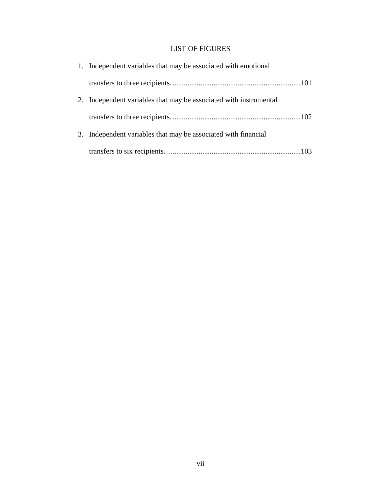### LIST OF FIGURES

| 1. Independent variables that may be associated with emotional    |
|-------------------------------------------------------------------|
|                                                                   |
| 2. Independent variables that may be associated with instrumental |
|                                                                   |
| 3. Independent variables that may be associated with financial    |
|                                                                   |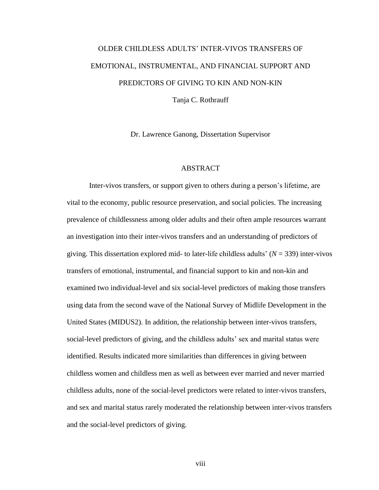# OLDER CHILDLESS ADULTS' INTER-VIVOS TRANSFERS OF EMOTIONAL, INSTRUMENTAL, AND FINANCIAL SUPPORT AND PREDICTORS OF GIVING TO KIN AND NON-KIN Tanja C. Rothrauff

Dr. Lawrence Ganong, Dissertation Supervisor

#### ABSTRACT

Inter-vivos transfers, or support given to others during a person's lifetime, are vital to the economy, public resource preservation, and social policies. The increasing prevalence of childlessness among older adults and their often ample resources warrant an investigation into their inter-vivos transfers and an understanding of predictors of giving. This dissertation explored mid- to later-life childless adults' (*N* = 339) inter-vivos transfers of emotional, instrumental, and financial support to kin and non-kin and examined two individual-level and six social-level predictors of making those transfers using data from the second wave of the National Survey of Midlife Development in the United States (MIDUS2). In addition, the relationship between inter-vivos transfers, social-level predictors of giving, and the childless adults' sex and marital status were identified. Results indicated more similarities than differences in giving between childless women and childless men as well as between ever married and never married childless adults, none of the social-level predictors were related to inter-vivos transfers, and sex and marital status rarely moderated the relationship between inter-vivos transfers and the social-level predictors of giving.

viii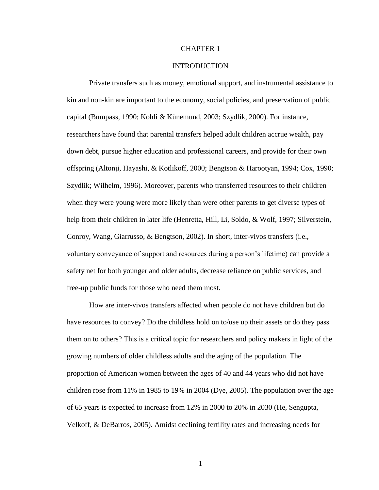#### CHAPTER 1

#### INTRODUCTION

Private transfers such as money, emotional support, and instrumental assistance to kin and non-kin are important to the economy, social policies, and preservation of public capital (Bumpass, 1990; Kohli & Künemund, 2003; Szydlik, 2000). For instance, researchers have found that parental transfers helped adult children accrue wealth, pay down debt, pursue higher education and professional careers, and provide for their own offspring (Altonji, Hayashi, & Kotlikoff, 2000; Bengtson & Harootyan, 1994; Cox, 1990; Szydlik; Wilhelm, 1996). Moreover, parents who transferred resources to their children when they were young were more likely than were other parents to get diverse types of help from their children in later life (Henretta, Hill, Li, Soldo, & Wolf, 1997; Silverstein, Conroy, Wang, Giarrusso, & Bengtson, 2002). In short, inter-vivos transfers (i.e., voluntary conveyance of support and resources during a person's lifetime) can provide a safety net for both younger and older adults, decrease reliance on public services, and free-up public funds for those who need them most.

How are inter-vivos transfers affected when people do not have children but do have resources to convey? Do the childless hold on to/use up their assets or do they pass them on to others? This is a critical topic for researchers and policy makers in light of the growing numbers of older childless adults and the aging of the population. The proportion of American women between the ages of 40 and 44 years who did not have children rose from 11% in 1985 to 19% in 2004 (Dye, 2005). The population over the age of 65 years is expected to increase from 12% in 2000 to 20% in 2030 (He, Sengupta, Velkoff, & DeBarros, 2005). Amidst declining fertility rates and increasing needs for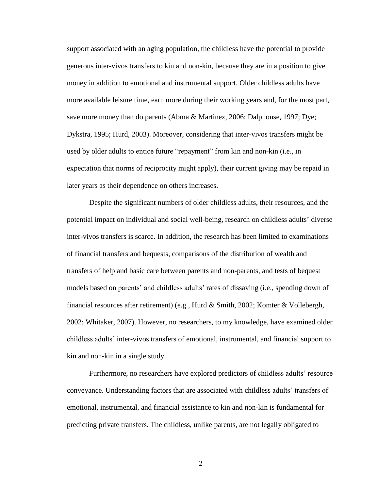support associated with an aging population, the childless have the potential to provide generous inter-vivos transfers to kin and non-kin, because they are in a position to give money in addition to emotional and instrumental support. Older childless adults have more available leisure time, earn more during their working years and, for the most part, save more money than do parents (Abma & Martinez, 2006; Dalphonse, 1997; Dye; Dykstra, 1995; Hurd, 2003). Moreover, considering that inter-vivos transfers might be used by older adults to entice future "repayment" from kin and non-kin (i.e., in expectation that norms of reciprocity might apply), their current giving may be repaid in later years as their dependence on others increases.

Despite the significant numbers of older childless adults, their resources, and the potential impact on individual and social well-being, research on childless adults' diverse inter-vivos transfers is scarce. In addition, the research has been limited to examinations of financial transfers and bequests, comparisons of the distribution of wealth and transfers of help and basic care between parents and non-parents, and tests of bequest models based on parents' and childless adults' rates of dissaving (i.e., spending down of financial resources after retirement) (e.g., Hurd & Smith, 2002; Komter & Vollebergh, 2002; Whitaker, 2007). However, no researchers, to my knowledge, have examined older childless adults' inter-vivos transfers of emotional, instrumental, and financial support to kin and non-kin in a single study.

Furthermore, no researchers have explored predictors of childless adults' resource conveyance. Understanding factors that are associated with childless adults' transfers of emotional, instrumental, and financial assistance to kin and non-kin is fundamental for predicting private transfers. The childless, unlike parents, are not legally obligated to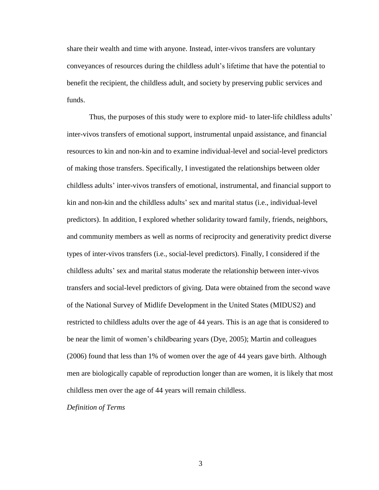share their wealth and time with anyone. Instead, inter-vivos transfers are voluntary conveyances of resources during the childless adult's lifetime that have the potential to benefit the recipient, the childless adult, and society by preserving public services and funds.

Thus, the purposes of this study were to explore mid- to later-life childless adults' inter-vivos transfers of emotional support, instrumental unpaid assistance, and financial resources to kin and non-kin and to examine individual-level and social-level predictors of making those transfers. Specifically, I investigated the relationships between older childless adults' inter-vivos transfers of emotional, instrumental, and financial support to kin and non-kin and the childless adults' sex and marital status (i.e., individual-level predictors). In addition, I explored whether solidarity toward family, friends, neighbors, and community members as well as norms of reciprocity and generativity predict diverse types of inter-vivos transfers (i.e., social-level predictors). Finally, I considered if the childless adults' sex and marital status moderate the relationship between inter-vivos transfers and social-level predictors of giving. Data were obtained from the second wave of the National Survey of Midlife Development in the United States (MIDUS2) and restricted to childless adults over the age of 44 years. This is an age that is considered to be near the limit of women's childbearing years (Dye, 2005); Martin and colleagues (2006) found that less than 1% of women over the age of 44 years gave birth. Although men are biologically capable of reproduction longer than are women, it is likely that most childless men over the age of 44 years will remain childless.

#### *Definition of Terms*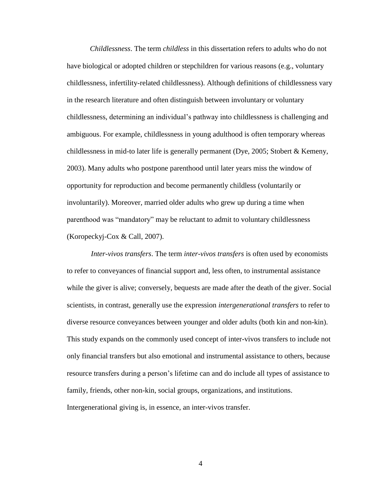*Childlessness*. The term *childless* in this dissertation refers to adults who do not have biological or adopted children or stepchildren for various reasons (e.g., voluntary childlessness, infertility-related childlessness). Although definitions of childlessness vary in the research literature and often distinguish between involuntary or voluntary childlessness, determining an individual's pathway into childlessness is challenging and ambiguous. For example, childlessness in young adulthood is often temporary whereas childlessness in mid-to later life is generally permanent (Dye, 2005; Stobert & Kemeny, 2003). Many adults who postpone parenthood until later years miss the window of opportunity for reproduction and become permanently childless (voluntarily or involuntarily). Moreover, married older adults who grew up during a time when parenthood was "mandatory" may be reluctant to admit to voluntary childlessness (Koropeckyj-Cox & Call, 2007).

*Inter-vivos transfers*. The term *inter-vivos transfers* is often used by economists to refer to conveyances of financial support and, less often, to instrumental assistance while the giver is alive; conversely, bequests are made after the death of the giver. Social scientists, in contrast, generally use the expression *intergenerational transfers* to refer to diverse resource conveyances between younger and older adults (both kin and non-kin). This study expands on the commonly used concept of inter-vivos transfers to include not only financial transfers but also emotional and instrumental assistance to others, because resource transfers during a person's lifetime can and do include all types of assistance to family, friends, other non-kin, social groups, organizations, and institutions. Intergenerational giving is, in essence, an inter-vivos transfer.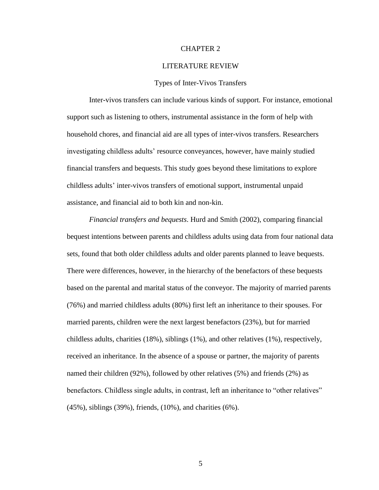#### CHAPTER 2

#### LITERATURE REVIEW

#### Types of Inter-Vivos Transfers

Inter-vivos transfers can include various kinds of support. For instance, emotional support such as listening to others, instrumental assistance in the form of help with household chores, and financial aid are all types of inter-vivos transfers. Researchers investigating childless adults' resource conveyances, however, have mainly studied financial transfers and bequests. This study goes beyond these limitations to explore childless adults' inter-vivos transfers of emotional support, instrumental unpaid assistance, and financial aid to both kin and non-kin.

*Financial transfers and bequests*. Hurd and Smith (2002), comparing financial bequest intentions between parents and childless adults using data from four national data sets, found that both older childless adults and older parents planned to leave bequests. There were differences, however, in the hierarchy of the benefactors of these bequests based on the parental and marital status of the conveyor. The majority of married parents (76%) and married childless adults (80%) first left an inheritance to their spouses. For married parents, children were the next largest benefactors (23%), but for married childless adults, charities (18%), siblings (1%), and other relatives (1%), respectively, received an inheritance. In the absence of a spouse or partner, the majority of parents named their children (92%), followed by other relatives (5%) and friends (2%) as benefactors. Childless single adults, in contrast, left an inheritance to "other relatives" (45%), siblings (39%), friends, (10%), and charities (6%).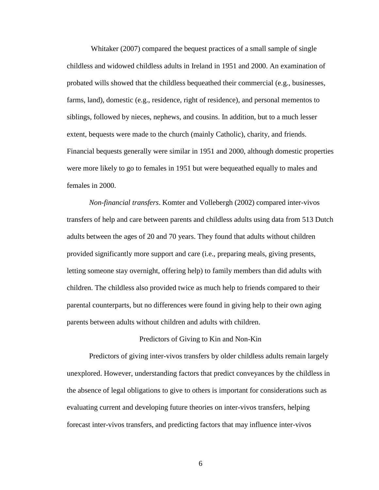Whitaker (2007) compared the bequest practices of a small sample of single childless and widowed childless adults in Ireland in 1951 and 2000. An examination of probated wills showed that the childless bequeathed their commercial (e.g., businesses, farms, land), domestic (e.g., residence, right of residence), and personal mementos to siblings, followed by nieces, nephews, and cousins. In addition, but to a much lesser extent, bequests were made to the church (mainly Catholic), charity, and friends. Financial bequests generally were similar in 1951 and 2000, although domestic properties were more likely to go to females in 1951 but were bequeathed equally to males and females in 2000.

*Non-financial transfers*. Komter and Vollebergh (2002) compared inter-vivos transfers of help and care between parents and childless adults using data from 513 Dutch adults between the ages of 20 and 70 years. They found that adults without children provided significantly more support and care (i.e., preparing meals, giving presents, letting someone stay overnight, offering help) to family members than did adults with children. The childless also provided twice as much help to friends compared to their parental counterparts, but no differences were found in giving help to their own aging parents between adults without children and adults with children.

#### Predictors of Giving to Kin and Non-Kin

Predictors of giving inter-vivos transfers by older childless adults remain largely unexplored. However, understanding factors that predict conveyances by the childless in the absence of legal obligations to give to others is important for considerations such as evaluating current and developing future theories on inter-vivos transfers, helping forecast inter-vivos transfers, and predicting factors that may influence inter-vivos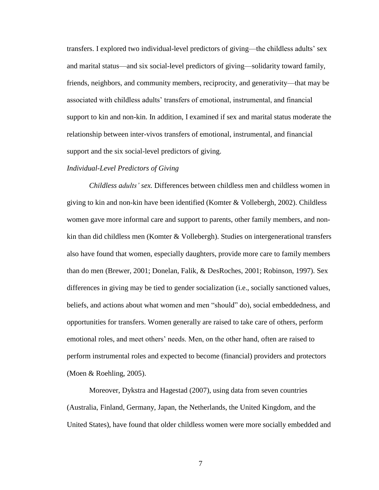transfers. I explored two individual-level predictors of giving—the childless adults' sex and marital status—and six social-level predictors of giving—solidarity toward family, friends, neighbors, and community members, reciprocity, and generativity—that may be associated with childless adults' transfers of emotional, instrumental, and financial support to kin and non-kin. In addition, I examined if sex and marital status moderate the relationship between inter-vivos transfers of emotional, instrumental, and financial support and the six social-level predictors of giving.

#### *Individual-Level Predictors of Giving*

*Childless adults' sex.* Differences between childless men and childless women in giving to kin and non-kin have been identified (Komter & Vollebergh, 2002). Childless women gave more informal care and support to parents, other family members, and nonkin than did childless men (Komter & Vollebergh). Studies on intergenerational transfers also have found that women, especially daughters, provide more care to family members than do men (Brewer, 2001; Donelan, Falik, & DesRoches, 2001; Robinson, 1997). Sex differences in giving may be tied to gender socialization (i.e., socially sanctioned values, beliefs, and actions about what women and men "should" do), social embeddedness, and opportunities for transfers. Women generally are raised to take care of others, perform emotional roles, and meet others' needs. Men, on the other hand, often are raised to perform instrumental roles and expected to become (financial) providers and protectors (Moen & Roehling, 2005).

Moreover, Dykstra and Hagestad (2007), using data from seven countries (Australia, Finland, Germany, Japan, the Netherlands, the United Kingdom, and the United States), have found that older childless women were more socially embedded and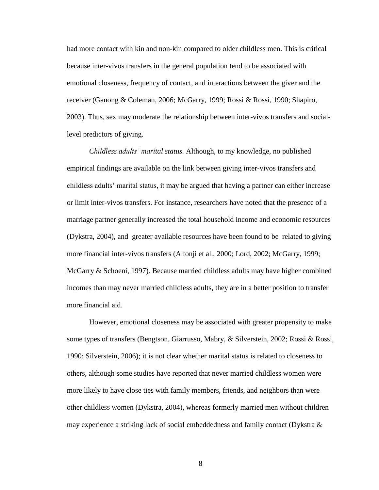had more contact with kin and non-kin compared to older childless men. This is critical because inter-vivos transfers in the general population tend to be associated with emotional closeness, frequency of contact, and interactions between the giver and the receiver (Ganong & Coleman, 2006; McGarry, 1999; Rossi & Rossi, 1990; Shapiro, 2003). Thus, sex may moderate the relationship between inter-vivos transfers and sociallevel predictors of giving.

*Childless adults' marital status.* Although, to my knowledge, no published empirical findings are available on the link between giving inter-vivos transfers and childless adults' marital status, it may be argued that having a partner can either increase or limit inter-vivos transfers. For instance, researchers have noted that the presence of a marriage partner generally increased the total household income and economic resources (Dykstra, 2004), and greater available resources have been found to be related to giving more financial inter-vivos transfers (Altonji et al., 2000; Lord, 2002; McGarry, 1999; McGarry & Schoeni, 1997). Because married childless adults may have higher combined incomes than may never married childless adults, they are in a better position to transfer more financial aid.

However, emotional closeness may be associated with greater propensity to make some types of transfers (Bengtson, Giarrusso, Mabry, & Silverstein, 2002; Rossi & Rossi, 1990; Silverstein, 2006); it is not clear whether marital status is related to closeness to others, although some studies have reported that never married childless women were more likely to have close ties with family members, friends, and neighbors than were other childless women (Dykstra, 2004), whereas formerly married men without children may experience a striking lack of social embeddedness and family contact (Dykstra  $\&$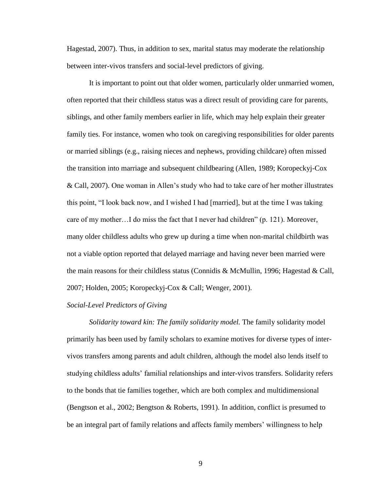Hagestad, 2007). Thus, in addition to sex, marital status may moderate the relationship between inter-vivos transfers and social-level predictors of giving.

It is important to point out that older women, particularly older unmarried women, often reported that their childless status was a direct result of providing care for parents, siblings, and other family members earlier in life, which may help explain their greater family ties. For instance, women who took on caregiving responsibilities for older parents or married siblings (e.g., raising nieces and nephews, providing childcare) often missed the transition into marriage and subsequent childbearing (Allen, 1989; Koropeckyj-Cox & Call, 2007). One woman in Allen's study who had to take care of her mother illustrates this point, "I look back now, and I wished I had [married], but at the time I was taking care of my mother... I do miss the fact that I never had children"  $(p. 121)$ . Moreover, many older childless adults who grew up during a time when non-marital childbirth was not a viable option reported that delayed marriage and having never been married were the main reasons for their childless status (Connidis & McMullin, 1996; Hagestad & Call, 2007; Holden, 2005; Koropeckyj-Cox & Call; Wenger, 2001).

#### *Social-Level Predictors of Giving*

*Solidarity toward kin: The family solidarity model.* The family solidarity model primarily has been used by family scholars to examine motives for diverse types of intervivos transfers among parents and adult children, although the model also lends itself to studying childless adults' familial relationships and inter-vivos transfers. Solidarity refers to the bonds that tie families together, which are both complex and multidimensional (Bengtson et al., 2002; Bengtson & Roberts, 1991). In addition, conflict is presumed to be an integral part of family relations and affects family members' willingness to help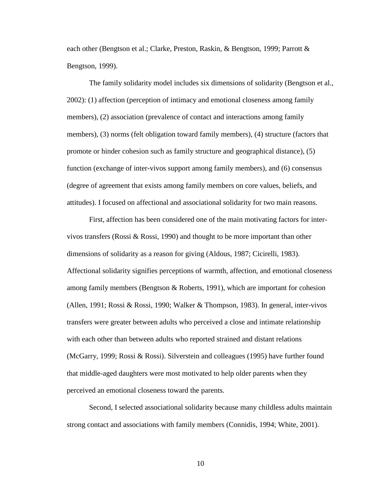each other (Bengtson et al.; Clarke, Preston, Raskin, & Bengtson, 1999; Parrott & Bengtson, 1999).

The family solidarity model includes six dimensions of solidarity (Bengtson et al., 2002): (1) affection (perception of intimacy and emotional closeness among family members), (2) association (prevalence of contact and interactions among family members), (3) norms (felt obligation toward family members), (4) structure (factors that promote or hinder cohesion such as family structure and geographical distance), (5) function (exchange of inter-vivos support among family members), and (6) consensus (degree of agreement that exists among family members on core values, beliefs, and attitudes). I focused on affectional and associational solidarity for two main reasons.

First, affection has been considered one of the main motivating factors for intervivos transfers (Rossi  $\&$  Rossi, 1990) and thought to be more important than other dimensions of solidarity as a reason for giving (Aldous, 1987; Cicirelli, 1983). Affectional solidarity signifies perceptions of warmth, affection, and emotional closeness among family members (Bengtson & Roberts, 1991), which are important for cohesion (Allen, 1991; Rossi & Rossi, 1990; Walker & Thompson, 1983). In general, inter-vivos transfers were greater between adults who perceived a close and intimate relationship with each other than between adults who reported strained and distant relations (McGarry, 1999; Rossi & Rossi). Silverstein and colleagues (1995) have further found that middle-aged daughters were most motivated to help older parents when they perceived an emotional closeness toward the parents.

Second, I selected associational solidarity because many childless adults maintain strong contact and associations with family members (Connidis, 1994; White, 2001).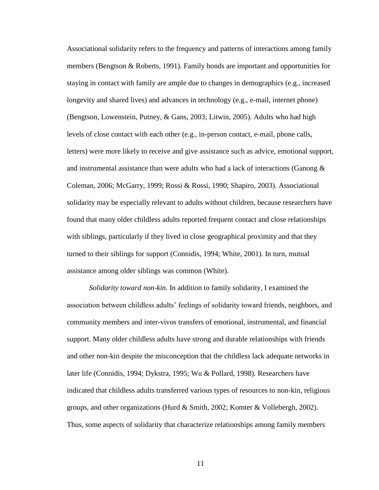Associational solidarity refers to the frequency and patterns of interactions among family members (Bengtson & Roberts, 1991). Family bonds are important and opportunities for staying in contact with family are ample due to changes in demographics (e.g., increased longevity and shared lives) and advances in technology (e.g., e-mail, internet phone) (Bengtson, Lowenstein, Putney, & Gans, 2003; Litwin, 2005). Adults who had high levels of close contact with each other (e.g., in-person contact, e-mail, phone calls, letters) were more likely to receive and give assistance such as advice, emotional support, and instrumental assistance than were adults who had a lack of interactions (Ganong  $\&$ Coleman, 2006; McGarry, 1999; Rossi & Rossi, 1990; Shapiro, 2003). Associational solidarity may be especially relevant to adults without children, because researchers have found that many older childless adults reported frequent contact and close relationships with siblings, particularly if they lived in close geographical proximity and that they turned to their siblings for support (Connidis, 1994; White, 2001). In turn, mutual assistance among older siblings was common (White).

*Solidarity toward non-kin.* In addition to family solidarity, I examined the association between childless adults' feelings of solidarity toward friends, neighbors, and community members and inter-vivos transfers of emotional, instrumental, and financial support. Many older childless adults have strong and durable relationships with friends and other non-kin despite the misconception that the childless lack adequate networks in later life (Connidis, 1994; Dykstra, 1995; Wu & Pollard, 1998). Researchers have indicated that childless adults transferred various types of resources to non-kin, religious groups, and other organizations (Hurd & Smith, 2002; Komter & Vollebergh, 2002). Thus, some aspects of solidarity that characterize relationships among family members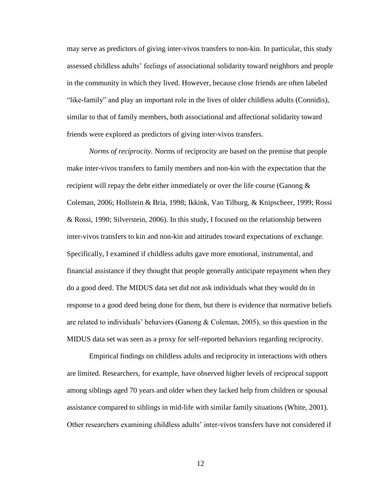may serve as predictors of giving inter-vivos transfers to non-kin. In particular, this study assessed childless adults' feelings of associational solidarity toward neighbors and people in the community in which they lived. However, because close friends are often labeled "like-family" and play an important role in the lives of older childless adults (Connidis), similar to that of family members, both associational and affectional solidarity toward friends were explored as predictors of giving inter-vivos transfers.

*Norms of reciprocity.* Norms of reciprocity are based on the premise that people make inter-vivos transfers to family members and non-kin with the expectation that the recipient will repay the debt either immediately or over the life course (Ganong & Coleman, 2006; Hollstein & Bria, 1998; Ikkink, Van Tilburg, & Knipscheer, 1999; Rossi & Rossi, 1990; Silverstein, 2006). In this study, I focused on the relationship between inter-vivos transfers to kin and non-kin and attitudes toward expectations of exchange. Specifically, I examined if childless adults gave more emotional, instrumental, and financial assistance if they thought that people generally anticipate repayment when they do a good deed. The MIDUS data set did not ask individuals what they would do in response to a good deed being done for them, but there is evidence that normative beliefs are related to individuals' behaviors (Ganong  $&$  Coleman, 2005), so this question in the MIDUS data set was seen as a proxy for self-reported behaviors regarding reciprocity.

Empirical findings on childless adults and reciprocity in interactions with others are limited. Researchers, for example, have observed higher levels of reciprocal support among siblings aged 70 years and older when they lacked help from children or spousal assistance compared to siblings in mid-life with similar family situations (White, 2001). Other researchers examining childless adults' inter-vivos transfers have not considered if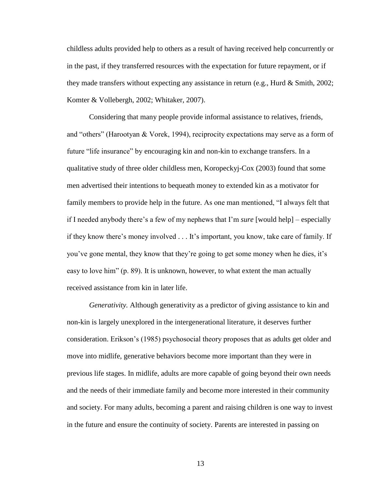childless adults provided help to others as a result of having received help concurrently or in the past, if they transferred resources with the expectation for future repayment, or if they made transfers without expecting any assistance in return (e.g., Hurd & Smith, 2002; Komter & Vollebergh, 2002; Whitaker, 2007).

Considering that many people provide informal assistance to relatives, friends, and "others" (Harootyan  $& V$ orek, 1994), reciprocity expectations may serve as a form of future "life insurance" by encouraging kin and non-kin to exchange transfers. In a qualitative study of three older childless men, Koropeckyj-Cox (2003) found that some men advertised their intentions to bequeath money to extended kin as a motivator for family members to provide help in the future. As one man mentioned, "I always felt that if I needed anybody there's a few of my nephews that I'm *sure* [would help] – especially if they know there's money involved . . . It's important, you know, take care of family. If you've gone mental, they know that they're going to get some money when he dies, it's easy to love him"  $(p. 89)$ . It is unknown, however, to what extent the man actually received assistance from kin in later life.

*Generativity.* Although generativity as a predictor of giving assistance to kin and non-kin is largely unexplored in the intergenerational literature, it deserves further consideration. Erikson's (1985) psychosocial theory proposes that as adults get older and move into midlife, generative behaviors become more important than they were in previous life stages. In midlife, adults are more capable of going beyond their own needs and the needs of their immediate family and become more interested in their community and society. For many adults, becoming a parent and raising children is one way to invest in the future and ensure the continuity of society. Parents are interested in passing on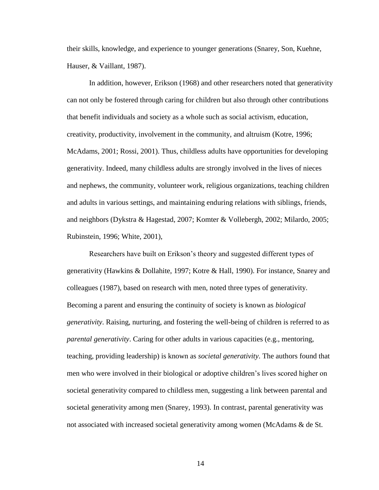their skills, knowledge, and experience to younger generations (Snarey, Son, Kuehne, Hauser, & Vaillant, 1987).

In addition, however, Erikson (1968) and other researchers noted that generativity can not only be fostered through caring for children but also through other contributions that benefit individuals and society as a whole such as social activism, education, creativity, productivity, involvement in the community, and altruism (Kotre, 1996; McAdams, 2001; Rossi, 2001). Thus, childless adults have opportunities for developing generativity. Indeed, many childless adults are strongly involved in the lives of nieces and nephews, the community, volunteer work, religious organizations, teaching children and adults in various settings, and maintaining enduring relations with siblings, friends, and neighbors (Dykstra & Hagestad, 2007; Komter & Vollebergh, 2002; Milardo, 2005; Rubinstein, 1996; White, 2001),

Researchers have built on Erikson's theory and suggested different types of generativity (Hawkins & Dollahite, 1997; Kotre & Hall, 1990). For instance, Snarey and colleagues (1987), based on research with men, noted three types of generativity. Becoming a parent and ensuring the continuity of society is known as *biological generativity*. Raising, nurturing, and fostering the well-being of children is referred to as *parental generativity*. Caring for other adults in various capacities (e.g., mentoring, teaching, providing leadership) is known as *societal generativity*. The authors found that men who were involved in their biological or adoptive children's lives scored higher on societal generativity compared to childless men, suggesting a link between parental and societal generativity among men (Snarey, 1993). In contrast, parental generativity was not associated with increased societal generativity among women (McAdams & de St.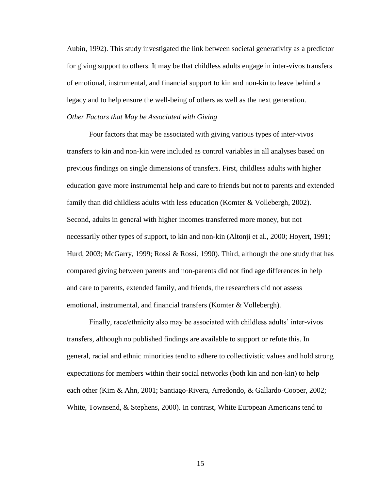Aubin, 1992). This study investigated the link between societal generativity as a predictor for giving support to others. It may be that childless adults engage in inter-vivos transfers of emotional, instrumental, and financial support to kin and non-kin to leave behind a legacy and to help ensure the well-being of others as well as the next generation. *Other Factors that May be Associated with Giving*

Four factors that may be associated with giving various types of inter-vivos transfers to kin and non-kin were included as control variables in all analyses based on previous findings on single dimensions of transfers. First, childless adults with higher education gave more instrumental help and care to friends but not to parents and extended family than did childless adults with less education (Komter & Vollebergh, 2002). Second, adults in general with higher incomes transferred more money, but not necessarily other types of support, to kin and non-kin (Altonji et al., 2000; Hoyert, 1991; Hurd, 2003; McGarry, 1999; Rossi & Rossi, 1990). Third, although the one study that has compared giving between parents and non-parents did not find age differences in help and care to parents, extended family, and friends, the researchers did not assess emotional, instrumental, and financial transfers (Komter & Vollebergh).

Finally, race/ethnicity also may be associated with childless adults' inter-vivos transfers, although no published findings are available to support or refute this. In general, racial and ethnic minorities tend to adhere to collectivistic values and hold strong expectations for members within their social networks (both kin and non-kin) to help each other (Kim & Ahn, 2001; Santiago-Rivera, Arredondo, & Gallardo-Cooper, 2002; White, Townsend, & Stephens, 2000). In contrast, White European Americans tend to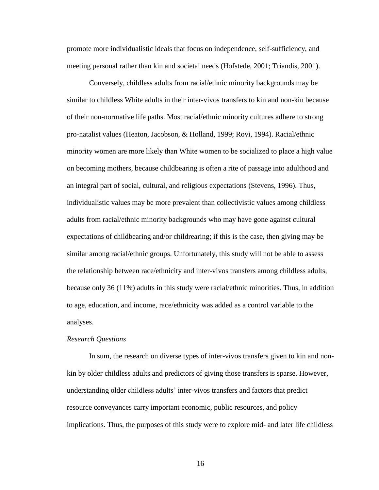promote more individualistic ideals that focus on independence, self-sufficiency, and meeting personal rather than kin and societal needs (Hofstede, 2001; Triandis, 2001).

Conversely, childless adults from racial/ethnic minority backgrounds may be similar to childless White adults in their inter-vivos transfers to kin and non-kin because of their non-normative life paths. Most racial/ethnic minority cultures adhere to strong pro-natalist values (Heaton, Jacobson, & Holland, 1999; Rovi, 1994). Racial/ethnic minority women are more likely than White women to be socialized to place a high value on becoming mothers, because childbearing is often a rite of passage into adulthood and an integral part of social, cultural, and religious expectations (Stevens, 1996). Thus, individualistic values may be more prevalent than collectivistic values among childless adults from racial/ethnic minority backgrounds who may have gone against cultural expectations of childbearing and/or childrearing; if this is the case, then giving may be similar among racial/ethnic groups. Unfortunately, this study will not be able to assess the relationship between race/ethnicity and inter-vivos transfers among childless adults, because only 36 (11%) adults in this study were racial/ethnic minorities. Thus, in addition to age, education, and income, race/ethnicity was added as a control variable to the analyses.

#### *Research Questions*

In sum, the research on diverse types of inter-vivos transfers given to kin and nonkin by older childless adults and predictors of giving those transfers is sparse. However, understanding older childless adults' inter-vivos transfers and factors that predict resource conveyances carry important economic, public resources, and policy implications. Thus, the purposes of this study were to explore mid- and later life childless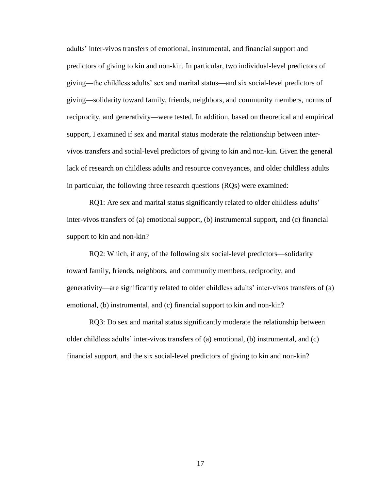adults' inter-vivos transfers of emotional, instrumental, and financial support and predictors of giving to kin and non-kin. In particular, two individual-level predictors of giving—the childless adults' sex and marital status—and six social-level predictors of giving—solidarity toward family, friends, neighbors, and community members, norms of reciprocity, and generativity—were tested. In addition, based on theoretical and empirical support, I examined if sex and marital status moderate the relationship between intervivos transfers and social-level predictors of giving to kin and non-kin. Given the general lack of research on childless adults and resource conveyances, and older childless adults in particular, the following three research questions (RQs) were examined:

RQ1: Are sex and marital status significantly related to older childless adults' inter-vivos transfers of (a) emotional support, (b) instrumental support, and (c) financial support to kin and non-kin?

RQ2: Which, if any, of the following six social-level predictors—solidarity toward family, friends, neighbors, and community members, reciprocity, and generativity—are significantly related to older childless adults' inter-vivos transfers of (a) emotional, (b) instrumental, and (c) financial support to kin and non-kin?

RQ3: Do sex and marital status significantly moderate the relationship between older childless adults' inter-vivos transfers of (a) emotional, (b) instrumental, and (c) financial support, and the six social-level predictors of giving to kin and non-kin?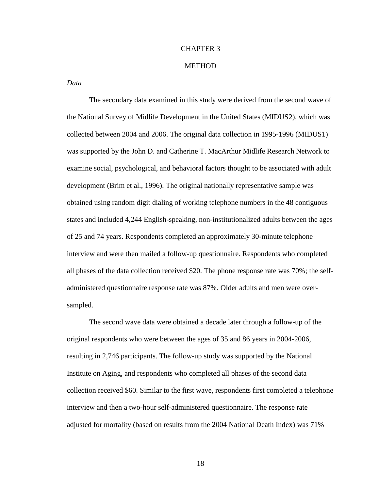#### CHAPTER 3

#### **METHOD**

*Data*

The secondary data examined in this study were derived from the second wave of the National Survey of Midlife Development in the United States (MIDUS2), which was collected between 2004 and 2006. The original data collection in 1995-1996 (MIDUS1) was supported by the John D. and Catherine T. MacArthur Midlife Research Network to examine social, psychological, and behavioral factors thought to be associated with adult development (Brim et al., 1996). The original nationally representative sample was obtained using random digit dialing of working telephone numbers in the 48 contiguous states and included 4,244 English-speaking, non-institutionalized adults between the ages of 25 and 74 years. Respondents completed an approximately 30-minute telephone interview and were then mailed a follow-up questionnaire. Respondents who completed all phases of the data collection received \$20. The phone response rate was 70%; the selfadministered questionnaire response rate was 87%. Older adults and men were oversampled.

The second wave data were obtained a decade later through a follow-up of the original respondents who were between the ages of 35 and 86 years in 2004-2006, resulting in 2,746 participants. The follow-up study was supported by the National Institute on Aging, and respondents who completed all phases of the second data collection received \$60. Similar to the first wave, respondents first completed a telephone interview and then a two-hour self-administered questionnaire. The response rate adjusted for mortality (based on results from the 2004 National Death Index) was 71%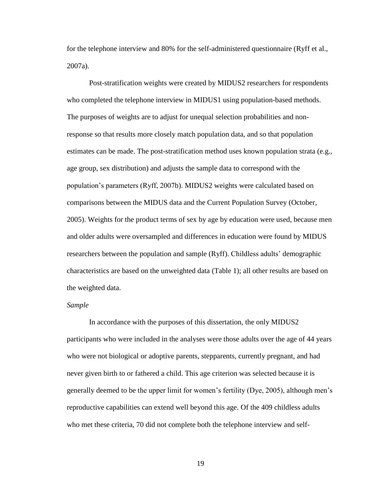for the telephone interview and 80% for the self-administered questionnaire (Ryff et al., 2007a).

Post-stratification weights were created by MIDUS2 researchers for respondents who completed the telephone interview in MIDUS1 using population-based methods. The purposes of weights are to adjust for unequal selection probabilities and nonresponse so that results more closely match population data, and so that population estimates can be made. The post-stratification method uses known population strata (e.g., age group, sex distribution) and adjusts the sample data to correspond with the population's parameters (Ryff, 2007b). MIDUS2 weights were calculated based on comparisons between the MIDUS data and the Current Population Survey (October, 2005). Weights for the product terms of sex by age by education were used, because men and older adults were oversampled and differences in education were found by MIDUS researchers between the population and sample (Ryff). Childless adults' demographic characteristics are based on the unweighted data (Table 1); all other results are based on the weighted data.

#### *Sample*

In accordance with the purposes of this dissertation, the only MIDUS2 participants who were included in the analyses were those adults over the age of 44 years who were not biological or adoptive parents, stepparents, currently pregnant, and had never given birth to or fathered a child. This age criterion was selected because it is generally deemed to be the upper limit for women's fertility (Dye, 2005), although men's reproductive capabilities can extend well beyond this age. Of the 409 childless adults who met these criteria, 70 did not complete both the telephone interview and self-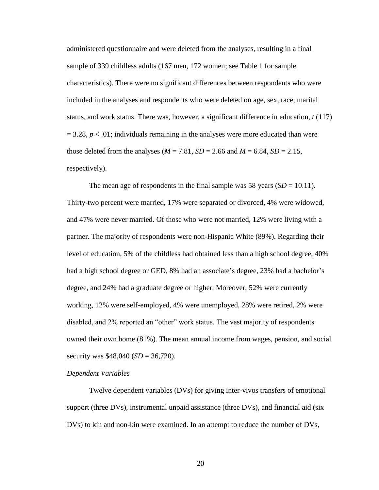administered questionnaire and were deleted from the analyses, resulting in a final sample of 339 childless adults (167 men, 172 women; see Table 1 for sample characteristics). There were no significant differences between respondents who were included in the analyses and respondents who were deleted on age, sex, race, marital status, and work status. There was, however, a significant difference in education, *t* (117)  $= 3.28$ ,  $p < .01$ ; individuals remaining in the analyses were more educated than were those deleted from the analyses ( $M = 7.81$ ,  $SD = 2.66$  and  $M = 6.84$ ,  $SD = 2.15$ , respectively).

The mean age of respondents in the final sample was 58 years  $(SD = 10.11)$ . Thirty-two percent were married, 17% were separated or divorced, 4% were widowed, and 47% were never married. Of those who were not married, 12% were living with a partner. The majority of respondents were non-Hispanic White (89%). Regarding their level of education, 5% of the childless had obtained less than a high school degree, 40% had a high school degree or GED, 8% had an associate's degree, 23% had a bachelor's degree, and 24% had a graduate degree or higher. Moreover, 52% were currently working, 12% were self-employed, 4% were unemployed, 28% were retired, 2% were disabled, and 2% reported an "other" work status. The vast majority of respondents owned their own home (81%). The mean annual income from wages, pension, and social security was \$48,040 (*SD* = 36,720).

#### *Dependent Variables*

Twelve dependent variables (DVs) for giving inter-vivos transfers of emotional support (three DVs), instrumental unpaid assistance (three DVs), and financial aid (six DVs) to kin and non-kin were examined. In an attempt to reduce the number of DVs,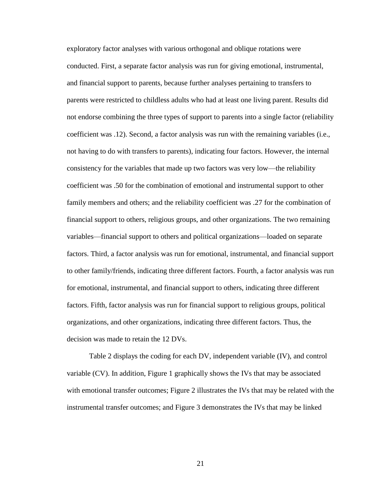exploratory factor analyses with various orthogonal and oblique rotations were conducted. First, a separate factor analysis was run for giving emotional, instrumental, and financial support to parents, because further analyses pertaining to transfers to parents were restricted to childless adults who had at least one living parent. Results did not endorse combining the three types of support to parents into a single factor (reliability coefficient was .12). Second, a factor analysis was run with the remaining variables (i.e., not having to do with transfers to parents), indicating four factors. However, the internal consistency for the variables that made up two factors was very low—the reliability coefficient was .50 for the combination of emotional and instrumental support to other family members and others; and the reliability coefficient was .27 for the combination of financial support to others, religious groups, and other organizations. The two remaining variables—financial support to others and political organizations—loaded on separate factors. Third, a factor analysis was run for emotional, instrumental, and financial support to other family/friends, indicating three different factors. Fourth, a factor analysis was run for emotional, instrumental, and financial support to others, indicating three different factors. Fifth, factor analysis was run for financial support to religious groups, political organizations, and other organizations, indicating three different factors. Thus, the decision was made to retain the 12 DVs.

Table 2 displays the coding for each DV, independent variable (IV), and control variable (CV). In addition, Figure 1 graphically shows the IVs that may be associated with emotional transfer outcomes; Figure 2 illustrates the IVs that may be related with the instrumental transfer outcomes; and Figure 3 demonstrates the IVs that may be linked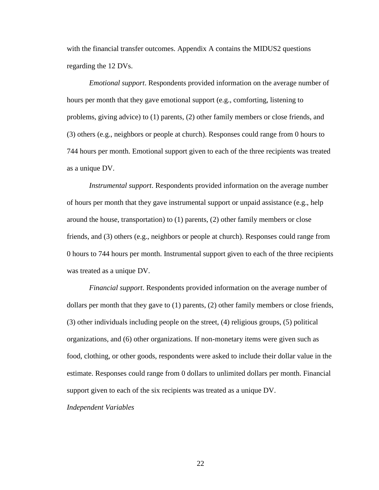with the financial transfer outcomes. Appendix A contains the MIDUS2 questions regarding the 12 DVs.

*Emotional support*. Respondents provided information on the average number of hours per month that they gave emotional support (e.g., comforting, listening to problems, giving advice) to (1) parents, (2) other family members or close friends, and (3) others (e.g., neighbors or people at church). Responses could range from 0 hours to 744 hours per month. Emotional support given to each of the three recipients was treated as a unique DV.

*Instrumental support*. Respondents provided information on the average number of hours per month that they gave instrumental support or unpaid assistance (e.g., help around the house, transportation) to (1) parents, (2) other family members or close friends, and (3) others (e.g., neighbors or people at church). Responses could range from 0 hours to 744 hours per month. Instrumental support given to each of the three recipients was treated as a unique DV.

*Financial support*. Respondents provided information on the average number of dollars per month that they gave to (1) parents, (2) other family members or close friends, (3) other individuals including people on the street, (4) religious groups, (5) political organizations, and (6) other organizations. If non-monetary items were given such as food, clothing, or other goods, respondents were asked to include their dollar value in the estimate. Responses could range from 0 dollars to unlimited dollars per month. Financial support given to each of the six recipients was treated as a unique DV.

*Independent Variables*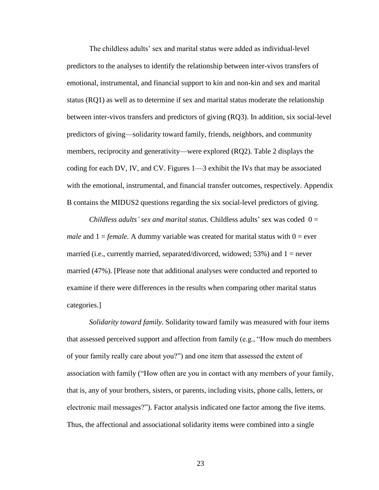The childless adults' sex and marital status were added as individual-level predictors to the analyses to identify the relationship between inter-vivos transfers of emotional, instrumental, and financial support to kin and non-kin and sex and marital status (RQ1) as well as to determine if sex and marital status moderate the relationship between inter-vivos transfers and predictors of giving (RQ3). In addition, six social-level predictors of giving—solidarity toward family, friends, neighbors, and community members, reciprocity and generativity—were explored (RQ2). Table 2 displays the coding for each DV, IV, and CV. Figures 1—3 exhibit the IVs that may be associated with the emotional, instrumental, and financial transfer outcomes, respectively. Appendix B contains the MIDUS2 questions regarding the six social-level predictors of giving.

*Childless adults' sex and marital status.* Childless adults' sex was coded 0 = *male* and  $1 = female$ . A dummy variable was created for marital status with  $0 = ever$ married (i.e., currently married, separated/divorced, widowed; 53%) and  $1 =$  never married (47%). [Please note that additional analyses were conducted and reported to examine if there were differences in the results when comparing other marital status categories.]

*Solidarity toward family.* Solidarity toward family was measured with four items that assessed perceived support and affection from family (e.g.,  $\lq$ How much do members of your family really care about you?‖) and one item that assessed the extent of association with family ("How often are you in contact with any members of your family, that is, any of your brothers, sisters, or parents, including visits, phone calls, letters, or electronic mail messages?"). Factor analysis indicated one factor among the five items. Thus, the affectional and associational solidarity items were combined into a single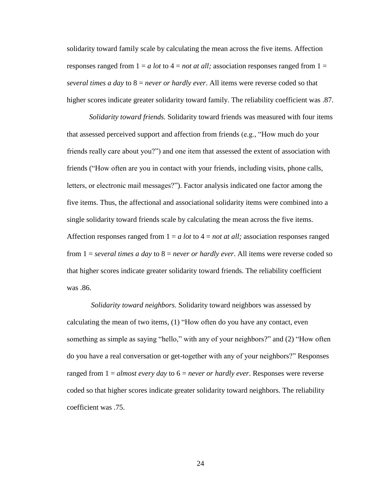solidarity toward family scale by calculating the mean across the five items. Affection responses ranged from  $1 = a$  *lot* to  $4 = not$  *at all;* association responses ranged from  $1 =$ *several times a day* to 8 = *never or hardly ever*. All items were reverse coded so that higher scores indicate greater solidarity toward family. The reliability coefficient was .87.

*Solidarity toward friends.* Solidarity toward friends was measured with four items that assessed perceived support and affection from friends (e.g., "How much do your friends really care about you?") and one item that assessed the extent of association with friends ("How often are you in contact with your friends, including visits, phone calls, letters, or electronic mail messages?"). Factor analysis indicated one factor among the five items. Thus, the affectional and associational solidarity items were combined into a single solidarity toward friends scale by calculating the mean across the five items. Affection responses ranged from  $1 = a$  *lot* to  $4 = not$  *at all;* association responses ranged from 1 = *several times a day* to 8 = *never or hardly ever*. All items were reverse coded so that higher scores indicate greater solidarity toward friends. The reliability coefficient was .86.

*Solidarity toward neighbors.* Solidarity toward neighbors was assessed by calculating the mean of two items,  $(1)$  "How often do you have any contact, even something as simple as saying "hello," with any of your neighbors?" and (2) "How often do you have a real conversation or get-together with any of your neighbors?" Responses ranged from 1 = *almost every day* to 6 = *never or hardly ever*. Responses were reverse coded so that higher scores indicate greater solidarity toward neighbors. The reliability coefficient was .75.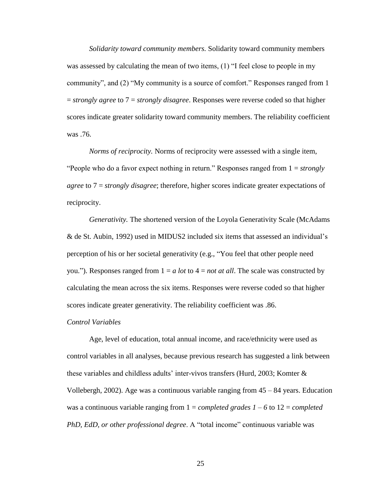*Solidarity toward community members.* Solidarity toward community members was assessed by calculating the mean of two items,  $(1)$  "I feel close to people in my community", and (2) "My community is a source of comfort." Responses ranged from 1 = *strongly agree* to 7 = *strongly disagree*. Responses were reverse coded so that higher scores indicate greater solidarity toward community members. The reliability coefficient was .76.

*Norms of reciprocity.* Norms of reciprocity were assessed with a single item, ―People who do a favor expect nothing in return.‖ Responses ranged from 1 = *strongly agree* to 7 = *strongly disagree*; therefore, higher scores indicate greater expectations of reciprocity.

*Generativity.* The shortened version of the Loyola Generativity Scale (McAdams & de St. Aubin, 1992) used in MIDUS2 included six items that assessed an individual's perception of his or her societal generativity (e.g., "You feel that other people need you."). Responses ranged from  $1 = a$  *lot* to  $4 = not$  *at all*. The scale was constructed by calculating the mean across the six items. Responses were reverse coded so that higher scores indicate greater generativity. The reliability coefficient was .86.

#### *Control Variables*

Age, level of education, total annual income, and race/ethnicity were used as control variables in all analyses, because previous research has suggested a link between these variables and childless adults' inter-vivos transfers (Hurd, 2003; Komter & Vollebergh, 2002). Age was a continuous variable ranging from 45 – 84 years. Education was a continuous variable ranging from 1 = *completed grades 1 – 6* to 12 = *completed PhD, EdD, or other professional degree.* A "total income" continuous variable was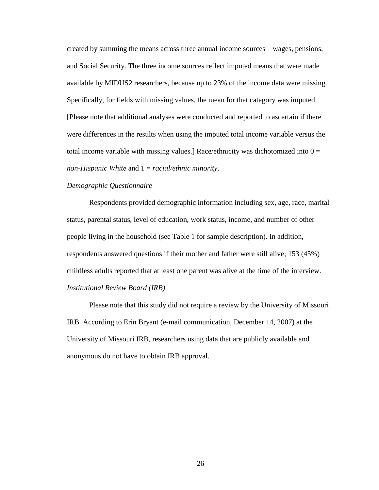created by summing the means across three annual income sources—wages, pensions, and Social Security. The three income sources reflect imputed means that were made available by MIDUS2 researchers, because up to 23% of the income data were missing. Specifically, for fields with missing values, the mean for that category was imputed. [Please note that additional analyses were conducted and reported to ascertain if there were differences in the results when using the imputed total income variable versus the total income variable with missing values.] Race/ethnicity was dichotomized into  $0 =$ *non-Hispanic White* and 1 = *racial/ethnic minority*.

#### *Demographic Questionnaire*

Respondents provided demographic information including sex, age, race, marital status, parental status, level of education, work status, income, and number of other people living in the household (see Table 1 for sample description). In addition, respondents answered questions if their mother and father were still alive; 153 (45%) childless adults reported that at least one parent was alive at the time of the interview. *Institutional Review Board (IRB)*

Please note that this study did not require a review by the University of Missouri IRB. According to Erin Bryant (e-mail communication, December 14, 2007) at the University of Missouri IRB, researchers using data that are publicly available and anonymous do not have to obtain IRB approval.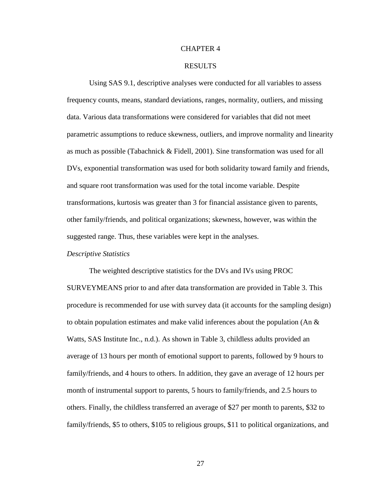#### CHAPTER 4

#### RESULTS

Using SAS 9.1, descriptive analyses were conducted for all variables to assess frequency counts, means, standard deviations, ranges, normality, outliers, and missing data. Various data transformations were considered for variables that did not meet parametric assumptions to reduce skewness, outliers, and improve normality and linearity as much as possible (Tabachnick & Fidell, 2001). Sine transformation was used for all DVs, exponential transformation was used for both solidarity toward family and friends, and square root transformation was used for the total income variable. Despite transformations, kurtosis was greater than 3 for financial assistance given to parents, other family/friends, and political organizations; skewness, however, was within the suggested range. Thus, these variables were kept in the analyses.

#### *Descriptive Statistics*

The weighted descriptive statistics for the DVs and IVs using PROC SURVEYMEANS prior to and after data transformation are provided in Table 3. This procedure is recommended for use with survey data (it accounts for the sampling design) to obtain population estimates and make valid inferences about the population (An  $\&$ Watts, SAS Institute Inc., n.d.). As shown in Table 3, childless adults provided an average of 13 hours per month of emotional support to parents, followed by 9 hours to family/friends, and 4 hours to others. In addition, they gave an average of 12 hours per month of instrumental support to parents, 5 hours to family/friends, and 2.5 hours to others. Finally, the childless transferred an average of \$27 per month to parents, \$32 to family/friends, \$5 to others, \$105 to religious groups, \$11 to political organizations, and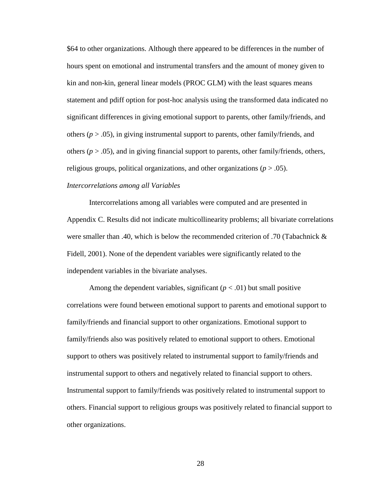\$64 to other organizations. Although there appeared to be differences in the number of hours spent on emotional and instrumental transfers and the amount of money given to kin and non-kin, general linear models (PROC GLM) with the least squares means statement and pdiff option for post-hoc analysis using the transformed data indicated no significant differences in giving emotional support to parents, other family/friends, and others  $(p > .05)$ , in giving instrumental support to parents, other family/friends, and others (*p* > .05), and in giving financial support to parents, other family/friends, others, religious groups, political organizations, and other organizations (*p* > .05).

### *Intercorrelations among all Variables*

Intercorrelations among all variables were computed and are presented in Appendix C. Results did not indicate multicollinearity problems; all bivariate correlations were smaller than .40, which is below the recommended criterion of .70 (Tabachnick & Fidell, 2001). None of the dependent variables were significantly related to the independent variables in the bivariate analyses.

Among the dependent variables, significant  $(p < .01)$  but small positive correlations were found between emotional support to parents and emotional support to family/friends and financial support to other organizations. Emotional support to family/friends also was positively related to emotional support to others. Emotional support to others was positively related to instrumental support to family/friends and instrumental support to others and negatively related to financial support to others. Instrumental support to family/friends was positively related to instrumental support to others. Financial support to religious groups was positively related to financial support to other organizations.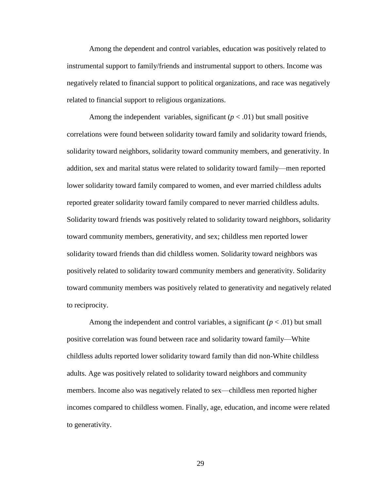Among the dependent and control variables, education was positively related to instrumental support to family/friends and instrumental support to others. Income was negatively related to financial support to political organizations, and race was negatively related to financial support to religious organizations.

Among the independent variables, significant  $(p < .01)$  but small positive correlations were found between solidarity toward family and solidarity toward friends, solidarity toward neighbors, solidarity toward community members, and generativity. In addition, sex and marital status were related to solidarity toward family—men reported lower solidarity toward family compared to women, and ever married childless adults reported greater solidarity toward family compared to never married childless adults. Solidarity toward friends was positively related to solidarity toward neighbors, solidarity toward community members, generativity, and sex; childless men reported lower solidarity toward friends than did childless women. Solidarity toward neighbors was positively related to solidarity toward community members and generativity. Solidarity toward community members was positively related to generativity and negatively related to reciprocity.

Among the independent and control variables, a significant  $(p < .01)$  but small positive correlation was found between race and solidarity toward family—White childless adults reported lower solidarity toward family than did non-White childless adults. Age was positively related to solidarity toward neighbors and community members. Income also was negatively related to sex—childless men reported higher incomes compared to childless women. Finally, age, education, and income were related to generativity.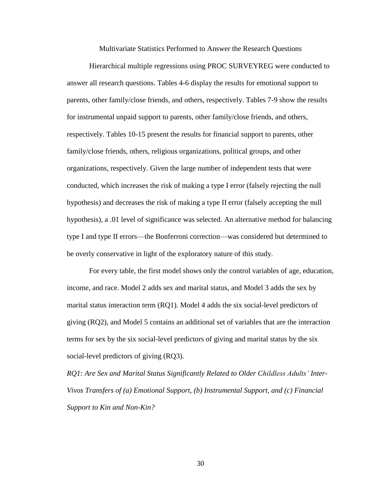Multivariate Statistics Performed to Answer the Research Questions

Hierarchical multiple regressions using PROC SURVEYREG were conducted to answer all research questions. Tables 4-6 display the results for emotional support to parents, other family/close friends, and others, respectively. Tables 7-9 show the results for instrumental unpaid support to parents, other family/close friends, and others, respectively. Tables 10-15 present the results for financial support to parents, other family/close friends, others, religious organizations, political groups, and other organizations, respectively. Given the large number of independent tests that were conducted, which increases the risk of making a type I error (falsely rejecting the null hypothesis) and decreases the risk of making a type II error (falsely accepting the null hypothesis), a .01 level of significance was selected. An alternative method for balancing type I and type II errors—the Bonferroni correction—was considered but determined to be overly conservative in light of the exploratory nature of this study.

For every table, the first model shows only the control variables of age, education, income, and race. Model 2 adds sex and marital status, and Model 3 adds the sex by marital status interaction term (RQ1). Model 4 adds the six social-level predictors of giving (RQ2), and Model 5 contains an additional set of variables that are the interaction terms for sex by the six social-level predictors of giving and marital status by the six social-level predictors of giving (RQ3).

*RQ1: Are Sex and Marital Status Significantly Related to Older Childless Adults' Inter-Vivos Transfers of (a) Emotional Support, (b) Instrumental Support, and (c) Financial Support to Kin and Non-Kin?*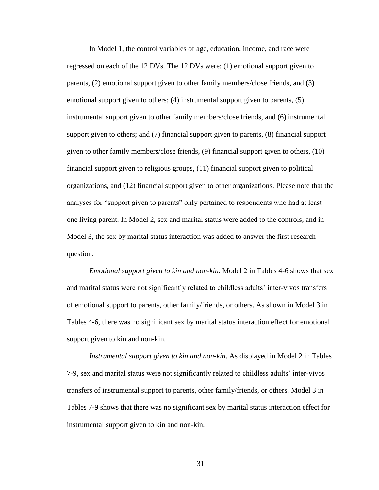In Model 1, the control variables of age, education, income, and race were regressed on each of the 12 DVs. The 12 DVs were: (1) emotional support given to parents, (2) emotional support given to other family members/close friends, and (3) emotional support given to others; (4) instrumental support given to parents, (5) instrumental support given to other family members/close friends, and (6) instrumental support given to others; and (7) financial support given to parents, (8) financial support given to other family members/close friends, (9) financial support given to others, (10) financial support given to religious groups, (11) financial support given to political organizations, and (12) financial support given to other organizations. Please note that the analyses for "support given to parents" only pertained to respondents who had at least one living parent. In Model 2, sex and marital status were added to the controls, and in Model 3, the sex by marital status interaction was added to answer the first research question.

*Emotional support given to kin and non-kin*. Model 2 in Tables 4-6 shows that sex and marital status were not significantly related to childless adults' inter-vivos transfers of emotional support to parents, other family/friends, or others. As shown in Model 3 in Tables 4-6, there was no significant sex by marital status interaction effect for emotional support given to kin and non-kin.

*Instrumental support given to kin and non-kin*. As displayed in Model 2 in Tables 7-9, sex and marital status were not significantly related to childless adults' inter-vivos transfers of instrumental support to parents, other family/friends, or others. Model 3 in Tables 7-9 shows that there was no significant sex by marital status interaction effect for instrumental support given to kin and non-kin.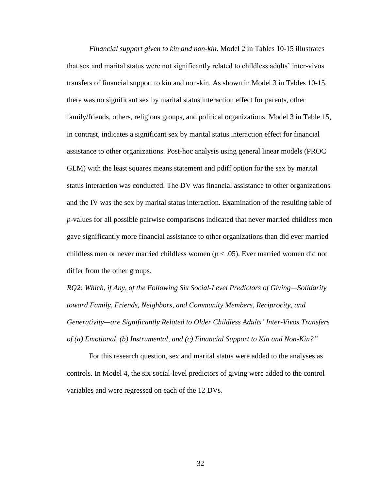*Financial support given to kin and non-kin*. Model 2 in Tables 10-15 illustrates that sex and marital status were not significantly related to childless adults' inter-vivos transfers of financial support to kin and non-kin. As shown in Model 3 in Tables 10-15, there was no significant sex by marital status interaction effect for parents, other family/friends, others, religious groups, and political organizations. Model 3 in Table 15, in contrast, indicates a significant sex by marital status interaction effect for financial assistance to other organizations. Post-hoc analysis using general linear models (PROC GLM) with the least squares means statement and pdiff option for the sex by marital status interaction was conducted. The DV was financial assistance to other organizations and the IV was the sex by marital status interaction. Examination of the resulting table of *p*-values for all possible pairwise comparisons indicated that never married childless men gave significantly more financial assistance to other organizations than did ever married childless men or never married childless women (*p* < .05). Ever married women did not differ from the other groups.

*RQ2: Which, if Any, of the Following Six Social-Level Predictors of Giving—Solidarity toward Family, Friends, Neighbors, and Community Members, Reciprocity, and Generativity—are Significantly Related to Older Childless Adults' Inter-Vivos Transfers of (a) Emotional, (b) Instrumental, and (c) Financial Support to Kin and Non-Kin?"*

For this research question, sex and marital status were added to the analyses as controls. In Model 4, the six social-level predictors of giving were added to the control variables and were regressed on each of the 12 DVs.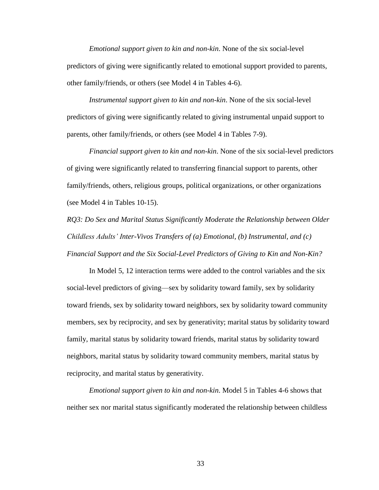*Emotional support given to kin and non-kin*. None of the six social-level predictors of giving were significantly related to emotional support provided to parents, other family/friends, or others (see Model 4 in Tables 4-6).

*Instrumental support given to kin and non-kin*. None of the six social-level predictors of giving were significantly related to giving instrumental unpaid support to parents, other family/friends, or others (see Model 4 in Tables 7-9).

*Financial support given to kin and non-kin*. None of the six social-level predictors of giving were significantly related to transferring financial support to parents, other family/friends, others, religious groups, political organizations, or other organizations (see Model 4 in Tables 10-15).

*RQ3: Do Sex and Marital Status Significantly Moderate the Relationship between Older Childless Adults' Inter-Vivos Transfers of (a) Emotional, (b) Instrumental, and (c) Financial Support and the Six Social-Level Predictors of Giving to Kin and Non-Kin?*

In Model 5, 12 interaction terms were added to the control variables and the six social-level predictors of giving—sex by solidarity toward family, sex by solidarity toward friends, sex by solidarity toward neighbors, sex by solidarity toward community members, sex by reciprocity, and sex by generativity; marital status by solidarity toward family, marital status by solidarity toward friends, marital status by solidarity toward neighbors, marital status by solidarity toward community members, marital status by reciprocity, and marital status by generativity.

*Emotional support given to kin and non-kin*. Model 5 in Tables 4-6 shows that neither sex nor marital status significantly moderated the relationship between childless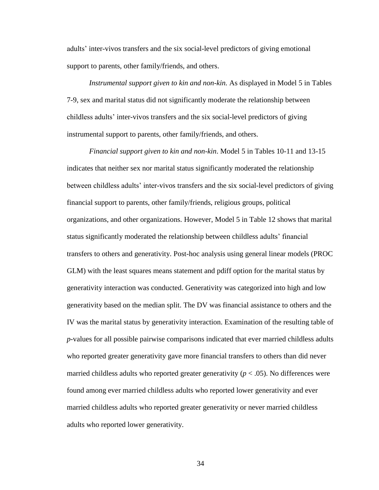adults' inter-vivos transfers and the six social-level predictors of giving emotional support to parents, other family/friends, and others.

*Instrumental support given to kin and non-kin.* As displayed in Model 5 in Tables 7-9, sex and marital status did not significantly moderate the relationship between childless adults' inter-vivos transfers and the six social-level predictors of giving instrumental support to parents, other family/friends, and others.

*Financial support given to kin and non-kin*. Model 5 in Tables 10-11 and 13-15 indicates that neither sex nor marital status significantly moderated the relationship between childless adults' inter-vivos transfers and the six social-level predictors of giving financial support to parents, other family/friends, religious groups, political organizations, and other organizations. However, Model 5 in Table 12 shows that marital status significantly moderated the relationship between childless adults' financial transfers to others and generativity. Post-hoc analysis using general linear models (PROC GLM) with the least squares means statement and pdiff option for the marital status by generativity interaction was conducted. Generativity was categorized into high and low generativity based on the median split. The DV was financial assistance to others and the IV was the marital status by generativity interaction. Examination of the resulting table of *p*-values for all possible pairwise comparisons indicated that ever married childless adults who reported greater generativity gave more financial transfers to others than did never married childless adults who reported greater generativity  $(p < .05)$ . No differences were found among ever married childless adults who reported lower generativity and ever married childless adults who reported greater generativity or never married childless adults who reported lower generativity.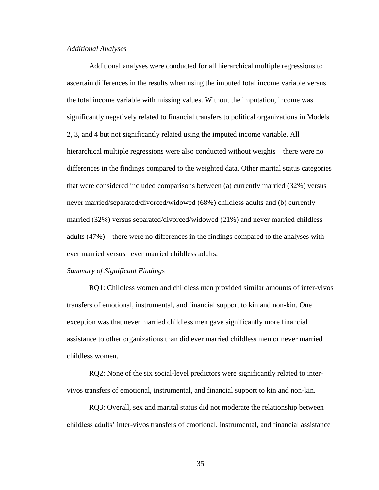#### *Additional Analyses*

Additional analyses were conducted for all hierarchical multiple regressions to ascertain differences in the results when using the imputed total income variable versus the total income variable with missing values. Without the imputation, income was significantly negatively related to financial transfers to political organizations in Models 2, 3, and 4 but not significantly related using the imputed income variable. All hierarchical multiple regressions were also conducted without weights—there were no differences in the findings compared to the weighted data. Other marital status categories that were considered included comparisons between (a) currently married (32%) versus never married/separated/divorced/widowed (68%) childless adults and (b) currently married (32%) versus separated/divorced/widowed (21%) and never married childless adults (47%)—there were no differences in the findings compared to the analyses with ever married versus never married childless adults.

#### *Summary of Significant Findings*

RQ1: Childless women and childless men provided similar amounts of inter-vivos transfers of emotional, instrumental, and financial support to kin and non-kin. One exception was that never married childless men gave significantly more financial assistance to other organizations than did ever married childless men or never married childless women.

RQ2: None of the six social-level predictors were significantly related to intervivos transfers of emotional, instrumental, and financial support to kin and non-kin.

RQ3: Overall, sex and marital status did not moderate the relationship between childless adults' inter-vivos transfers of emotional, instrumental, and financial assistance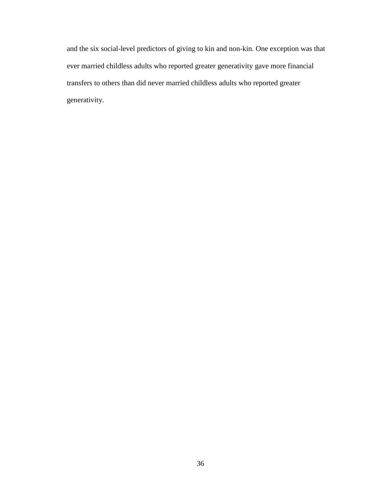and the six social-level predictors of giving to kin and non-kin. One exception was that ever married childless adults who reported greater generativity gave more financial transfers to others than did never married childless adults who reported greater generativity.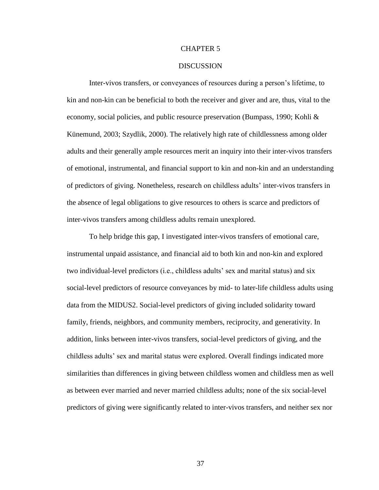#### CHAPTER 5

#### **DISCUSSION**

Inter-vivos transfers, or conveyances of resources during a person's lifetime, to kin and non-kin can be beneficial to both the receiver and giver and are, thus, vital to the economy, social policies, and public resource preservation (Bumpass, 1990; Kohli & Künemund, 2003; Szydlik, 2000). The relatively high rate of childlessness among older adults and their generally ample resources merit an inquiry into their inter-vivos transfers of emotional, instrumental, and financial support to kin and non-kin and an understanding of predictors of giving. Nonetheless, research on childless adults' inter-vivos transfers in the absence of legal obligations to give resources to others is scarce and predictors of inter-vivos transfers among childless adults remain unexplored.

To help bridge this gap, I investigated inter-vivos transfers of emotional care, instrumental unpaid assistance, and financial aid to both kin and non-kin and explored two individual-level predictors (i.e., childless adults' sex and marital status) and six social-level predictors of resource conveyances by mid- to later-life childless adults using data from the MIDUS2. Social-level predictors of giving included solidarity toward family, friends, neighbors, and community members, reciprocity, and generativity. In addition, links between inter-vivos transfers, social-level predictors of giving, and the childless adults' sex and marital status were explored. Overall findings indicated more similarities than differences in giving between childless women and childless men as well as between ever married and never married childless adults; none of the six social-level predictors of giving were significantly related to inter-vivos transfers, and neither sex nor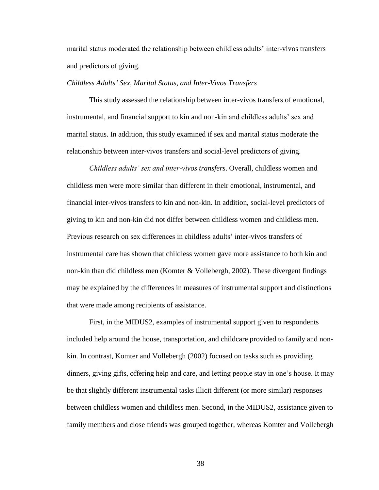marital status moderated the relationship between childless adults' inter-vivos transfers and predictors of giving.

#### *Childless Adults' Sex, Marital Status, and Inter-Vivos Transfers*

This study assessed the relationship between inter-vivos transfers of emotional, instrumental, and financial support to kin and non-kin and childless adults' sex and marital status. In addition, this study examined if sex and marital status moderate the relationship between inter-vivos transfers and social-level predictors of giving.

*Childless adults' sex and inter-vivos transfers*. Overall, childless women and childless men were more similar than different in their emotional, instrumental, and financial inter-vivos transfers to kin and non-kin. In addition, social-level predictors of giving to kin and non-kin did not differ between childless women and childless men. Previous research on sex differences in childless adults' inter-vivos transfers of instrumental care has shown that childless women gave more assistance to both kin and non-kin than did childless men (Komter & Vollebergh, 2002). These divergent findings may be explained by the differences in measures of instrumental support and distinctions that were made among recipients of assistance.

First, in the MIDUS2, examples of instrumental support given to respondents included help around the house, transportation, and childcare provided to family and nonkin. In contrast, Komter and Vollebergh (2002) focused on tasks such as providing dinners, giving gifts, offering help and care, and letting people stay in one's house. It may be that slightly different instrumental tasks illicit different (or more similar) responses between childless women and childless men. Second, in the MIDUS2, assistance given to family members and close friends was grouped together, whereas Komter and Vollebergh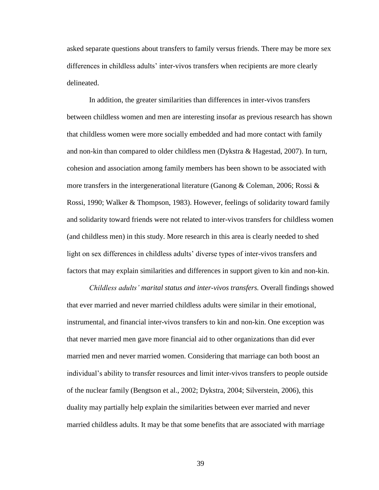asked separate questions about transfers to family versus friends. There may be more sex differences in childless adults' inter-vivos transfers when recipients are more clearly delineated.

In addition, the greater similarities than differences in inter-vivos transfers between childless women and men are interesting insofar as previous research has shown that childless women were more socially embedded and had more contact with family and non-kin than compared to older childless men (Dykstra & Hagestad, 2007). In turn, cohesion and association among family members has been shown to be associated with more transfers in the intergenerational literature (Ganong & Coleman, 2006; Rossi  $\&$ Rossi, 1990; Walker & Thompson, 1983). However, feelings of solidarity toward family and solidarity toward friends were not related to inter-vivos transfers for childless women (and childless men) in this study. More research in this area is clearly needed to shed light on sex differences in childless adults' diverse types of inter-vivos transfers and factors that may explain similarities and differences in support given to kin and non-kin.

*Childless adults' marital status and inter-vivos transfers.* Overall findings showed that ever married and never married childless adults were similar in their emotional, instrumental, and financial inter-vivos transfers to kin and non-kin. One exception was that never married men gave more financial aid to other organizations than did ever married men and never married women. Considering that marriage can both boost an individual's ability to transfer resources and limit inter-vivos transfers to people outside of the nuclear family (Bengtson et al., 2002; Dykstra, 2004; Silverstein, 2006), this duality may partially help explain the similarities between ever married and never married childless adults. It may be that some benefits that are associated with marriage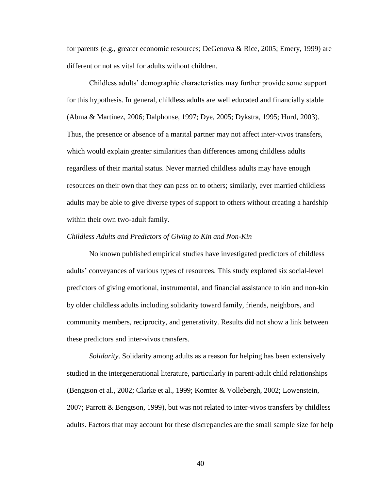for parents (e.g., greater economic resources; DeGenova & Rice, 2005; Emery, 1999) are different or not as vital for adults without children.

Childless adults' demographic characteristics may further provide some support for this hypothesis. In general, childless adults are well educated and financially stable (Abma & Martinez, 2006; Dalphonse, 1997; Dye, 2005; Dykstra, 1995; Hurd, 2003). Thus, the presence or absence of a marital partner may not affect inter-vivos transfers, which would explain greater similarities than differences among childless adults regardless of their marital status. Never married childless adults may have enough resources on their own that they can pass on to others; similarly, ever married childless adults may be able to give diverse types of support to others without creating a hardship within their own two-adult family.

#### *Childless Adults and Predictors of Giving to Kin and Non-Kin*

No known published empirical studies have investigated predictors of childless adults' conveyances of various types of resources. This study explored six social-level predictors of giving emotional, instrumental, and financial assistance to kin and non-kin by older childless adults including solidarity toward family, friends, neighbors, and community members, reciprocity, and generativity. Results did not show a link between these predictors and inter-vivos transfers.

*Solidarity*. Solidarity among adults as a reason for helping has been extensively studied in the intergenerational literature, particularly in parent-adult child relationships (Bengtson et al., 2002; Clarke et al., 1999; Komter & Vollebergh, 2002; Lowenstein, 2007; Parrott & Bengtson, 1999), but was not related to inter-vivos transfers by childless adults. Factors that may account for these discrepancies are the small sample size for help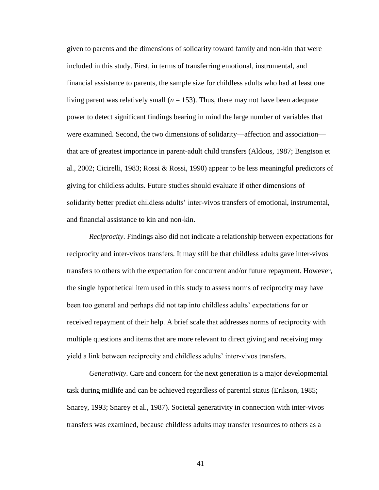given to parents and the dimensions of solidarity toward family and non-kin that were included in this study. First, in terms of transferring emotional, instrumental, and financial assistance to parents, the sample size for childless adults who had at least one living parent was relatively small  $(n = 153)$ . Thus, there may not have been adequate power to detect significant findings bearing in mind the large number of variables that were examined. Second, the two dimensions of solidarity—affection and association that are of greatest importance in parent-adult child transfers (Aldous, 1987; Bengtson et al., 2002; Cicirelli, 1983; Rossi & Rossi, 1990) appear to be less meaningful predictors of giving for childless adults. Future studies should evaluate if other dimensions of solidarity better predict childless adults' inter-vivos transfers of emotional, instrumental, and financial assistance to kin and non-kin.

*Reciprocity*. Findings also did not indicate a relationship between expectations for reciprocity and inter-vivos transfers. It may still be that childless adults gave inter-vivos transfers to others with the expectation for concurrent and/or future repayment. However, the single hypothetical item used in this study to assess norms of reciprocity may have been too general and perhaps did not tap into childless adults' expectations for or received repayment of their help. A brief scale that addresses norms of reciprocity with multiple questions and items that are more relevant to direct giving and receiving may yield a link between reciprocity and childless adults' inter-vivos transfers.

*Generativity*. Care and concern for the next generation is a major developmental task during midlife and can be achieved regardless of parental status (Erikson, 1985; Snarey, 1993; Snarey et al., 1987). Societal generativity in connection with inter-vivos transfers was examined, because childless adults may transfer resources to others as a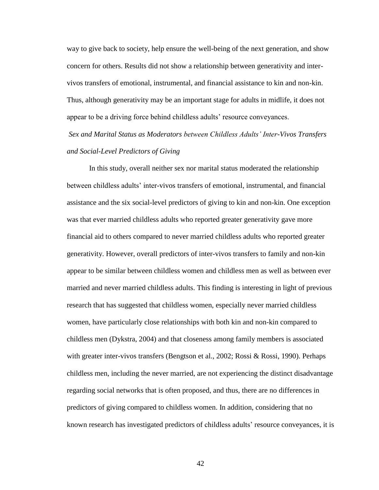way to give back to society, help ensure the well-being of the next generation, and show concern for others. Results did not show a relationship between generativity and intervivos transfers of emotional, instrumental, and financial assistance to kin and non-kin. Thus, although generativity may be an important stage for adults in midlife, it does not appear to be a driving force behind childless adults' resource conveyances.

*Sex and Marital Status as Moderators between Childless Adults' Inter-Vivos Transfers and Social-Level Predictors of Giving*

In this study, overall neither sex nor marital status moderated the relationship between childless adults' inter-vivos transfers of emotional, instrumental, and financial assistance and the six social-level predictors of giving to kin and non-kin. One exception was that ever married childless adults who reported greater generativity gave more financial aid to others compared to never married childless adults who reported greater generativity. However, overall predictors of inter-vivos transfers to family and non-kin appear to be similar between childless women and childless men as well as between ever married and never married childless adults. This finding is interesting in light of previous research that has suggested that childless women, especially never married childless women, have particularly close relationships with both kin and non-kin compared to childless men (Dykstra, 2004) and that closeness among family members is associated with greater inter-vivos transfers (Bengtson et al., 2002; Rossi & Rossi, 1990). Perhaps childless men, including the never married, are not experiencing the distinct disadvantage regarding social networks that is often proposed, and thus, there are no differences in predictors of giving compared to childless women. In addition, considering that no known research has investigated predictors of childless adults' resource conveyances, it is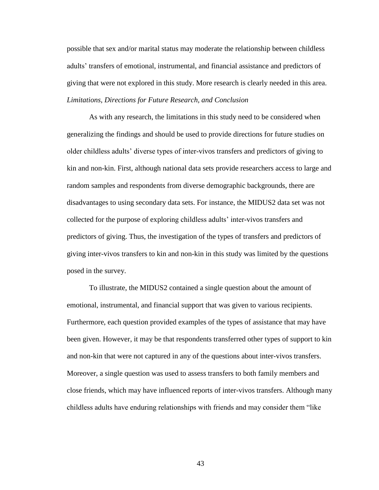possible that sex and/or marital status may moderate the relationship between childless adults' transfers of emotional, instrumental, and financial assistance and predictors of giving that were not explored in this study. More research is clearly needed in this area. *Limitations, Directions for Future Research, and Conclusion*

As with any research, the limitations in this study need to be considered when generalizing the findings and should be used to provide directions for future studies on older childless adults' diverse types of inter-vivos transfers and predictors of giving to kin and non-kin. First, although national data sets provide researchers access to large and random samples and respondents from diverse demographic backgrounds, there are disadvantages to using secondary data sets. For instance, the MIDUS2 data set was not collected for the purpose of exploring childless adults' inter-vivos transfers and predictors of giving. Thus, the investigation of the types of transfers and predictors of giving inter-vivos transfers to kin and non-kin in this study was limited by the questions posed in the survey.

To illustrate, the MIDUS2 contained a single question about the amount of emotional, instrumental, and financial support that was given to various recipients. Furthermore, each question provided examples of the types of assistance that may have been given. However, it may be that respondents transferred other types of support to kin and non-kin that were not captured in any of the questions about inter-vivos transfers. Moreover, a single question was used to assess transfers to both family members and close friends, which may have influenced reports of inter-vivos transfers. Although many childless adults have enduring relationships with friends and may consider them "like"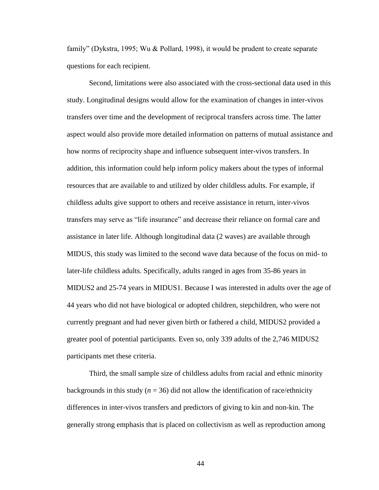family" (Dykstra, 1995; Wu & Pollard, 1998), it would be prudent to create separate questions for each recipient.

Second, limitations were also associated with the cross-sectional data used in this study. Longitudinal designs would allow for the examination of changes in inter-vivos transfers over time and the development of reciprocal transfers across time. The latter aspect would also provide more detailed information on patterns of mutual assistance and how norms of reciprocity shape and influence subsequent inter-vivos transfers. In addition, this information could help inform policy makers about the types of informal resources that are available to and utilized by older childless adults. For example, if childless adults give support to others and receive assistance in return, inter-vivos transfers may serve as "life insurance" and decrease their reliance on formal care and assistance in later life. Although longitudinal data (2 waves) are available through MIDUS, this study was limited to the second wave data because of the focus on mid- to later-life childless adults. Specifically, adults ranged in ages from 35-86 years in MIDUS2 and 25-74 years in MIDUS1. Because I was interested in adults over the age of 44 years who did not have biological or adopted children, stepchildren, who were not currently pregnant and had never given birth or fathered a child, MIDUS2 provided a greater pool of potential participants. Even so, only 339 adults of the 2,746 MIDUS2 participants met these criteria.

Third, the small sample size of childless adults from racial and ethnic minority backgrounds in this study ( $n = 36$ ) did not allow the identification of race/ethnicity differences in inter-vivos transfers and predictors of giving to kin and non-kin. The generally strong emphasis that is placed on collectivism as well as reproduction among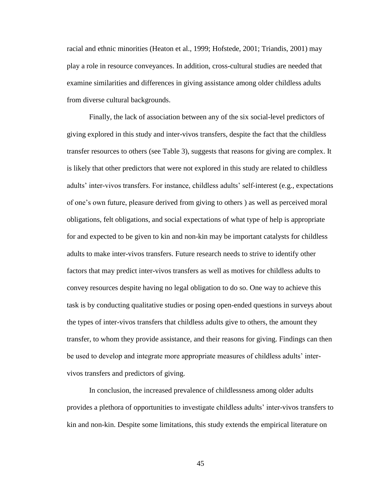racial and ethnic minorities (Heaton et al., 1999; Hofstede, 2001; Triandis, 2001) may play a role in resource conveyances. In addition, cross-cultural studies are needed that examine similarities and differences in giving assistance among older childless adults from diverse cultural backgrounds.

Finally, the lack of association between any of the six social-level predictors of giving explored in this study and inter-vivos transfers, despite the fact that the childless transfer resources to others (see Table 3), suggests that reasons for giving are complex. It is likely that other predictors that were not explored in this study are related to childless adults' inter-vivos transfers. For instance, childless adults' self-interest (e.g., expectations of one's own future, pleasure derived from giving to others ) as well as perceived moral obligations, felt obligations, and social expectations of what type of help is appropriate for and expected to be given to kin and non-kin may be important catalysts for childless adults to make inter-vivos transfers. Future research needs to strive to identify other factors that may predict inter-vivos transfers as well as motives for childless adults to convey resources despite having no legal obligation to do so. One way to achieve this task is by conducting qualitative studies or posing open-ended questions in surveys about the types of inter-vivos transfers that childless adults give to others, the amount they transfer, to whom they provide assistance, and their reasons for giving. Findings can then be used to develop and integrate more appropriate measures of childless adults' intervivos transfers and predictors of giving.

In conclusion, the increased prevalence of childlessness among older adults provides a plethora of opportunities to investigate childless adults' inter-vivos transfers to kin and non-kin. Despite some limitations, this study extends the empirical literature on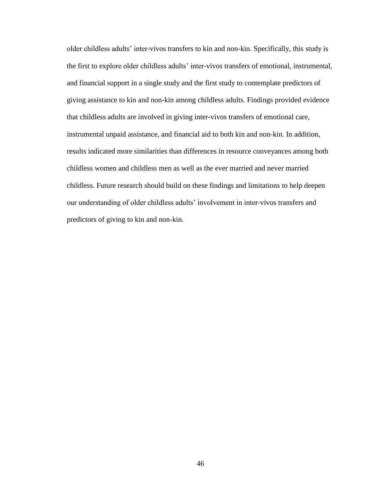older childless adults' inter-vivos transfers to kin and non-kin. Specifically, this study is the first to explore older childless adults' inter-vivos transfers of emotional, instrumental, and financial support in a single study and the first study to contemplate predictors of giving assistance to kin and non-kin among childless adults. Findings provided evidence that childless adults are involved in giving inter-vivos transfers of emotional care, instrumental unpaid assistance, and financial aid to both kin and non-kin. In addition, results indicated more similarities than differences in resource conveyances among both childless women and childless men as well as the ever married and never married childless. Future research should build on these findings and limitations to help deepen our understanding of older childless adults' involvement in inter-vivos transfers and predictors of giving to kin and non-kin.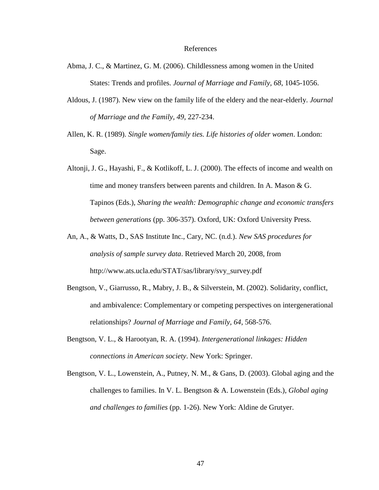#### References

- Abma, J. C., & Martinez, G. M. (2006). Childlessness among women in the United States: Trends and profiles. *Journal of Marriage and Family, 68*, 1045-1056.
- Aldous, J. (1987). New view on the family life of the eldery and the near-elderly. *Journal of Marriage and the Family, 49*, 227-234.
- Allen, K. R. (1989). *Single women/family ties. Life histories of older women*. London: Sage.
- Altonji, J. G., Hayashi, F., & Kotlikoff, L. J. (2000). The effects of income and wealth on time and money transfers between parents and children. In A. Mason & G. Tapinos (Eds.), *Sharing the wealth: Demographic change and economic transfers between generations* (pp. 306-357). Oxford, UK: Oxford University Press.
- An, A., & Watts, D., SAS Institute Inc., Cary, NC. (n.d.). *New SAS procedures for analysis of sample survey data*. Retrieved March 20, 2008, from [http://www.ats.ucla.edu/STAT/sas/library/svy\\_survey.pdf](http://www.ats.ucla.edu/STAT/sas/library/svy_survey.pdf)
- Bengtson, V., Giarrusso, R., Mabry, J. B., & Silverstein, M. (2002). Solidarity, conflict, and ambivalence: Complementary or competing perspectives on intergenerational relationships? *Journal of Marriage and Family, 64*, 568-576.
- Bengtson, V. L., & Harootyan, R. A. (1994). *Intergenerational linkages: Hidden connections in American society*. New York: Springer.
- Bengtson, V. L., Lowenstein, A., Putney, N. M., & Gans, D. (2003). Global aging and the challenges to families. In V. L. Bengtson & A. Lowenstein (Eds.), *Global aging and challenges to families* (pp. 1-26). New York: Aldine de Grutyer.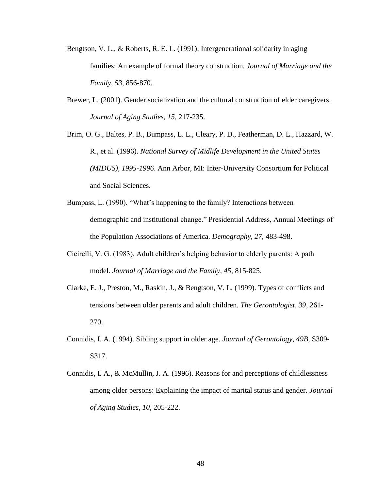- Bengtson, V. L., & Roberts, R. E. L. (1991). Intergenerational solidarity in aging families: An example of formal theory construction. *Journal of Marriage and the Family, 53,* 856-870.
- Brewer, L. (2001). Gender socialization and the cultural construction of elder caregivers. *Journal of Aging Studies, 15*, 217-235.
- Brim, O. G., Baltes, P. B., Bumpass, L. L., Cleary, P. D., Featherman, D. L., Hazzard, W. R., et al. (1996). *National Survey of Midlife Development in the United States (MIDUS), 1995-1996*. Ann Arbor, MI: Inter-University Consortium for Political and Social Sciences.
- Bumpass, L. (1990). "What's happening to the family? Interactions between demographic and institutional change." Presidential Address, Annual Meetings of the Population Associations of America. *Demography, 27*, 483-498.
- Cicirelli, V. G. (1983). Adult children's helping behavior to elderly parents: A path model. *Journal of Marriage and the Family, 45*, 815-825.
- Clarke, E. J., Preston, M., Raskin, J., & Bengtson, V. L. (1999). Types of conflicts and tensions between older parents and adult children. *The Gerontologist, 39*, 261- 270.
- Connidis, I. A. (1994). Sibling support in older age. *Journal of Gerontology, 49B*, S309- S317.
- Connidis, I. A., & McMullin, J. A. (1996). Reasons for and perceptions of childlessness among older persons: Explaining the impact of marital status and gender. *Journal of Aging Studies, 10*, 205-222.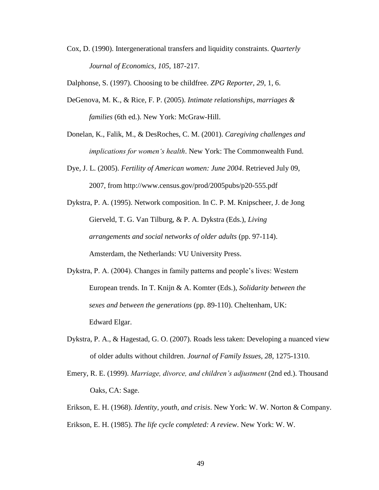Cox, D. (1990). Intergenerational transfers and liquidity constraints. *Quarterly Journal of Economics, 105,* 187-217.

Dalphonse, S. (1997). Choosing to be childfree. *ZPG Reporter, 29*, 1, 6.

- DeGenova, M. K., & Rice, F. P. (2005). *Intimate relationships, marriages & families* (6th ed.). New York: McGraw-Hill.
- Donelan, K., Falik, M., & DesRoches, C. M. (2001). *Caregiving challenges and implications for women's health*. New York: The Commonwealth Fund.
- Dye, J. L. (2005). *Fertility of American women: June 2004*. Retrieved July 09, 2007, from http://www.census.gov/prod/2005pubs/p20-555.pdf
- Dykstra, P. A. (1995). Network composition. In C. P. M. Knipscheer, J. de Jong Gierveld, T. G. Van Tilburg, & P. A. Dykstra (Eds.), *Living arrangements and social networks of older adults* (pp. 97-114). Amsterdam, the Netherlands: VU University Press.
- Dykstra, P. A. (2004). Changes in family patterns and people's lives: Western European trends. In T. Knijn & A. Komter (Eds.), *Solidarity between the sexes and between the generations* (pp. 89-110). Cheltenham, UK: Edward Elgar.
- Dykstra, P. A., & Hagestad, G. O. (2007). Roads less taken: Developing a nuanced view of older adults without children. *Journal of Family Issues, 28*, 1275-1310.
- Emery, R. E. (1999). *Marriage, divorce, and children's adjustment* (2nd ed.). Thousand Oaks, CA: Sage.
- Erikson, E. H. (1968). *Identity, youth, and crisis*. New York: W. W. Norton & Company. Erikson, E. H. (1985). *The life cycle completed: A review*. New York: W. W.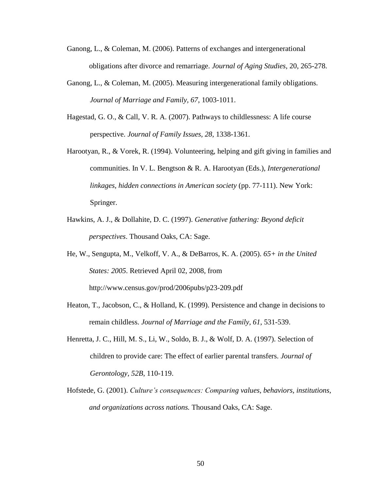- Ganong, L., & Coleman, M. (2006). Patterns of exchanges and intergenerational obligations after divorce and remarriage. *Journal of Aging Studies*, 20, 265-278.
- Ganong, L., & Coleman, M. (2005). Measuring intergenerational family obligations. *Journal of Marriage and Family, 67*, 1003-1011.
- Hagestad, G. O., & Call, V. R. A. (2007). Pathways to childlessness: A life course perspective. *Journal of Family Issues, 28*, 1338-1361.
- Harootyan, R., & Vorek, R. (1994). Volunteering, helping and gift giving in families and communities. In V. L. Bengtson & R. A. Harootyan (Eds.), *Intergenerational linkages, hidden connections in American society* (pp. 77-111). New York: Springer.
- Hawkins, A. J., & Dollahite, D. C. (1997). *Generative fathering: Beyond deficit perspectives*. Thousand Oaks, CA: Sage.
- He, W., Sengupta, M., Velkoff, V. A., & DeBarros, K. A. (2005). *65+ in the United States: 2005*. Retrieved April 02, 2008, from http://www.census.gov/prod/2006pubs/p23-209.pdf
- Heaton, T., Jacobson, C., & Holland, K. (1999). Persistence and change in decisions to remain childless. *Journal of Marriage and the Family, 61*, 531-539.
- Henretta, J. C., Hill, M. S., Li, W., Soldo, B. J., & Wolf, D. A. (1997). Selection of children to provide care: The effect of earlier parental transfers. *Journal of Gerontology, 52B*, 110-119.
- Hofstede, G. (2001). *Culture's consequences: Comparing values, behaviors, institutions, and organizations across nations.* Thousand Oaks, CA: Sage.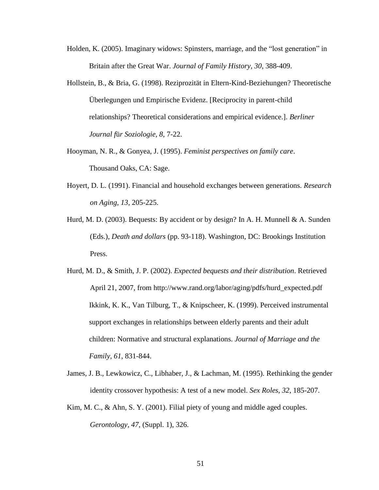- Holden, K. (2005). Imaginary widows: Spinsters, marriage, and the "lost generation" in Britain after the Great War. *Journal of Family History, 30*, 388-409.
- Hollstein, B., & Bria, G. (1998). Reziprozität in Eltern-Kind-Beziehungen? Theoretische Überlegungen und Empirische Evidenz. [Reciprocity in parent-child relationships? Theoretical considerations and empirical evidence.]. *Berliner Journal f*ü*r Soziologie, 8*, 7-22.
- Hooyman, N. R., & Gonyea, J. (1995). *Feminist perspectives on family care*. Thousand Oaks, CA: Sage.
- Hoyert, D. L. (1991). Financial and household exchanges between generations. *Research on Aging, 13*, 205-225.
- Hurd, M. D. (2003). Bequests: By accident or by design? In A. H. Munnell & A. Sunden (Eds.), *Death and dollars* (pp. 93-118). Washington, DC: Brookings Institution Press.
- Hurd, M. D., & Smith, J. P. (2002). *Expected bequests and their distribution*. Retrieved April 21, 2007, from http://www.rand.org/labor/aging/pdfs/hurd\_expected.pdf Ikkink, K. K., Van Tilburg, T., & Knipscheer, K. (1999). Perceived instrumental support exchanges in relationships between elderly parents and their adult children: Normative and structural explanations. *Journal of Marriage and the Family, 61*, 831-844.
- James, J. B., Lewkowicz, C., Libhaber, J., & Lachman, M. (1995). Rethinking the gender identity crossover hypothesis: A test of a new model. *Sex Roles, 32*, 185-207.
- Kim, M. C., & Ahn, S. Y. (2001). Filial piety of young and middle aged couples. *Gerontology, 47*, (Suppl. 1), 326.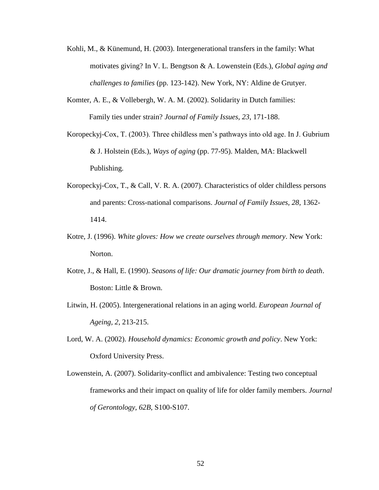- Kohli, M., & Künemund, H. (2003). Intergenerational transfers in the family: What motivates giving? In V. L. Bengtson & A. Lowenstein (Eds.), *Global aging and challenges to families* (pp. 123-142). New York, NY: Aldine de Grutyer.
- Komter, A. E., & Vollebergh, W. A. M. (2002). Solidarity in Dutch families: Family ties under strain? *Journal of Family Issues, 23*, 171-188.
- Koropeckyj-Cox, T. (2003). Three childless men's pathways into old age. In J. Gubrium & J. Holstein (Eds.), *Ways of aging* (pp. 77-95). Malden, MA: Blackwell Publishing.
- Koropeckyj-Cox, T., & Call, V. R. A. (2007). Characteristics of older childless persons and parents: Cross-national comparisons. *Journal of Family Issues, 28*, 1362- 1414.
- Kotre, J. (1996). *White gloves: How we create ourselves through memory*. New York: Norton.
- Kotre, J., & Hall, E. (1990). *Seasons of life: Our dramatic journey from birth to death*. Boston: Little & Brown.
- Litwin, H. (2005). Intergenerational relations in an aging world. *European Journal of Ageing, 2*, 213-215.
- Lord, W. A. (2002). *Household dynamics: Economic growth and policy*. New York: Oxford University Press.
- Lowenstein, A. (2007). Solidarity-conflict and ambivalence: Testing two conceptual frameworks and their impact on quality of life for older family members. *Journal of Gerontology, 62B*, S100-S107.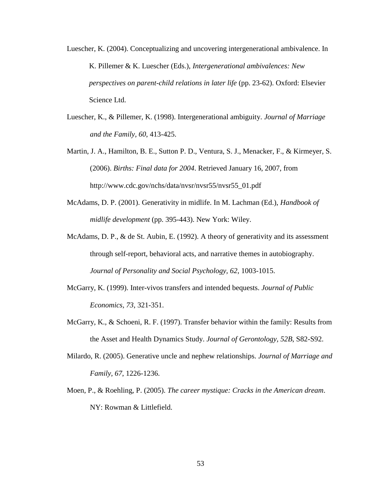- Luescher, K. (2004). Conceptualizing and uncovering intergenerational ambivalence. In K. Pillemer & K. Luescher (Eds.), *Intergenerational ambivalences: New perspectives on parent-child relations in later life* (pp. 23-62). Oxford: Elsevier Science Ltd.
- Luescher, K., & Pillemer, K. (1998). Intergenerational ambiguity. *Journal of Marriage and the Family, 60*, 413-425.
- Martin, J. A., Hamilton, B. E., Sutton P. D., Ventura, S. J., Menacker, F., & Kirmeyer, S. (2006). *Births: Final data for 2004*. Retrieved January 16, 2007, from http://www.cdc.gov/nchs/data/nvsr/nvsr55/nvsr55\_01.pdf
- McAdams, D. P. (2001). Generativity in midlife. In M. Lachman (Ed.), *Handbook of midlife development* (pp. 395-443). New York: Wiley.
- McAdams, D. P., & de St. Aubin, E. (1992). A theory of generativity and its assessment through self-report, behavioral acts, and narrative themes in autobiography. *Journal of Personality and Social Psychology, 62*, 1003-1015.
- McGarry, K. (1999). Inter-vivos transfers and intended bequests. *Journal of Public Economics, 73*, 321-351.
- McGarry, K., & Schoeni, R. F. (1997). Transfer behavior within the family: Results from the Asset and Health Dynamics Study. *Journal of Gerontology, 52B*, S82-S92.
- Milardo, R. (2005). Generative uncle and nephew relationships. *Journal of Marriage and Family, 67*, 1226-1236.
- Moen, P., & Roehling, P. (2005). *The career mystique: Cracks in the American dream*. NY: Rowman & Littlefield.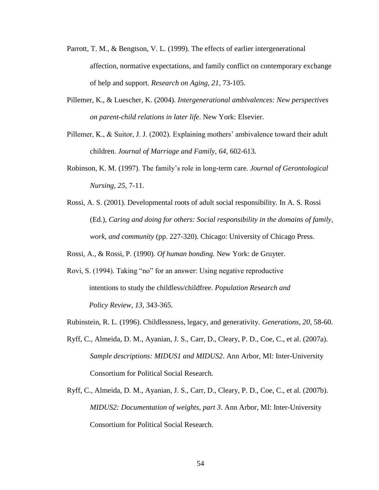- Parrott, T. M., & Bengtson, V. L. (1999). The effects of earlier intergenerational affection, normative expectations, and family conflict on contemporary exchange of help and support. *Research on Aging, 21*, 73-105.
- Pillemer, K., & Luescher, K. (2004). *Intergenerational ambivalences: New perspectives on parent-child relations in later life*. New York: Elsevier.
- Pillemer, K., & Suitor, J. J. (2002). Explaining mothers' ambivalence toward their adult children. *Journal of Marriage and Family, 64*, 602-613.
- Robinson, K. M. (1997). The family's role in long-term care. *Journal of Gerontological Nursing, 25*, 7-11.
- Rossi, A. S. (2001). Developmental roots of adult social responsibility. In A. S. Rossi (Ed.), *Caring and doing for others: Social responsibility in the domains of family, work, and community* (pp. 227-320). Chicago: University of Chicago Press.

Rossi, A., & Rossi, P. (1990). *Of human bonding*. New York: de Gruyter.

- Rovi, S. (1994). Taking "no" for an answer: Using negative reproductive intentions to study the childless/childfree. *Population Research and Policy Review, 13*, 343-365.
- Rubinstein, R. L. (1996). Childlessness, legacy, and generativity. *Generations, 20*, 58-60.
- Ryff, C., Almeida, D. M., Ayanian, J. S., Carr, D., Cleary, P. D., Coe, C., et al. (2007a). *Sample descriptions: MIDUS1 and MIDUS2*. Ann Arbor, MI: Inter-University Consortium for Political Social Research.
- Ryff, C., Almeida, D. M., Ayanian, J. S., Carr, D., Cleary, P. D., Coe, C., et al. (2007b). *MIDUS2: Documentation of weights, part 3*. Ann Arbor, MI: Inter-University Consortium for Political Social Research.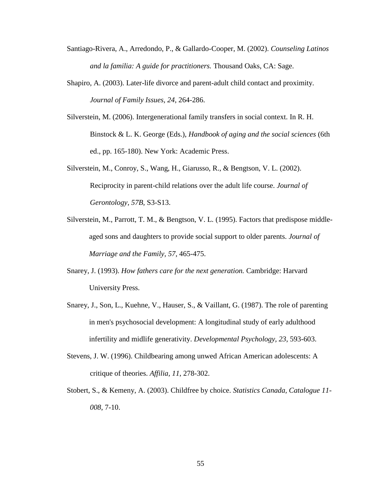- Santiago-Rivera, A., Arredondo, P., & Gallardo-Cooper, M. (2002). *Counseling Latinos and la familia: A guide for practitioners.* Thousand Oaks, CA: Sage.
- Shapiro, A. (2003). Later-life divorce [and parent-adult child contact and proximity.](http://proxy.mul.missouri.edu:7495/citation.asp?tb=1&_ug=sid+27920AD0%2D7A30%2D47B1%2DB800%2DEB4732A804F8%40sessionmgr3+dbs+aph+EE8C&_us=hd+False+hs+True+cst+0%3B1%3B2+or+Date+fh+False+ss+SO+sm+ES+sl+0+ri+KAAACBAD00083249+dstb+ES+mh+1+frn+11+0EB8&_uso=hd+False+tg%5B2+%2D+tg%5B1+%2D+tg%5B0+%2D+st%5B2+%2Ddivorce+st%5B1+%2Dfather+st%5B0+%2Dcontact+db%5B0+%2Daph+op%5B2+%2DAnd+op%5B1+%2DAnd+op%5B0+%2D+mdb%5B0+%2Dimh+3DE6&fn=11&rn=13) *Journal of Family Issues, 24*, 264-286.
- Silverstein, M. (2006). Intergenerational family transfers in social context. In R. H. Binstock & L. K. George (Eds.), *Handbook of aging and the social sciences* (6th ed., pp. 165-180). New York: Academic Press.
- Silverstein, M., Conroy, S., Wang, H., Giarusso, R., & Bengtson, V. L. (2002). Reciprocity in parent-child relations over the adult life course. *Journal of Gerontology, 57B,* S3-S13.
- Silverstein, M., Parrott, T. M., & Bengtson, V. L. (1995). Factors that predispose middleaged sons and daughters to provide social support to older parents. *Journal of Marriage and the Family, 57*, 465-475.
- Snarey, J. (1993). *How fathers care for the next generation.* Cambridge: Harvard University Press.
- Snarey, J., Son, L., Kuehne, V., Hauser, S., & Vaillant, G. (1987). The role of parenting in men's psychosocial development: A longitudinal study of early adulthood infertility and midlife generativity. *Developmental Psychology, 23*, 593-603.
- Stevens, J. W. (1996). Childbearing among unwed African American adolescents: A critique of theories. *Affilia, 11*, 278-302.
- Stobert, S., & Kemeny, A. (2003). Childfree by choice. *Statistics Canada, Catalogue 11- 008*, 7-10.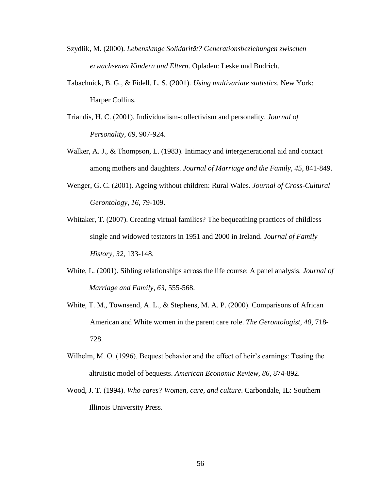- Szydlik, M. (2000). *Lebenslange Solidarität? Generationsbeziehungen zwischen erwachsenen Kindern und Eltern*. Opladen: Leske und Budrich.
- Tabachnick, B. G., & Fidell, L. S. (2001). *Using multivariate statistics*. New York: Harper Collins.
- Triandis, H. C. (2001). [Individualism-collectivism and personality.](http://proxy.mul.missouri.edu:2078/citation.asp?tb=1&_ug=sid+730FADB2%2D4C57%2D407E%2D88D9%2D5CD18B3C4DD0%40sessionmgr6+dbs+aph+cp+1+B9BA&_us=frn+1+hd+False+hs+True+cst+0%3B1+or+Date+fh+False+ss+SO+sm+ES+sl+0+dstb+ES+mh+1+ri+KAAACBTC00051700+E939&_uso=tg%5B2+%2D+tg%5B1+%2D+tg%5B0+%2DAU+db%5B0+%2Daph+hd+False+clv%5B0+%2DY+op%5B2+%2DAnd+op%5B1+%2DAnd+op%5B0+%2D+cli%5B0+%2DRV+st%5B2+%2D+st%5B1+%2D+st%5B0+%2DTriandis+mdb%5B0+%2Dimh+E174&fn=1&rn=3) *Journal of Personality, 69*, 907-924.
- Walker, A. J., & Thompson, L. (1983). Intimacy and intergenerational aid and contact among mothers and daughters. *Journal of Marriage and the Family, 45*, 841-849.
- Wenger, G. C. (2001). Ageing without children: Rural Wales. *Journal of Cross-Cultural Gerontology, 16*, 79-109.
- Whitaker, T. (2007). Creating virtual families? The bequeathing practices of childless single and widowed testators in 1951 and 2000 in Ireland. *Journal of Family History, 32,* 133-148.
- White, L. (2001). Sibling relationships across the life course: A panel analysis. *Journal of Marriage and Family, 63,* 555-568.
- White, T. M., Townsend, A. L., & Stephens, M. A. P. (2000). Comparisons of African American and White women in the parent care role. *The Gerontologist, 40*, 718- 728.
- Wilhelm, M. O. (1996). Bequest behavior and the effect of heir's earnings: Testing the altruistic model of bequests. *American Economic Review, 86*, 874-892.
- Wood, J. T. (1994). *Who cares? Women, care, and culture*. Carbondale, IL: Southern Illinois University Press.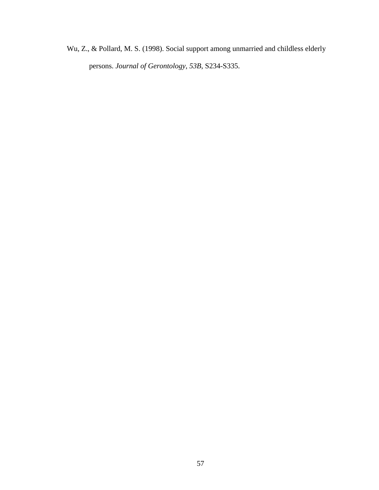Wu, Z., & Pollard, M. S. (1998). Social support among unmarried and childless elderly persons. *Journal of Gerontology, 53B*, S234-S335.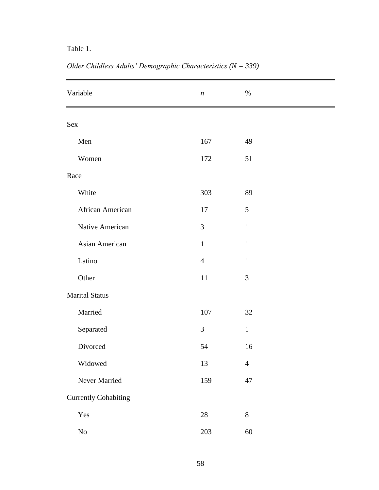## Table 1.

| Variable                    | $\boldsymbol{n}$ | $\%$           |  |  |  |
|-----------------------------|------------------|----------------|--|--|--|
| Sex                         |                  |                |  |  |  |
| Men                         | 167              | 49             |  |  |  |
| Women                       | 172              | 51             |  |  |  |
| Race                        |                  |                |  |  |  |
| White                       | 303              | 89             |  |  |  |
| African American            | 17               | 5              |  |  |  |
| Native American             | $\mathfrak{Z}$   | $\mathbf{1}$   |  |  |  |
| Asian American              | $\mathbf{1}$     | $\mathbf{1}$   |  |  |  |
| Latino                      | $\overline{4}$   | $\mathbf{1}$   |  |  |  |
| Other                       | 11               | $\mathfrak{Z}$ |  |  |  |
| <b>Marital Status</b>       |                  |                |  |  |  |
| Married                     | $107\,$          | $32\,$         |  |  |  |
| Separated                   | 3                | $\mathbf{1}$   |  |  |  |
| Divorced                    | 54               | 16             |  |  |  |
| Widowed                     | 13               | $\overline{4}$ |  |  |  |
| Never Married               | 159              | 47             |  |  |  |
| <b>Currently Cohabiting</b> |                  |                |  |  |  |
| Yes                         | $28\,$           | $8\,$          |  |  |  |
| $\rm No$                    | 203              | $60\,$         |  |  |  |

*Older Childless Adults' Demographic Characteristics (N = 339)*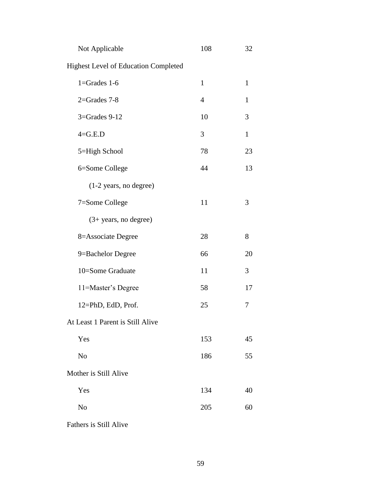| Not Applicable                              | 108          | 32           |
|---------------------------------------------|--------------|--------------|
| <b>Highest Level of Education Completed</b> |              |              |
| $1 =$ Grades $1 - 6$                        | $\mathbf{1}$ | $\mathbf{1}$ |
| $2 =$ Grades 7-8                            | 4            | $\mathbf{1}$ |
| 3=Grades 9-12                               | 10           | 3            |
| $4 = G.E.D$                                 | 3            | $\mathbf{1}$ |
| 5=High School                               | 78           | 23           |
| 6=Some College                              | 44           | 13           |
| (1-2 years, no degree)                      |              |              |
| 7=Some College                              | 11           | 3            |
| $(3+ years, no degree)$                     |              |              |
| 8=Associate Degree                          | 28           | 8            |
| 9=Bachelor Degree                           | 66           | 20           |
| 10=Some Graduate                            | 11           | 3            |
| 11=Master's Degree                          | 58           | 17           |
| 12=PhD, EdD, Prof.                          | 25           | 7            |
| At Least 1 Parent is Still Alive            |              |              |
| Yes                                         | 153          | 45           |
| No                                          | 186          | 55           |
| Mother is Still Alive                       |              |              |
| Yes                                         | 134          | 40           |
| No                                          | 205          | 60           |
|                                             |              |              |

Fathers is Still Alive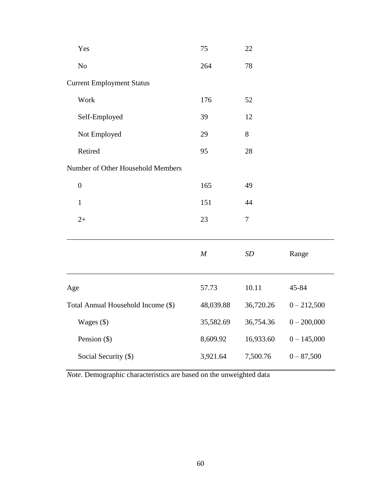| Yes                                | 75               | 22             |               |
|------------------------------------|------------------|----------------|---------------|
| No                                 | 264              | 78             |               |
| <b>Current Employment Status</b>   |                  |                |               |
| Work                               | 176              | 52             |               |
| Self-Employed                      | 39               | 12             |               |
| Not Employed                       | 29               | 8              |               |
| Retired                            | 95               | 28             |               |
| Number of Other Household Members  |                  |                |               |
| $\boldsymbol{0}$                   | 165              | 49             |               |
| $\mathbf{1}$                       | 151              | 44             |               |
| $2+$                               | 23               | $\overline{7}$ |               |
|                                    | $\boldsymbol{M}$ | SD             | Range         |
| Age                                | 57.73            | 10.11          | 45-84         |
| Total Annual Household Income (\$) | 48,039.88        | 36,720.26      | $0 - 212,500$ |
| Wages (\$)                         | 35,582.69        | 36,754.36      | $0 - 200,000$ |
| Pension (\$)                       | 8,609.92         | 16,933.60      | $0 - 145,000$ |
| Social Security (\$)               | 3,921.64         | 7,500.76       | $0 - 87,500$  |

*Note*. Demographic characteristics are based on the unweighted data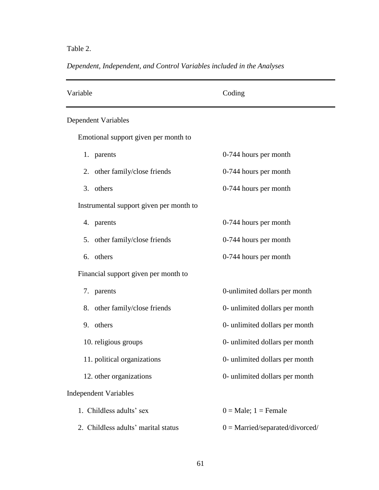## Table 2.

|  | Dependent, Independent, and Control Variables included in the Analyses |  |  |  |  |  |
|--|------------------------------------------------------------------------|--|--|--|--|--|
|--|------------------------------------------------------------------------|--|--|--|--|--|

| Variable                                | Coding                            |
|-----------------------------------------|-----------------------------------|
| Dependent Variables                     |                                   |
| Emotional support given per month to    |                                   |
| 1. parents                              | 0-744 hours per month             |
| 2. other family/close friends           | 0-744 hours per month             |
| 3. others                               | 0-744 hours per month             |
| Instrumental support given per month to |                                   |
| 4. parents                              | 0-744 hours per month             |
| 5. other family/close friends           | 0-744 hours per month             |
| 6. others                               | 0-744 hours per month             |
| Financial support given per month to    |                                   |
| 7. parents                              | 0-unlimited dollars per month     |
| 8. other family/close friends           | 0- unlimited dollars per month    |
| 9. others                               | 0- unlimited dollars per month    |
| 10. religious groups                    | 0- unlimited dollars per month    |
| 11. political organizations             | 0- unlimited dollars per month    |
| 12. other organizations                 | 0- unlimited dollars per month    |
| <b>Independent Variables</b>            |                                   |
| 1. Childless adults' sex                | $0 = Male$ ; $1 = Female$         |
| 2. Childless adults' marital status     | $0 =$ Married/separated/divorced/ |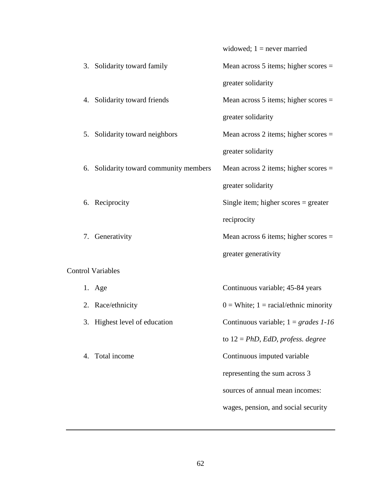|                                        | widowed; $1 =$ never married              |
|----------------------------------------|-------------------------------------------|
| 3. Solidarity toward family            | Mean across $5$ items; higher scores $=$  |
|                                        | greater solidarity                        |
| 4. Solidarity toward friends           | Mean across $5$ items; higher scores $=$  |
|                                        | greater solidarity                        |
| 5. Solidarity toward neighbors         | Mean across 2 items; higher scores $=$    |
|                                        | greater solidarity                        |
| 6. Solidarity toward community members | Mean across 2 items; higher scores $=$    |
|                                        | greater solidarity                        |
| 6. Reciprocity                         | Single item; higher scores $=$ greater    |
|                                        | reciprocity                               |
| 7. Generativity                        | Mean across 6 items; higher scores $=$    |
|                                        | greater generativity                      |
| <b>Control Variables</b>               |                                           |
| 1. Age                                 | Continuous variable; 45-84 years          |
| 2. Race/ethnicity                      | $0 =$ White; 1 = racial/ethnic minority   |
| 3. Highest level of education          | Continuous variable; $1 = grades \, 1-16$ |
|                                        | to $12 = PhD$ , EdD, profess. degree      |
| 4. Total income                        | Continuous imputed variable               |
|                                        | representing the sum across 3             |
|                                        | sources of annual mean incomes:           |
|                                        | wages, pension, and social security       |
|                                        |                                           |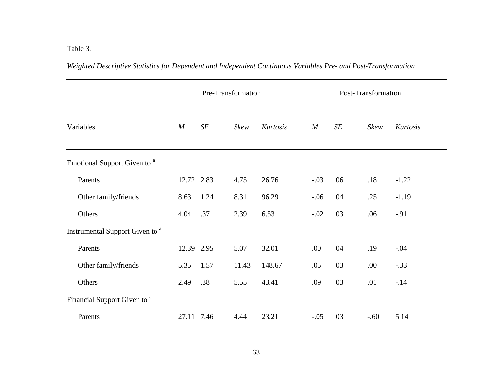# Table 3.

*Weighted Descriptive Statistics for Dependent and Independent Continuous Variables Pre- and Post-Transformation*

|                                            | Pre-Transformation |      |       |          | Post-Transformation |     |        |          |
|--------------------------------------------|--------------------|------|-------|----------|---------------------|-----|--------|----------|
| Variables                                  | $\overline{M}$     | SE   | Skew  | Kurtosis | $\boldsymbol{M}$    | SE  | Skew   | Kurtosis |
| Emotional Support Given to <sup>a</sup>    |                    |      |       |          |                     |     |        |          |
| Parents                                    | 12.72 2.83         |      | 4.75  | 26.76    | $-.03$              | .06 | .18    | $-1.22$  |
| Other family/friends                       | 8.63               | 1.24 | 8.31  | 96.29    | $-.06$              | .04 | .25    | $-1.19$  |
| Others                                     | 4.04               | .37  | 2.39  | 6.53     | $-.02$              | .03 | .06    | $-.91$   |
| Instrumental Support Given to <sup>a</sup> |                    |      |       |          |                     |     |        |          |
| Parents                                    | 12.39 2.95         |      | 5.07  | 32.01    | .00.                | .04 | .19    | $-.04$   |
| Other family/friends                       | 5.35               | 1.57 | 11.43 | 148.67   | .05                 | .03 | .00.   | $-.33$   |
| Others                                     | 2.49               | .38  | 5.55  | 43.41    | .09                 | .03 | .01    | $-.14$   |
| Financial Support Given to <sup>a</sup>    |                    |      |       |          |                     |     |        |          |
| Parents                                    | 27.11 7.46         |      | 4.44  | 23.21    | $-.05$              | .03 | $-.60$ | 5.14     |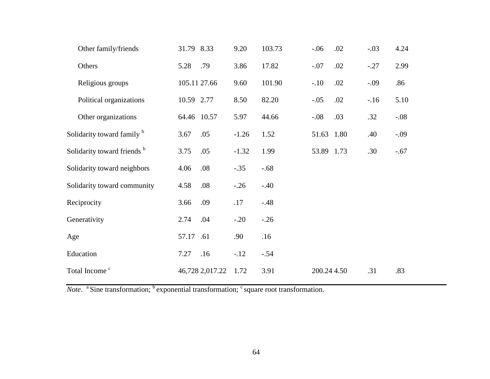| Other family/friends                  | 31.79 8.33 |                 | 9.20    | 103.73 | $-.06$      | .02 | $-.03$ | 4.24   |
|---------------------------------------|------------|-----------------|---------|--------|-------------|-----|--------|--------|
| Others                                | 5.28       | .79             | 3.86    | 17.82  | $-.07$      | .02 | $-.27$ | 2.99   |
| Religious groups                      |            | 105.11 27.66    | 9.60    | 101.90 | $-.10$      | .02 | $-.09$ | .86    |
| Political organizations               | 10.59 2.77 |                 | 8.50    | 82.20  | $-.05$      | .02 | $-16$  | 5.10   |
| Other organizations                   |            | 64.46 10.57     | 5.97    | 44.66  | $-.08$      | .03 | .32    | $-.08$ |
| Solidarity toward family <sup>b</sup> | 3.67       | .05             | $-1.26$ | 1.52   | 51.63 1.80  |     | .40    | $-.09$ |
| Solidarity toward friends b           | 3.75       | .05             | $-1.32$ | 1.99   | 53.89 1.73  |     | .30    | $-.67$ |
| Solidarity toward neighbors           | 4.06       | .08             | $-.35$  | $-.68$ |             |     |        |        |
| Solidarity toward community           | 4.58       | .08             | $-.26$  | $-.40$ |             |     |        |        |
| Reciprocity                           | 3.66       | .09             | .17     | $-.48$ |             |     |        |        |
| Generativity                          | 2.74       | .04             | $-.20$  | $-.26$ |             |     |        |        |
| Age                                   | 57.17      | .61             | .90     | .16    |             |     |        |        |
| Education                             | 7.27       | .16             | $-.12$  | $-.54$ |             |     |        |        |
| Total Income <sup>c</sup>             |            | 46,728 2,017.22 | 1.72    | 3.91   | 200.24 4.50 |     | .31    | .83    |
|                                       |            |                 |         |        |             |     |        |        |

*Note*. <sup>a</sup> Sine transformation; <sup>b</sup> exponential transformation; <sup>c</sup> square root transformation.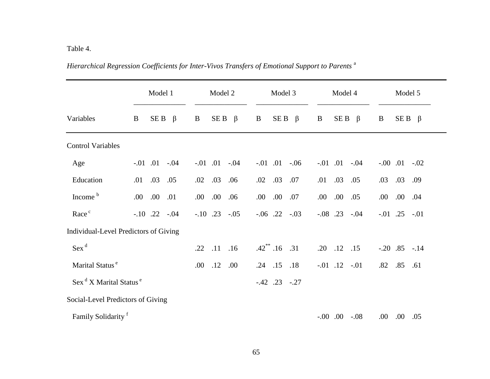## Table 4.

|                                                | Model 1             | Model 2                  | Model 3                 | Model 4                | Model 5              |
|------------------------------------------------|---------------------|--------------------------|-------------------------|------------------------|----------------------|
| Variables                                      | $SEB \beta$<br>B    | $SEB \beta$<br>B         | $SE B \beta$<br>B       | SE B<br>$\beta$<br>B   | B<br>$SE B \beta$    |
| <b>Control Variables</b>                       |                     |                          |                         |                        |                      |
| Age                                            | $-.01$ $.01$ $-.04$ | $-0.01$ $0.01$<br>$-.04$ | $-0.01$ $0.01$ $-0.06$  | $-0.01$ $0.01$ $-0.04$ | $-.00$ .01<br>$-.02$ |
| Education                                      | .05<br>.03<br>.01   | .03<br>.06<br>.02        | .07<br>.03<br>.02       | .05<br>.03<br>.01      | .03 .09<br>.03       |
| Income <sup>b</sup>                            | .00.<br>.01<br>.00  | .00.<br>.00.<br>.06      | .00.<br>.00.<br>.07     | .00.<br>.00.<br>.05    | .00.<br>.04<br>.00   |
| Race <sup>c</sup>                              | $-.10$ .22 $-.04$   | $-.10$ .23 $-.05$        | $-.06$ .22 $-.03$       | $-.08$ .23 $-.04$      | $-.01$ .25 $-.01$    |
| Individual-Level Predictors of Giving          |                     |                          |                         |                        |                      |
| $Sex^d$                                        |                     | .11<br>.16<br>.22        | $.42^{\ast\ast}.16$ .31 | .20<br>$.12$ $.15$     | $-.20$ $.85$ $-.14$  |
| Marital Status <sup>e</sup>                    |                     | .12<br>.00.<br>.00.      | $.24$ $.15$<br>.18      | $-.01$ $.12$ $-.01$    | $.85$ $.61$<br>.82   |
| Sex <sup>d</sup> X Marital Status <sup>e</sup> |                     |                          | $-.42$ $.23$ $-.27$     |                        |                      |
| Social-Level Predictors of Giving              |                     |                          |                         |                        |                      |
| Family Solidarity <sup>f</sup>                 |                     |                          |                         | $-0.00$ $0.00$ $-0.08$ | .00.<br>.00.<br>.05  |

*Hierarchical Regression Coefficients for Inter-Vivos Transfers of Emotional Support to Parents* <sup>a</sup>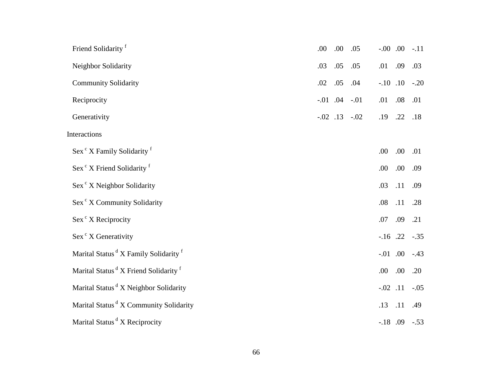| Friend Solidarity <sup>f</sup>                               | .00 | .00 | .05                    | $-0.00$ .00         |      | $-.11$ |
|--------------------------------------------------------------|-----|-----|------------------------|---------------------|------|--------|
| Neighbor Solidarity                                          | .03 | .05 | .05                    | .01                 | .09  | .03    |
| <b>Community Solidarity</b>                                  | .02 | .05 | .04                    | $-.10$ $.10$ $-.20$ |      |        |
| Reciprocity                                                  |     |     | $-0.01$ $0.04$ $-0.01$ | .01                 | .08  | .01    |
| Generativity                                                 |     |     | $-.02$ $.13$ $-.02$    | .19                 | .22  | .18    |
| Interactions                                                 |     |     |                        |                     |      |        |
| Sex <sup>c</sup> X Family Solidarity <sup>f</sup>            |     |     |                        | .00                 | .00. | .01    |
| Sex <sup>c</sup> X Friend Solidarity <sup>f</sup>            |     |     |                        | .00                 | .00. | .09    |
| Sex <sup>c</sup> X Neighbor Solidarity                       |     |     |                        | .03                 | .11  | .09    |
| Sex <sup>c</sup> X Community Solidarity                      |     |     |                        | .08                 | .11  | .28    |
| Sex <sup>c</sup> X Reciprocity                               |     |     |                        | .07                 | .09  | .21    |
| Sex <sup>c</sup> X Generativity                              |     |     |                        | $-.16$ .22          |      | $-.35$ |
| Marital Status <sup>d</sup> X Family Solidarity <sup>f</sup> |     |     |                        | $-.01$ .00          |      | $-.43$ |
| Marital Status <sup>d</sup> X Friend Solidarity <sup>f</sup> |     |     |                        | .00                 | .00. | .20    |
| Marital Status <sup>d</sup> X Neighbor Solidarity            |     |     |                        | $-.02$ .11          |      | $-.05$ |
| Marital Status <sup>d</sup> X Community Solidarity           |     |     |                        | .13                 | .11  | .49    |
| Marital Status <sup>d</sup> X Reciprocity                    |     |     |                        | $-.18$ $.09$ $-.53$ |      |        |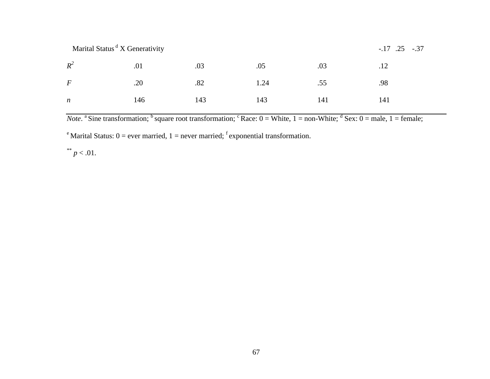| Marital Status <sup>d</sup> X Generativity |     |     |      |     | $-.17$ $.25$ $-.37$ |
|--------------------------------------------|-----|-----|------|-----|---------------------|
| $R^2$                                      | .01 | .03 | .05  | .03 | .12                 |
| $\bm{F}$                                   | .20 | .82 | 1.24 | .55 | .98                 |
| $\boldsymbol{n}$                           | 146 | 143 | 143  | 141 | 141                 |

*Note*. <sup>a</sup> Sine transformation; <sup>b</sup> square root transformation; <sup>c</sup> Race:  $0 =$  White,  $1 =$  non-White;  $\frac{d}{dx}$  Sex:  $0 =$  male,  $1 =$  female;

<sup>e</sup> Marital Status:  $0 =$  ever married,  $1 =$  never married; <sup>f</sup> exponential transformation.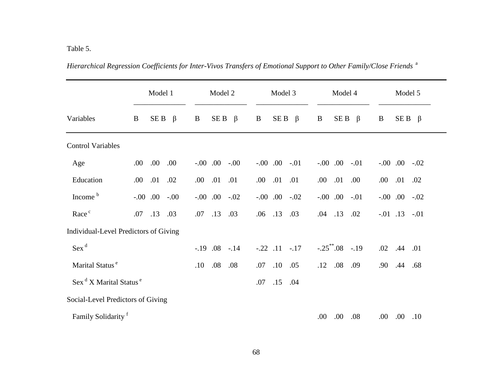|                                                | Model 1              | Model 2                 | Model 3                | Model 4                  | Model 5             |
|------------------------------------------------|----------------------|-------------------------|------------------------|--------------------------|---------------------|
| Variables                                      | SE B<br>B<br>$\beta$ | $SE B \beta$<br>B       | SE B<br>$\beta$<br>B   | SE B<br>$\beta$<br>B     | $SE B \beta$<br>B   |
| <b>Control Variables</b>                       |                      |                         |                        |                          |                     |
| Age                                            | .00.<br>.00.<br>.00  | $-0.00$ $-0.00$ $-0.00$ | $-0.00$ $0.00$ $-0.01$ | $-0.00$ .00<br>$-.01$    | $-.00$ $.00$ $-.02$ |
| Education                                      | .01<br>.02<br>.00.   | .01<br>.00.<br>.01      | $.01$ $.01$<br>.00.    | .01<br>.00.<br>.00.      | .00.<br>$.01$ $.02$ |
| Income <sup>b</sup>                            | $-0.00$ $-0.00$      | $-.00$ $.00$ $-.02$     | $-.00$ $.00$ $-.02$    | $-0.00$ .<br>$-.01$      | $-.00$ $.00$ $-.02$ |
| Race <sup>c</sup>                              | .13<br>.07<br>.03    | .13<br>.03<br>.07       | .13<br>.03<br>.06      | $.04$ .13<br>.02         | $-.01$ $.13$ $-.01$ |
| Individual-Level Predictors of Giving          |                      |                         |                        |                          |                     |
| $Sex^d$                                        |                      | $-.19$ .08<br>$-.14$    | $-.22$ $.11$ $-.17$    | $-.25^{\ast\ast}.08-.19$ | .02<br>.44 .01      |
| Marital Status <sup>e</sup>                    |                      | .08<br>.08<br>.10       | .10<br>.05<br>.07      | .08<br>.09<br>.12        | .90<br>.44<br>.68   |
| Sex <sup>d</sup> X Marital Status <sup>e</sup> |                      |                         | .15<br>.04<br>.07      |                          |                     |
| Social-Level Predictors of Giving              |                      |                         |                        |                          |                     |
| Family Solidarity <sup>f</sup>                 |                      |                         |                        | .00.<br>.00.<br>.08      | .00.<br>$.00$ $.10$ |

*Hierarchical Regression Coefficients for Inter-Vivos Transfers of Emotional Support to Other Family/Close Friends* <sup>a</sup>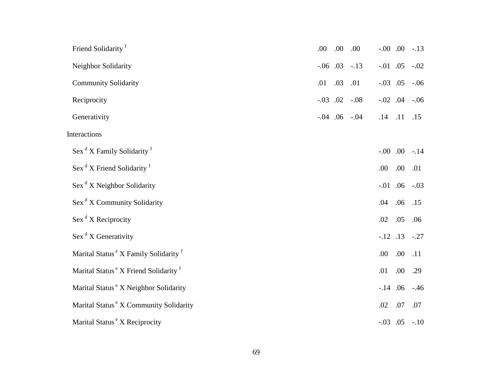| Friend Solidarity <sup>f</sup>                               | .00            | .00 | .00                 | $-0.00$ .00         |      | $-.13$ |
|--------------------------------------------------------------|----------------|-----|---------------------|---------------------|------|--------|
| Neighbor Solidarity                                          | $-0.06$ 0.03   |     | $-.13$              | $-0.01$ .05         |      | $-.02$ |
| <b>Community Solidarity</b>                                  | .01            | .03 | .01                 | $-.03$ .05          |      | $-.06$ |
| Reciprocity                                                  | $-0.03$ $0.02$ |     | $-.08$              | $-.02$ .04          |      | $-.06$ |
| Generativity                                                 |                |     | $-.04$ $.06$ $-.04$ | $.14$ $.11$         |      | .15    |
| Interactions                                                 |                |     |                     |                     |      |        |
| Sex <sup>d</sup> X Family Solidarity <sup>f</sup>            |                |     |                     | $-0.00$ .00         |      | $-.14$ |
| Sex <sup>d</sup> X Friend Solidarity <sup>f</sup>            |                |     |                     | .00                 | .00  | .01    |
| $\operatorname{Sex}^d X$ Neighbor Solidarity                 |                |     |                     | $-0.01$ .06         |      | $-.03$ |
| Sex <sup>d</sup> X Community Solidarity                      |                |     |                     | .04                 | .06  | .15    |
| $\operatorname{Sex}^d X$ Reciprocity                         |                |     |                     | .02                 | .05  | .06    |
| $\operatorname{Sex}^d X$ Generativity                        |                |     |                     | $-.12$ .13          |      | $-.27$ |
| Marital Status <sup>e</sup> X Family Solidarity <sup>f</sup> |                |     |                     | .00                 | .00. | .11    |
| Marital Status <sup>e</sup> X Friend Solidarity <sup>f</sup> |                |     |                     | .01                 | .00  | .29    |
| Marital Status <sup>e</sup> X Neighbor Solidarity            |                |     |                     | $-.14$ .06          |      | $-.46$ |
| Marital Status <sup>e</sup> X Community Solidarity           |                |     |                     | .02                 | .07  | .07    |
| Marital Status <sup>e</sup> X Reciprocity                    |                |     |                     | $-.03$ $.05$ $-.10$ |      |        |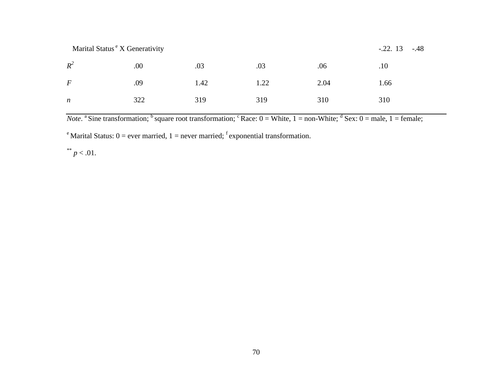Marital Status <sup>e</sup> X Generativity -.22. 13 -.48

| $R^2$            | .00 | .03  | .03  | .06  | .10  |
|------------------|-----|------|------|------|------|
| $\,F$            | .09 | 1.42 | 1.22 | 2.04 | 1.66 |
| $\boldsymbol{n}$ | 322 | 319  | 319  | 310  | 310  |

*Note*. <sup>a</sup> Sine transformation; <sup>b</sup> square root transformation; <sup>c</sup> Race:  $0 =$  White,  $1 =$  non-White;  $\frac{d}{dx}$  Sex:  $0 =$  male,  $1 =$  female;

<sup>e</sup> Marital Status:  $0 =$  ever married,  $1 =$  never married; <sup>f</sup> exponential transformation.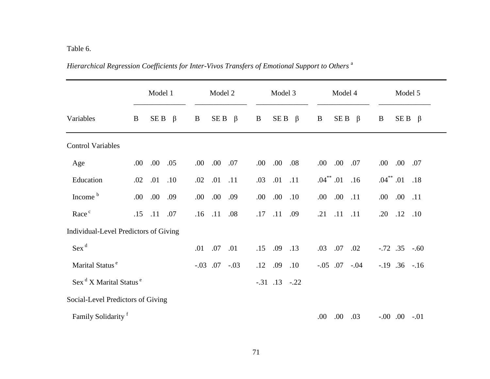## Table 6.

|                                                |     | Model 1         | Model 2              | Model 3                         | Model 4                          | Model 5                |
|------------------------------------------------|-----|-----------------|----------------------|---------------------------------|----------------------------------|------------------------|
| Variables                                      | B   | SE B<br>$\beta$ | SE B<br>$\beta$<br>B | SE <sub>B</sub><br>$\beta$<br>B | SE B<br>$\beta$<br>B             | B<br>$SE B \beta$      |
| <b>Control Variables</b>                       |     |                 |                      |                                 |                                  |                        |
| Age                                            | .00 | .00.<br>.05     | .00.<br>.07<br>.00   | .00.<br>.08<br>.00              | .00.<br>.07<br>.00.              | $.00\,$<br>.00.<br>.07 |
| Education                                      | .02 | .01<br>.10      | .01<br>.11<br>.02    | .01<br>.11<br>.03               | $.04$ <sup>**</sup> $.01$<br>.16 | $.04^{**}.01$<br>.18   |
| Income <sup>b</sup>                            | .00 | .00.<br>.09     | .00.<br>.09<br>.00   | .00.<br>.10<br>.00.             | .00.<br>.11<br>.00.              | .00.<br>.11<br>.00     |
| Race <sup>c</sup>                              | .15 | .11<br>.07      | .11<br>.16<br>.08    | .11<br>.17<br>.09               | .11<br>.21<br>.11                | .12<br>.20<br>.10      |
| Individual-Level Predictors of Giving          |     |                 |                      |                                 |                                  |                        |
| Sex <sup>d</sup>                               |     |                 | .07<br>.01<br>.01    | .09<br>.15<br>.13               | .07<br>.03<br>.02                | $-.72$ $.35$ $-.60$    |
| Marital Status <sup>e</sup>                    |     |                 | $-.03$ .07<br>$-.03$ | .12<br>.09<br>.10               | $-.05$ .07<br>$-.04$             | $-.19$ $.36$ $-.16$    |
| Sex <sup>d</sup> X Marital Status <sup>e</sup> |     |                 |                      | $-.31$ $.13$ $-.22$             |                                  |                        |
| Social-Level Predictors of Giving              |     |                 |                      |                                 |                                  |                        |
| Family Solidarity <sup>f</sup>                 |     |                 |                      |                                 | .00.<br>.00.<br>.03              | $-.00$ $.00$ $-.01$    |

*Hierarchical Regression Coefficients for Inter-Vivos Transfers of Emotional Support to Others* <sup>a</sup>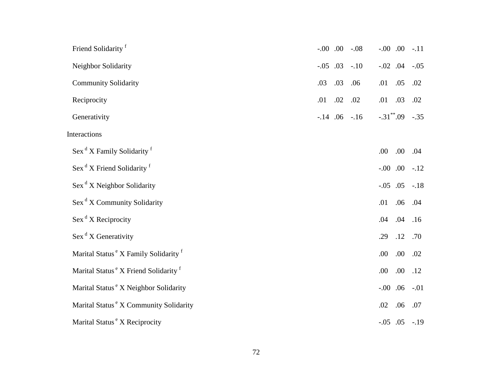| Friend Solidarity <sup>f</sup>                               | $-0.00$ .00 |     | $-.08$            | $-0.00$ .00 |                     | $-.11$ |
|--------------------------------------------------------------|-------------|-----|-------------------|-------------|---------------------|--------|
| Neighbor Solidarity                                          | $-.05$ .03  |     | $-.10$            | $-.02$ .04  |                     | $-.05$ |
| <b>Community Solidarity</b>                                  | .03         | .03 | .06               | .01         | .05                 | .02    |
| Reciprocity                                                  | .01         | .02 | .02               | .01         | .03                 | .02    |
| Generativity                                                 |             |     | $-.14$ .06 $-.16$ |             | $-.31$ **.09 $-.35$ |        |
| Interactions                                                 |             |     |                   |             |                     |        |
| Sex <sup>d</sup> X Family Solidarity <sup>f</sup>            |             |     |                   | .00         | .00.                | .04    |
| Sex <sup>d</sup> X Friend Solidarity <sup>f</sup>            |             |     |                   | $-0.00$ .00 |                     | $-.12$ |
| $\operatorname{Sex}^d X$ Neighbor Solidarity                 |             |     |                   | $-.05$ .05  |                     | $-.18$ |
| Sex <sup>d</sup> X Community Solidarity                      |             |     |                   | .01         | .06                 | .04    |
| $\operatorname{Sex}^d X$ Reciprocity                         |             |     |                   | .04         | .04                 | .16    |
| $\operatorname{Sex}^d X$ Generativity                        |             |     |                   | .29         | .12                 | .70    |
| Marital Status <sup>e</sup> X Family Solidarity <sup>f</sup> |             |     |                   | .00         | .00.                | .02    |
| Marital Status <sup>e</sup> X Friend Solidarity <sup>f</sup> |             |     |                   | .00         | .00.                | .12    |
| Marital Status <sup>e</sup> X Neighbor Solidarity            |             |     |                   | $-0.00$ .06 |                     | $-.01$ |
| Marital Status <sup>e</sup> X Community Solidarity           |             |     |                   | .02         | .06                 | .07    |
| Marital Status <sup>e</sup> X Reciprocity                    |             |     |                   |             | $-.05$ $.05$ $-.19$ |        |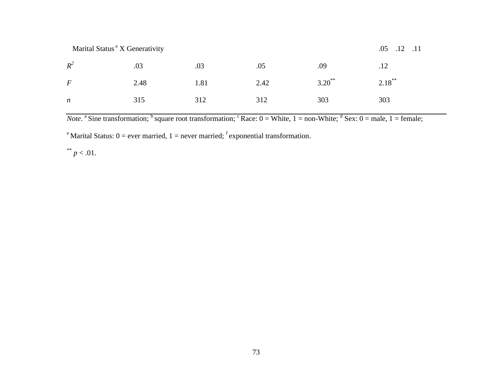|      |                                            |      |           | $.12$ $.11$<br>.05 |
|------|--------------------------------------------|------|-----------|--------------------|
| .03  | .03                                        | .05  | .09       | .12                |
| 2.48 | 1.81                                       | 2.42 | $3.20$ ** | $2.18***$          |
| 315  | 312                                        | 312  | 303       | 303                |
|      | Marital Status <sup>e</sup> X Generativity |      |           |                    |

*Note*. <sup>a</sup> Sine transformation; <sup>b</sup> square root transformation; <sup>c</sup> Race:  $0 =$  White,  $1 =$  non-White;  $\frac{d}{dx}$  Sex:  $0 =$  male,  $1 =$  female;

<sup>e</sup> Marital Status:  $0 =$  ever married,  $1 =$  never married; <sup>f</sup> exponential transformation.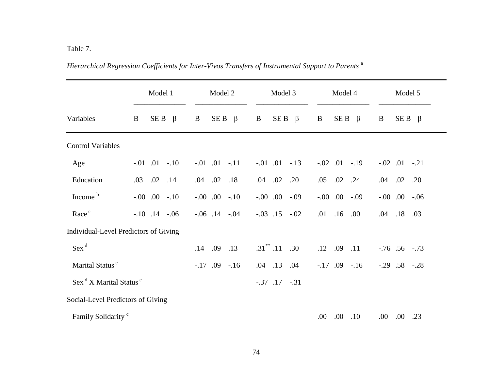# Table 7.

|                                                | Model 1                               | Model 2              | Model 3                         | Model 4                         | Model 5                |
|------------------------------------------------|---------------------------------------|----------------------|---------------------------------|---------------------------------|------------------------|
| Variables                                      | SE B<br>$\beta$<br>B                  | $SE B \beta$<br>B    | SE <sub>B</sub><br>$\beta$<br>B | SE <sub>B</sub><br>$\beta$<br>B | $SE B \beta$<br>B      |
| <b>Control Variables</b>                       |                                       |                      |                                 |                                 |                        |
| Age                                            | $-.01$ $.01$ $-.10$                   | $-.01$ $.01$ $-.11$  | $-.01$ $.01$ $-.13$             | $-.02$ $.01$ $-.19$             | $-.02$ $.01$ $-.21$    |
| Education                                      | $.02$ .14<br>.03                      | $.04$ $.02$ $.18$    | $.04$ $.02$<br>.20              | .05<br>$.02$ .24                | $.02$ .20<br>.04       |
| Income <sup>b</sup>                            | $-.00$ $.00$ $-.10$                   | $-.00$ $.00$ $-.10$  | $-0.00$ $0.00$ $-0.09$          | $-0.00$ .00<br>$-.09$           | $-0.00$ $0.00$ $-0.06$ |
| Race <sup>c</sup>                              | $-.10$ $.14$ $-.06$                   | $-.06$ $.14$ $-.04$  | $-.03$ $.15$ $-.02$             | .16<br>.01<br>.00.              | .18<br>.03<br>.04      |
|                                                | Individual-Level Predictors of Giving |                      |                                 |                                 |                        |
| $Sex^d$                                        |                                       | $.14$ .09<br>.13     | $.31^*$ .11<br>.30              | .12<br>.09<br>.11               | $-.76$ $.56$ $-.73$    |
| Marital Status <sup>e</sup>                    |                                       | $-.17$ .09<br>$-.16$ | $.04$ .13<br>.04                | $-17$ .09<br>$-.16$             | $-.29$ $.58$ $-.28$    |
| Sex <sup>d</sup> X Marital Status <sup>e</sup> |                                       |                      | $-.37$ $.17$ $-.31$             |                                 |                        |
| Social-Level Predictors of Giving              |                                       |                      |                                 |                                 |                        |
| Family Solidarity <sup>c</sup>                 |                                       |                      |                                 | .00.<br>.00.<br>.10             | .00.<br>.00.<br>.23    |

*Hierarchical Regression Coefficients for Inter-Vivos Transfers of Instrumental Support to Parents* <sup>a</sup>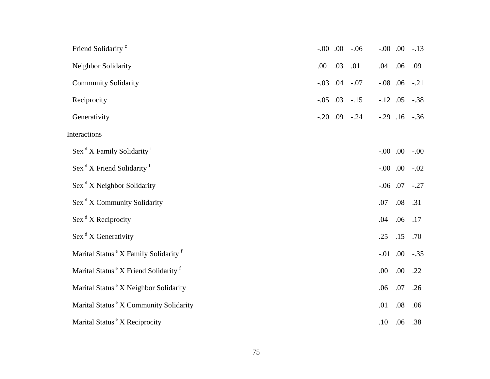| Friend Solidarity <sup>c</sup>                               | $-0.00$ .  |     | $-.06$              | $-0.00$ .00         |      | $-.13$ |
|--------------------------------------------------------------|------------|-----|---------------------|---------------------|------|--------|
| Neighbor Solidarity                                          | .00        | .03 | .01                 | .04                 | .06  | .09    |
| <b>Community Solidarity</b>                                  |            |     | $-.03$ .04 $-.07$   | $-.08$ .06          |      | $-.21$ |
| Reciprocity                                                  | $-.05$ .03 |     | $-.15$              | $-.12$ .05          |      | $-.38$ |
| Generativity                                                 |            |     | $-.20$ $.09$ $-.24$ | $-.29$ $.16$ $-.36$ |      |        |
| Interactions                                                 |            |     |                     |                     |      |        |
| Sex <sup>d</sup> X Family Solidarity <sup>f</sup>            |            |     |                     | $-0.00$ .00         |      | $-.00$ |
| $\operatorname{Sex}^d X$ Friend Solidarity $f$               |            |     |                     | $-0.00$ .00         |      | $-.02$ |
| $\operatorname{Sex}^d X$ Neighbor Solidarity                 |            |     |                     | $-.06$ .07          |      | $-.27$ |
| Sex <sup>d</sup> X Community Solidarity                      |            |     |                     | .07                 | .08  | .31    |
| $\operatorname{Sex}^d X$ Reciprocity                         |            |     |                     | .04                 | .06  | .17    |
| $\operatorname{Sex}^d X$ Generativity                        |            |     |                     | .25                 | .15  | .70    |
| Marital Status <sup>e</sup> X Family Solidarity <sup>f</sup> |            |     |                     | $-.01$ .00          |      | $-.35$ |
| Marital Status <sup>e</sup> X Friend Solidarity <sup>f</sup> |            |     |                     | .00                 | .00. | .22    |
| Marital Status <sup>e</sup> X Neighbor Solidarity            |            |     |                     | .06                 | .07  | .26    |
| Marital Status <sup>e</sup> X Community Solidarity           |            |     |                     | .01                 | .08  | .06    |
| Marital Status <sup>e</sup> X Reciprocity                    |            |     |                     | .10                 | .06  | .38    |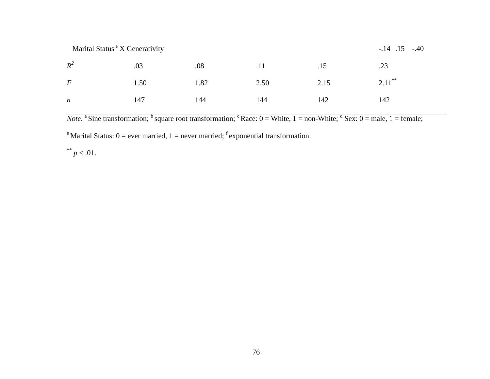| Marital Status "X Generativity |  |  |  |
|--------------------------------|--|--|--|
|                                |  |  |  |

| $R^2$            |            |     |     | $.03 \t\t 08 \t\t 011 \t\t 03$ .15     |     |
|------------------|------------|-----|-----|----------------------------------------|-----|
| $\bm{F}$         |            |     |     | 1.50 1.82 2.50 2.15 2.11 <sup>**</sup> |     |
| $\boldsymbol{n}$ | 144<br>147 | 144 | 142 |                                        | 142 |

*Note*. <sup>a</sup> Sine transformation; <sup>b</sup> square root transformation; <sup>c</sup> Race:  $0 =$  White,  $1 =$  non-White;  $\frac{d}{dx}$  Sex:  $0 =$  male,  $1 =$  female;

<sup>e</sup> Marital Status:  $0 =$  ever married,  $1 =$  never married; <sup>f</sup> exponential transformation.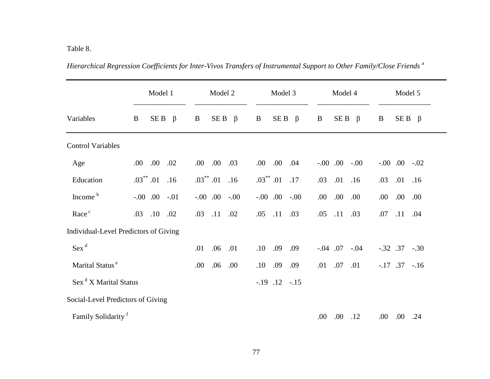|                                       | Model 1                  | Model 2                  | Model 3                  | Model 4              | Model 5                |
|---------------------------------------|--------------------------|--------------------------|--------------------------|----------------------|------------------------|
| Variables                             | SE B<br>$\beta$<br>B     | SE B<br>$\beta$<br>B     | SE B<br>$\beta$<br>B     | SE B<br>$\beta$<br>B | $SEB \beta$<br>B       |
| <b>Control Variables</b>              |                          |                          |                          |                      |                        |
| Age                                   | .00<br>.02<br>.00.       | .00.<br>.03<br>.00.      | .00 .04<br>.00.          | $-0.00$ $-0.00$      | $-0.00$ .00<br>$-.02$  |
| Education                             | $.03$ $^{**}$ .01<br>.16 | $.03$ $^{**}$ .01<br>.16 | $.03$ $^{**}$ .01<br>.17 | .03<br>.01<br>.16    | $.01$ .16<br>.03       |
| Income <sup>b</sup>                   | $-0.00$ $0.00$ $-0.01$   | $-0.00$ $-0.00$          | $-0.00$ $-0.00$          | .00.<br>.00<br>.00.  | .00.<br>.00.<br>.00.   |
| Race <sup>c</sup>                     | .03<br>.10<br>.02        | .11<br>.02<br>.03        | .11<br>.03<br>.05        | .05<br>.11<br>.03    | .11<br>.07<br>.04      |
| Individual-Level Predictors of Giving |                          |                          |                          |                      |                        |
| $Sex^d$                               |                          | .06<br>.01<br>.01        | .09<br>.10<br>.09        | $-.04$ .07<br>$-.04$ | $-.32$ $.37$ $-.30$    |
| Marital Status <sup>e</sup>           |                          | .00<br>.06<br>.00.       | .10<br>.09<br>.09        | .07<br>.01<br>.01    | $-.17$ $.37$ $-.16$    |
| Sex <sup>d</sup> X Marital Status     |                          |                          | $-.19$ $.12$ $-.15$      |                      |                        |
| Social-Level Predictors of Giving     |                          |                          |                          |                      |                        |
| Family Solidarity <sup>f</sup>        |                          |                          |                          | .00.<br>.00.<br>.12  | .00.<br>$.00\,$<br>.24 |

*Hierarchical Regression Coefficients for Inter-Vivos Transfers of Instrumental Support to Other Family/Close Friends* <sup>a</sup>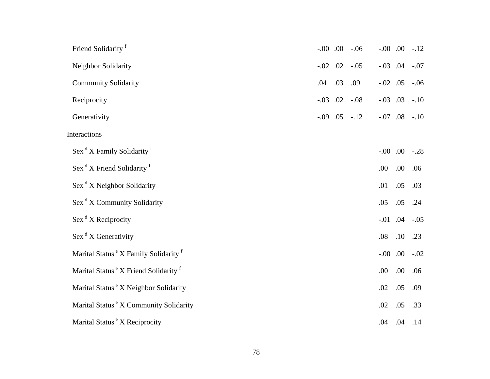| Friend Solidarity <sup>f</sup>                               |     |     | $-0.00$ $0.00$ $-0.06$ |             |      | $-.00$ $.00$ $-.12$ |
|--------------------------------------------------------------|-----|-----|------------------------|-------------|------|---------------------|
| Neighbor Solidarity                                          |     |     | $-.02$ $.02$ $-.05$    |             |      | $-.03$ $.04$ $-.07$ |
| <b>Community Solidarity</b>                                  | .04 | .03 | .09                    | $-.02$ .05  |      | $-.06$              |
| Reciprocity                                                  |     |     | $-.03$ $.02$ $-.08$    | $-.03$ .03  |      | $-.10$              |
| Generativity                                                 |     |     | $-.09$ $.05$ $-.12$    |             |      | $-.07$ $.08$ $-.10$ |
| Interactions                                                 |     |     |                        |             |      |                     |
| Sex <sup>d</sup> X Family Solidarity <sup>f</sup>            |     |     |                        | $-0.00$ .00 |      | $-.28$              |
| Sex <sup>d</sup> X Friend Solidarity <sup>f</sup>            |     |     |                        | .00         | .00. | .06                 |
| Sex <sup>d</sup> X Neighbor Solidarity                       |     |     |                        | .01         | .05  | .03                 |
| Sex <sup>d</sup> X Community Solidarity                      |     |     |                        | .05         | .05  | .24                 |
| $\operatorname{Sex}^d X$ Reciprocity                         |     |     |                        |             |      | $-.01$ $.04$ $-.05$ |
| $\operatorname{Sex}^d X$ Generativity                        |     |     |                        | .08         | .10  | .23                 |
| Marital Status <sup>e</sup> X Family Solidarity <sup>f</sup> |     |     |                        |             |      | $-.00$ $.00$ $-.02$ |
| Marital Status <sup>e</sup> X Friend Solidarity <sup>f</sup> |     |     |                        | .00         | .00. | .06                 |
| Marital Status <sup>e</sup> X Neighbor Solidarity            |     |     |                        | .02         | .05  | .09                 |
| Marital Status <sup>e</sup> X Community Solidarity           |     |     |                        | .02         | .05  | .33                 |
| Marital Status <sup>e</sup> X Reciprocity                    |     |     |                        | .04 .04     |      | .14                 |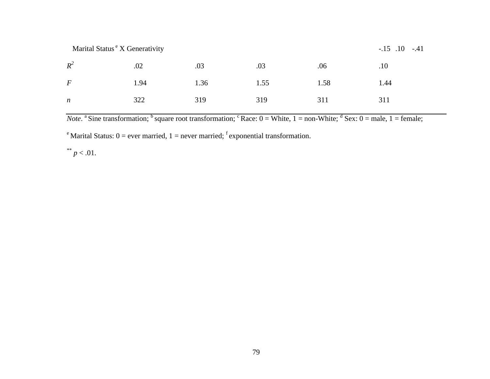| Marital Status "X Generativity |
|--------------------------------|
|                                |

| $R^2$          |     | $.02$ $.03$ $.03$ $.06$ $.10$      |  |  |
|----------------|-----|------------------------------------|--|--|
| $\overline{F}$ |     | $1.94$ $1.36$ $1.55$ $1.58$ $1.44$ |  |  |
| $\mathfrak n$  | 322 | 319 319 311 311                    |  |  |

*Note*. <sup>a</sup> Sine transformation; <sup>b</sup> square root transformation; <sup>c</sup> Race:  $0 =$  White,  $1 =$  non-White;  $\frac{d}{dx}$  Sex:  $0 =$  male,  $1 =$  female;

<sup>e</sup> Marital Status:  $0 =$  ever married,  $1 =$  never married; <sup>f</sup> exponential transformation.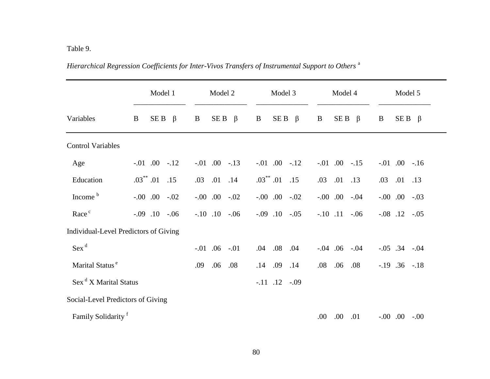## Table 9.

|                                   | Model 1                               | Model 2                | Model 3              | Model 4                | Model 5                |
|-----------------------------------|---------------------------------------|------------------------|----------------------|------------------------|------------------------|
| Variables                         | SE B<br>$\beta$<br>B                  | SE B<br>$\beta$<br>B   | SE B<br>$\beta$<br>B | SE B<br>$\beta$<br>B   | B<br>$SE B \beta$      |
| <b>Control Variables</b>          |                                       |                        |                      |                        |                        |
| Age                               | $-.01$ $.00$ $-.12$                   | $-.01$ $.00$ $-.13$    | $-.01$ $.00$ $-.12$  | $-.01$ $.00$ $-.15$    | $-.01$ $.00$ $-.16$    |
| Education                         | $.03^{**}$ .01 .15                    | $.03$ $.01$ $.14$      | $.03^{**}$ .01 .15   | .03<br>.01<br>.13      | $.01$ .13<br>.03       |
| Income <sup>b</sup>               | $-.00$ $.00$ $-.02$                   | $-.00$ $.00$ $-.02$    | $-.00$ $.00$ $-.02$  | $-0.00$ $0.00$ $-0.04$ | $-.00$ $.00$ $-.03$    |
| Race <sup>c</sup>                 | $-0.09$ $-0.10$ $-0.06$               | $-.10$ $.10$ $-.06$    | $-.09$ $.10$ $-.05$  | $-.10$ $.11$ $-.06$    | $-.08$ $.12$ $-.05$    |
|                                   | Individual-Level Predictors of Giving |                        |                      |                        |                        |
| $Sex^d$                           |                                       | $-0.01$ $0.06$ $-0.01$ | .04 .08<br>.04       | $-.04$ $.06$ $-.04$    | $-.05$ .34 $-.04$      |
| Marital Status <sup>e</sup>       |                                       | .06<br>.08<br>.09      | .09<br>.14<br>.14    | .06<br>.08<br>.08      | $-.19$ $.36$ $-.18$    |
| Sex <sup>d</sup> X Marital Status |                                       |                        | $-.11$ $.12$ $-.09$  |                        |                        |
| Social-Level Predictors of Giving |                                       |                        |                      |                        |                        |
| Family Solidarity <sup>f</sup>    |                                       |                        |                      | .00.<br>.00.<br>.01    | $-0.00$ $0.00$ $-0.00$ |

*Hierarchical Regression Coefficients for Inter-Vivos Transfers of Instrumental Support to Others* <sup>a</sup>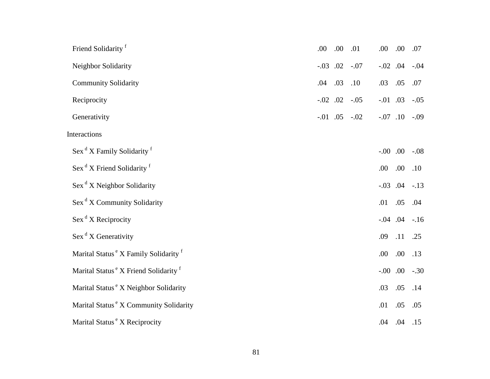| Friend Solidarity <sup>f</sup>                               | .00 | .00        | .01                 | .00         | .00                  | .07    |
|--------------------------------------------------------------|-----|------------|---------------------|-------------|----------------------|--------|
| Neighbor Solidarity                                          |     |            | $-.03$ .02 $-.07$   | $-.02$ .04  |                      | $-.04$ |
| <b>Community Solidarity</b>                                  | .04 | .03        | .10                 | .03         | .05                  | .07    |
| Reciprocity                                                  |     | $-.02$ .02 | $-.05$              | $-.01$ .03  |                      | $-.05$ |
| Generativity                                                 |     |            | $-.01$ $.05$ $-.02$ | $-.07$ .10  |                      | $-.09$ |
| Interactions                                                 |     |            |                     |             |                      |        |
| Sex <sup>d</sup> X Family Solidarity <sup>f</sup>            |     |            |                     | $-0.00$ .00 |                      | $-.08$ |
| Sex <sup>d</sup> X Friend Solidarity <sup>f</sup>            |     |            |                     | .00.        | .00                  | .10    |
| $\operatorname{Sex}^d X$ Neighbor Solidarity                 |     |            |                     |             | $-.03$ $.04$ $-.13$  |        |
| Sex <sup>d</sup> X Community Solidarity                      |     |            |                     | .01         | .05                  | .04    |
| $\operatorname{Sex}^{\text{d}}$ X Reciprocity                |     |            |                     |             | $-0.04$ $0.04$ $-16$ |        |
| $\operatorname{Sex}^d X$ Generativity                        |     |            |                     | .09         | .11                  | .25    |
| Marital Status <sup>e</sup> X Family Solidarity <sup>f</sup> |     |            |                     | .00         | .00.                 | .13    |
| Marital Status <sup>e</sup> X Friend Solidarity <sup>f</sup> |     |            |                     | $-0.00$ .00 |                      | $-.30$ |
| Marital Status <sup>e</sup> X Neighbor Solidarity            |     |            |                     | .03         | .05                  | .14    |
| Marital Status <sup>e</sup> X Community Solidarity           |     |            |                     | .01         | .05                  | .05    |
| Marital Status <sup>e</sup> X Reciprocity                    |     |            |                     | .04         | .04                  | .15    |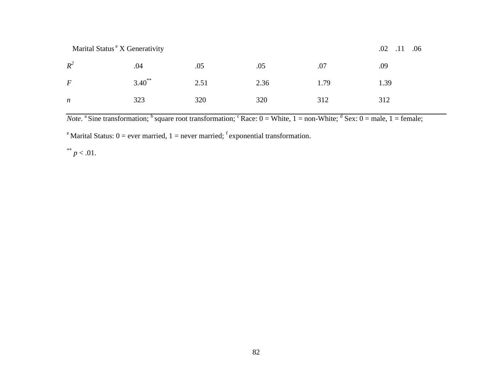Marital Status <sup>e</sup> X Generativity .02 .11 .06

| $R^2$            | .04                 | .05 | .05  | .07  | .09  |
|------------------|---------------------|-----|------|------|------|
| $\boldsymbol{F}$ | $3.40^{**}$<br>2.51 |     | 2.36 | 1.79 | 1.39 |
| $\boldsymbol{n}$ | 323                 | 320 | 320  | 312  | 312  |

*Note*. <sup>a</sup> Sine transformation; <sup>b</sup> square root transformation; <sup>c</sup> Race:  $0 =$  White,  $1 =$  non-White;  $\frac{d}{dx}$  Sex:  $0 =$  male,  $1 =$  female;

<sup>e</sup> Marital Status:  $0 =$  ever married,  $1 =$  never married; <sup>f</sup> exponential transformation.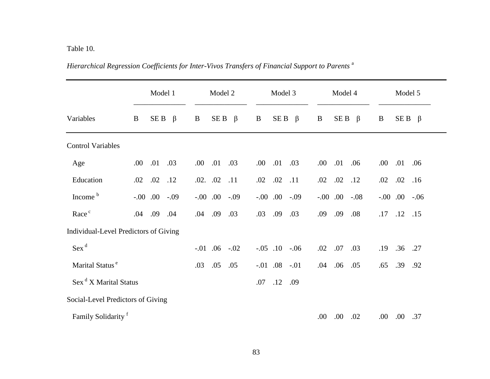## Table 10.

|                                   | Model 1                               | Model 2                         | Model 3              | Model 4              | Model 5              |
|-----------------------------------|---------------------------------------|---------------------------------|----------------------|----------------------|----------------------|
| Variables                         | SE B<br>$\beta$<br>B                  | SE <sub>B</sub><br>B<br>$\beta$ | SE B<br>B<br>$\beta$ | SE B<br>B<br>$\beta$ | $SE B \beta$<br>B    |
| <b>Control Variables</b>          |                                       |                                 |                      |                      |                      |
| Age                               | .01<br>.00<br>.03                     | .01<br>.03<br>.00.              | .01<br>.03<br>.00.   | .01<br>.06<br>.00.   | .01<br>.00.<br>.06   |
| Education                         | .02<br>.12<br>.02                     | $.02.$ .02<br>.11               | .02<br>.11<br>.02    | .02<br>.02<br>.12    | .02<br>.02<br>.16    |
| Income <sup>b</sup>               | $-0.00$ .00<br>$-.09$                 | $-0.00$ $0.00$ $-0.09$          | $.00-.09$<br>$-.00$  | $.00-.08$<br>$-.00$  | $.00-.06$<br>$-0.00$ |
| Race <sup>c</sup>                 | .09<br>.04<br>.04                     | .09<br>.03<br>.04               | .09<br>.03<br>.03    | .09<br>.09<br>.08    | .12<br>.17<br>.15    |
|                                   | Individual-Level Predictors of Giving |                                 |                      |                      |                      |
| $Sex^d$                           |                                       | $-0.01$ .06<br>$-.02$           | $-.05$ .10<br>$-.06$ | .07<br>.02<br>.03    | .36<br>.27<br>.19    |
| Marital Status <sup>e</sup>       |                                       | .05<br>.05<br>.03               | $-.01$ .08<br>$-.01$ | .06<br>.04<br>.05    | .39<br>.65<br>.92    |
| Sex <sup>d</sup> X Marital Status |                                       |                                 | .12<br>.09<br>.07    |                      |                      |
| Social-Level Predictors of Giving |                                       |                                 |                      |                      |                      |
| Family Solidarity <sup>f</sup>    |                                       |                                 |                      | .00.<br>.00.<br>.02  | .00.<br>.00.<br>.37  |

*Hierarchical Regression Coefficients for Inter-Vivos Transfers of Financial Support to Parents* <sup>a</sup>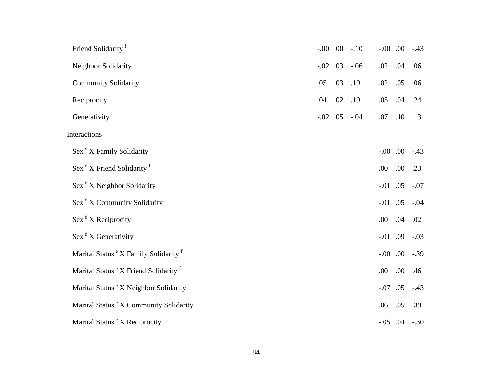| Friend Solidarity <sup>f</sup>                               |                |           | $-.00$ $.00$ $-.10$ | $-0.00$ .00 |                     | $-43$  |
|--------------------------------------------------------------|----------------|-----------|---------------------|-------------|---------------------|--------|
| Neighbor Solidarity                                          | $-0.02$ $0.03$ |           | $-.06$              | .02         | .04                 | .06    |
| <b>Community Solidarity</b>                                  | .05            | .03       | .19                 | .02         | .05                 | .06    |
| Reciprocity                                                  | .04            | $.02$ .19 |                     | .05         | .04                 | .24    |
| Generativity                                                 |                |           | $-.02$ $.05$ $-.04$ | .07         | .10                 | .13    |
| Interactions                                                 |                |           |                     |             |                     |        |
| Sex <sup>d</sup> X Family Solidarity <sup>f</sup>            |                |           |                     | $-0.00$ .00 |                     | $-.43$ |
| Sex <sup>d</sup> X Friend Solidarity <sup>f</sup>            |                |           |                     | .00         | .00.                | .23    |
| $\operatorname{Sex}^d X$ Neighbor Solidarity                 |                |           |                     | $-.01$ .05  |                     | $-.07$ |
| Sex <sup>d</sup> X Community Solidarity                      |                |           |                     | $-.01$ .05  |                     | $-.04$ |
| $\operatorname{Sex}^d X$ Reciprocity                         |                |           |                     | .00         | .04                 | .02    |
| $\operatorname{Sex}^d X$ Generativity                        |                |           |                     | $-0.01$ .09 |                     | $-.03$ |
| Marital Status <sup>e</sup> X Family Solidarity <sup>f</sup> |                |           |                     | $-0.00$ .00 |                     | $-.39$ |
| Marital Status <sup>e</sup> X Friend Solidarity <sup>f</sup> |                |           |                     | .00         | .00.                | .46    |
| Marital Status <sup>e</sup> X Neighbor Solidarity            |                |           |                     | $-.07$ .05  |                     | $-.43$ |
| Marital Status <sup>e</sup> X Community Solidarity           |                |           |                     | .06         | .05                 | .39    |
| Marital Status <sup>e</sup> X Reciprocity                    |                |           |                     |             | $-.05$ $.04$ $-.30$ |        |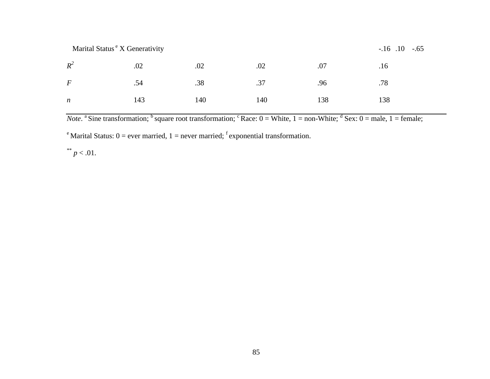Marital Status <sup>e</sup> X Generativity -.16 .10 -.65

| $R^2$            |  | $.02$ $.02$ $.02$ $.07$ $.16$ |  |
|------------------|--|-------------------------------|--|
| $\boldsymbol{F}$ |  | $.54$ $.38$ $.37$ $.96$ $.78$ |  |
| $\boldsymbol{n}$ |  | 143 140 140 138 138           |  |

*Note*. <sup>a</sup> Sine transformation; <sup>b</sup> square root transformation; <sup>c</sup> Race:  $0 =$  White,  $1 =$  non-White;  $\frac{d}{dx}$  Sex:  $0 =$  male,  $1 =$  female;

<sup>e</sup> Marital Status:  $0 =$  ever married,  $1 =$  never married; <sup>f</sup> exponential transformation.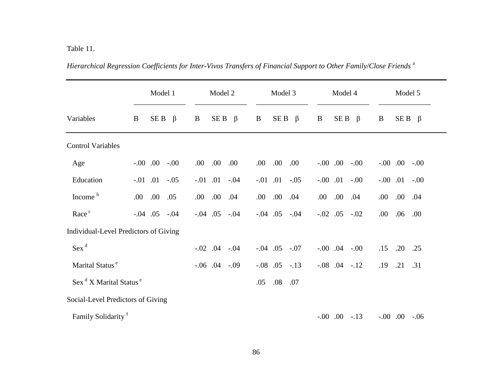Table 11.

|                                                       |      | Model 1             |         |      | Model 2             |         |            | Model 3    |                     |            | Model 4             |                     |            | Model 5      |        |
|-------------------------------------------------------|------|---------------------|---------|------|---------------------|---------|------------|------------|---------------------|------------|---------------------|---------------------|------------|--------------|--------|
| Variables                                             | B    | SE B                | $\beta$ | B    | SE B                | $\beta$ | B          | SE B       | $\beta$             | B          | SE B                | $\beta$             | $\bf{B}$   | $SE B \beta$ |        |
| <b>Control Variables</b>                              |      |                     |         |      |                     |         |            |            |                     |            |                     |                     |            |              |        |
| Age                                                   |      | $-0.00$ .00         | $-.00$  | .00. | .00.                | .00     | .00.       | .00.       | .00.                |            | $-00$ 00            | $-.00$              |            | $-0.00$ .00  | $-.00$ |
| Education                                             |      | $-.01$ .01          | $-.05$  |      | $-0.01$ $0.01$      | $-.04$  | $-.01$     | .01        | $-.05$              | $-.00$ .01 |                     | $-.00$              | $-.00$ .01 |              | $-.00$ |
| Income <sup>b</sup>                                   | .00. | .00.                | .05     | .00. | .00.                | .04     | .00.       | .00.       | .04                 | .00.       | .00.                | .04                 | .00.       | .00.         | .04    |
| Race <sup>c</sup>                                     |      | $-.04$ $.05$ $-.04$ |         |      | $-.04$ .05          | $-.04$  |            | $-.04$ .05 | $-.04$              | $-.02$ .05 |                     | $-.02$              | .00        | .06          | .00.   |
| Individual-Level Predictors of Giving                 |      |                     |         |      |                     |         |            |            |                     |            |                     |                     |            |              |        |
| $Sex^d$                                               |      |                     |         |      | $-.02$ .04          | $-.04$  | $-.04$ .05 |            | $-.07$              |            | $-0.00$ $0.04$      | $-.00$              | .15        | .20          | .25    |
| Marital Status <sup>e</sup>                           |      |                     |         |      | $-.06$ $.04$ $-.09$ |         |            |            | $-.08$ $.05$ $-.13$ |            | $-.08$ $.04$ $-.12$ |                     | .19        | .21          | .31    |
| $\text{Sex}^{\text{d}}$ X Marital Status <sup>e</sup> |      |                     |         |      |                     |         | .05        | .08        | .07                 |            |                     |                     |            |              |        |
| Social-Level Predictors of Giving                     |      |                     |         |      |                     |         |            |            |                     |            |                     |                     |            |              |        |
| Family Solidarity <sup>f</sup>                        |      |                     |         |      |                     |         |            |            |                     |            |                     | $-.00$ $.00$ $-.13$ |            | $-00$ 00.    | $-.06$ |

*Hierarchical Regression Coefficients for Inter-Vivos Transfers of Financial Support to Other Family/Close Friends* <sup>a</sup>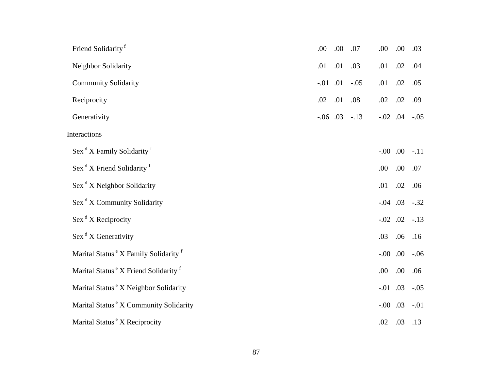| Friend Solidarity <sup>f</sup>                               | .00        | .00 | .07                 | .00         | .00        | .03    |
|--------------------------------------------------------------|------------|-----|---------------------|-------------|------------|--------|
| Neighbor Solidarity                                          | .01        | .01 | .03                 | .01         | .02        | .04    |
| <b>Community Solidarity</b>                                  | $-.01$ .01 |     | $-.05$              | .01         | .02        | .05    |
| Reciprocity                                                  | .02        | .01 | .08                 | .02         | .02        | .09    |
| Generativity                                                 |            |     | $-.06$ $.03$ $-.13$ |             | $-.02$ .04 | $-.05$ |
| Interactions                                                 |            |     |                     |             |            |        |
| Sex <sup>d</sup> X Family Solidarity <sup>f</sup>            |            |     |                     | $-0.00$ .00 |            | $-.11$ |
| Sex <sup>d</sup> X Friend Solidarity <sup>f</sup>            |            |     |                     | .00         | .00.       | .07    |
| $\operatorname{Sex}^d X$ Neighbor Solidarity                 |            |     |                     | .01         | .02        | .06    |
| Sex <sup>d</sup> X Community Solidarity                      |            |     |                     | $-.04$ .03  |            | $-.32$ |
| $\operatorname{Sex}^d X$ Reciprocity                         |            |     |                     | $-.02$ .02  |            | $-.13$ |
| Sex <sup>d</sup> X Generativity                              |            |     |                     | .03         | .06        | .16    |
| Marital Status <sup>e</sup> X Family Solidarity <sup>f</sup> |            |     |                     | $-0.00$ .00 |            | $-.06$ |
| Marital Status <sup>e</sup> X Friend Solidarity <sup>f</sup> |            |     |                     | .00         | .00.       | .06    |
| Marital Status <sup>e</sup> X Neighbor Solidarity            |            |     |                     | $-0.01$ .03 |            | $-.05$ |
| Marital Status <sup>e</sup> X Community Solidarity           |            |     |                     | $-.00$ .03  |            | $-.01$ |
| Marital Status <sup>e</sup> X Reciprocity                    |            |     |                     | .02         | .03        | .13    |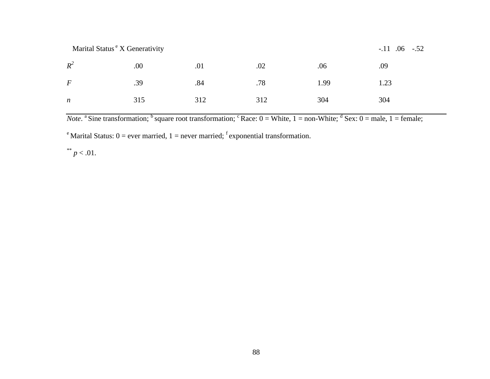Marital Status <sup>e</sup> X Generativity -.11 .06 -.52

| $R^2$            | $.00$ 0.01                                    | $.02 \t\t 0.06$ | .09 |     |
|------------------|-----------------------------------------------|-----------------|-----|-----|
| $\boldsymbol{F}$ | $.39 \t\t 0.84 \t\t 0.78 \t\t 1.99 \t\t 1.23$ |                 |     |     |
| $\boldsymbol{n}$ | 315 312                                       | 312 304         |     | 304 |

*Note*. <sup>a</sup> Sine transformation; <sup>b</sup> square root transformation; <sup>c</sup> Race:  $0 =$  White,  $1 =$  non-White;  $\frac{d}{dx}$  Sex:  $0 =$  male,  $1 =$  female;

<sup>e</sup> Marital Status:  $0 =$  ever married,  $1 =$  never married; <sup>f</sup> exponential transformation.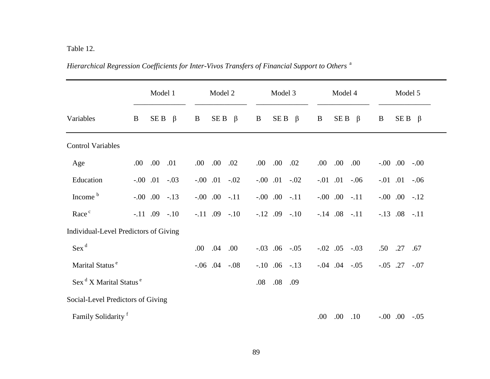## Table 12.

|                                                | Model 1                               | Model 2                         | Model 3                         | Model 4                | Model 5                |
|------------------------------------------------|---------------------------------------|---------------------------------|---------------------------------|------------------------|------------------------|
| Variables                                      | SE B<br>$\beta$<br>B                  | SE <sub>B</sub><br>B<br>$\beta$ | SE <sub>B</sub><br>B<br>$\beta$ | SE B<br>B<br>$\beta$   | $SE B \beta$<br>B      |
| <b>Control Variables</b>                       |                                       |                                 |                                 |                        |                        |
| Age                                            | .00.<br>.00.<br>.01                   | .00.<br>.00.<br>.02             | .00.<br>.00.<br>.02             | .00.<br>.00.<br>.00.   | $-0.00$ $0.00$ $-0.00$ |
| Education                                      | $-.00$ $.01$ $-.03$                   | $-.00$ $.01$ $-.02$             | $-.00$ $.01$ $-.02$             | $-0.01$ $0.01$ $-0.06$ | $-0.01$ $0.01$ $-0.06$ |
| Income <sup>b</sup>                            | $-.00$ $.00$ $-.13$                   | $-.00$ $.00$ $-.11$             | $-.00$ $.00$ $-.11$             | $-.00$ $.00$ $-.11$    | $-.00$ $.00$ $-.12$    |
| Race <sup>c</sup>                              | $-.11$ .09 $-.10$                     | $-.11$ .09 $-.10$               | $-.12$ $.09$ $-.10$             | $-.14$ .08 $-.11$      | $-.13$ $.08$ $-.11$    |
|                                                | Individual-Level Predictors of Giving |                                 |                                 |                        |                        |
| $Sex^d$                                        |                                       | .04<br>.00.<br>.00.             | $-.03$ $.06$ $-.05$             | $-.02$ .05<br>$-.03$   | .50<br>.27<br>.67      |
| Marital Status <sup>e</sup>                    |                                       | $-.06$ $.04$ $-.08$             | $-.10$ $.06$ $-.13$             | $-.04$ $.04$ $-.05$    | $-.05$ .27<br>$-.07$   |
| Sex <sup>d</sup> X Marital Status <sup>e</sup> |                                       |                                 | .08<br>.09<br>.08               |                        |                        |
| Social-Level Predictors of Giving              |                                       |                                 |                                 |                        |                        |
| Family Solidarity <sup>f</sup>                 |                                       |                                 |                                 | .00.<br>.00.<br>.10    | $-.00$ $.00$ $-.05$    |

*Hierarchical Regression Coefficients for Inter-Vivos Transfers of Financial Support to Others* a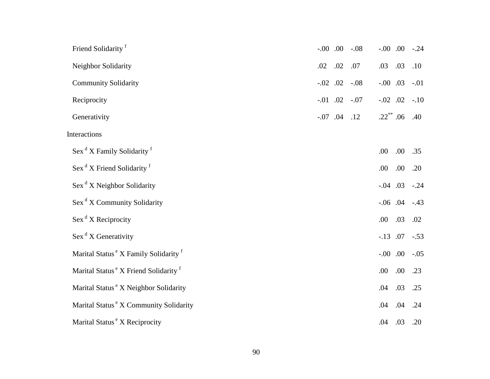| Friend Solidarity <sup>f</sup>                               | $-0.00$ 0.0 0.0 0.0 -0.8 | $-0.00$ .00         | $-.24$ |
|--------------------------------------------------------------|--------------------------|---------------------|--------|
| Neighbor Solidarity                                          | .02<br>.02<br>.07        | .03<br>.03          | .10    |
| <b>Community Solidarity</b>                                  | $-.02$ .02<br>$-.08$     | $-.00$ .03          | $-.01$ |
| Reciprocity                                                  | $-.01$ $.02$ $-.07$      | $-.02$ .02          | $-.10$ |
| Generativity                                                 | $-.07$ .04 .12           | $.22$ ** .06        | .40    |
| Interactions                                                 |                          |                     |        |
| Sex <sup>d</sup> X Family Solidarity <sup>f</sup>            |                          | .00.<br>.00         | .35    |
| Sex <sup>d</sup> X Friend Solidarity <sup>f</sup>            |                          | .00<br>.00.         | .20    |
| $\operatorname{Sex}^d X$ Neighbor Solidarity                 |                          | $-.04$ $.03$ $-.24$ |        |
| Sex <sup>d</sup> X Community Solidarity                      |                          | $-.06$ .04          | $-.43$ |
| $\operatorname{Sex}^d X$ Reciprocity                         |                          | .03<br>.00          | .02    |
| Sex <sup>d</sup> X Generativity                              |                          | $-.13$ .07          | $-.53$ |
| Marital Status <sup>e</sup> X Family Solidarity <sup>f</sup> |                          | $-0.00$ .00         | $-.05$ |
| Marital Status <sup>e</sup> X Friend Solidarity <sup>f</sup> |                          | .00.<br>.00         | .23    |
| Marital Status <sup>e</sup> X Neighbor Solidarity            |                          | .03<br>.04          | .25    |
| Marital Status <sup>e</sup> X Community Solidarity           |                          | .04<br>.04          | .24    |
| Marital Status <sup>e</sup> X Reciprocity                    |                          | .04<br>.03          | .20    |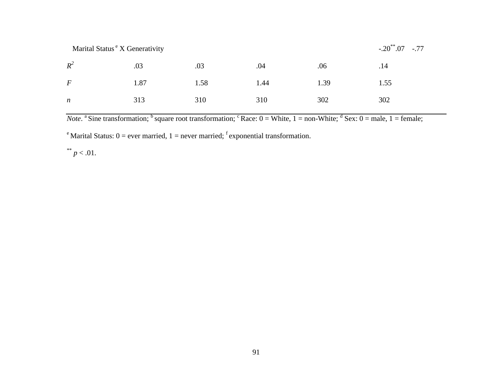Marital Status <sup>e</sup> X Generativity -.20<sup>\*\*</sup>.07 -.77

| $R^2$            | $.03 \t\t 0.03$ | .04 | .06     | $\overline{14}$                    |     |
|------------------|-----------------|-----|---------|------------------------------------|-----|
| $\boldsymbol{F}$ |                 |     |         | $1.87$ $1.58$ $1.44$ $1.39$ $1.55$ |     |
| $\boldsymbol{n}$ | 313 310         |     | 310 302 |                                    | 302 |

*Note*. <sup>a</sup> Sine transformation; <sup>b</sup> square root transformation; <sup>c</sup> Race:  $0 =$  White,  $1 =$  non-White;  $\frac{d}{dx}$  Sex:  $0 =$  male,  $1 =$  female;

<sup>e</sup> Marital Status:  $0 =$  ever married,  $1 =$  never married; <sup>f</sup> exponential transformation.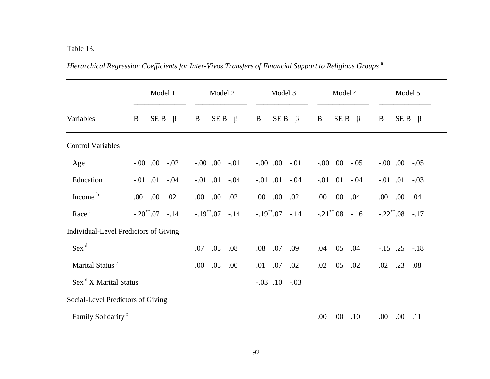## Table 13.

|                                         | Model 1                | Model 2              | Model 3                | Model 4                  | Model 5                |
|-----------------------------------------|------------------------|----------------------|------------------------|--------------------------|------------------------|
| Variables                               | SE B<br>$\beta$<br>B   | SE B<br>B<br>$\beta$ | $SEB \quad \beta$<br>B | $SE B \beta$<br>B        | B<br>$SEB \beta$       |
| <b>Control Variables</b>                |                        |                      |                        |                          |                        |
| Age                                     | $-.00$ $.00$ $-.02$    | $-.00$ $.00$ $-.01$  | $-.00$ $.00$ $-.01$    | $-.00$ $.00$ $-.05$      | $-0.00$ .00<br>$-.05$  |
| Education                               | $-0.01$ $0.01$ $-0.04$ | $-.01$ $.01$ $-.04$  | $-.01$ $.01$ $-.04$    | $-0.01$ $0.01$ $-0.04$   | $-0.01$ $0.01$ $-0.03$ |
| Income <sup>b</sup>                     | .00.<br>.02<br>.00.    | .00.<br>.00.<br>.02  | .00.<br>.02<br>.00.    | .00.<br>.00.<br>.04      | .00.<br>.00.<br>.04    |
| Race <sup>c</sup>                       | $-.20^{**}.07-.14$     | $-.19^{**}.07-.14$   | $-.19^{**}.07-.14$     | $-.21^{\ast\ast}.08-.16$ | $-.22^{**}.08-.17$     |
| Individual-Level Predictors of Giving   |                        |                      |                        |                          |                        |
| Sex <sup>d</sup>                        |                        | .05<br>.08<br>.07    | .07<br>.08<br>.09      | .05<br>.04<br>.04        | $-.15$ .25 $-.18$      |
| Marital Status <sup>e</sup>             |                        | .05<br>.00<br>.00.   | .07<br>.01<br>.02      | .05<br>.02<br>.02        | .23<br>.02<br>.08      |
| $\operatorname{Sex}^d X$ Marital Status |                        |                      | $-.03$ $.10$ $-.03$    |                          |                        |
| Social-Level Predictors of Giving       |                        |                      |                        |                          |                        |
| Family Solidarity <sup>f</sup>          |                        |                      |                        | $.00\,$<br>.00.<br>.10   | .00.<br>$.00\,$<br>.11 |

*Hierarchical Regression Coefficients for Inter-Vivos Transfers of Financial Support to Religious Groups* <sup>a</sup>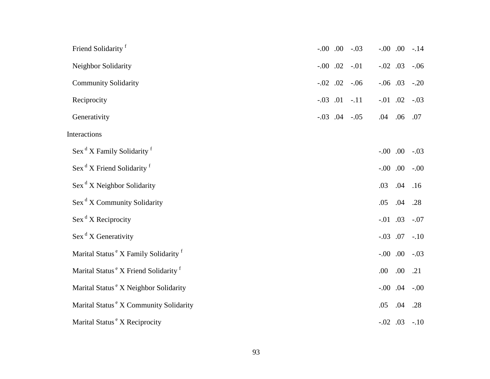| Friend Solidarity <sup>f</sup>                               |  | $-.00$ $.00$ $-.03$ |             |      | $-.00$ $.00$ $-.14$    |
|--------------------------------------------------------------|--|---------------------|-------------|------|------------------------|
| Neighbor Solidarity                                          |  | $-.00$ $.02$ $-.01$ | $-.02$ .03  |      | $-.06$                 |
| <b>Community Solidarity</b>                                  |  | $-.02$ $.02$ $-.06$ |             |      | $-.06$ $.03$ $-.20$    |
| Reciprocity                                                  |  | $-.03$ $.01$ $-.11$ | $-.01$ .02  |      | $-.03$                 |
| Generativity                                                 |  | $-.03$ $.04$ $-.05$ | .04 .06 .07 |      |                        |
| Interactions                                                 |  |                     |             |      |                        |
| Sex <sup>d</sup> X Family Solidarity <sup>f</sup>            |  |                     | $-0.00$ .00 |      | $-.03$                 |
| Sex <sup>d</sup> X Friend Solidarity <sup>f</sup>            |  |                     |             |      | $-0.00$ $0.00$ $-0.00$ |
| $\operatorname{Sex}^d X$ Neighbor Solidarity                 |  |                     | .03         | .04  | .16                    |
| Sex <sup>d</sup> X Community Solidarity                      |  |                     | .05         | .04  | .28                    |
| $\operatorname{Sex}^d X$ Reciprocity                         |  |                     | $-.01$ .03  |      | $-.07$                 |
| $\operatorname{Sex}^d X$ Generativity                        |  |                     | $-.03$ .07  |      | $-.10$                 |
| Marital Status <sup>e</sup> X Family Solidarity <sup>f</sup> |  |                     |             |      | $-.00$ $.00$ $-.03$    |
| Marital Status <sup>e</sup> X Friend Solidarity <sup>f</sup> |  |                     | .00.        | .00. | .21                    |
| Marital Status <sup>e</sup> X Neighbor Solidarity            |  |                     | $-.00$ .04  |      | $-.00$                 |
| Marital Status <sup>e</sup> X Community Solidarity           |  |                     | .05         | .04  | .28                    |
| Marital Status <sup>e</sup> X Reciprocity                    |  |                     |             |      | $-.02$ $.03$ $-.10$    |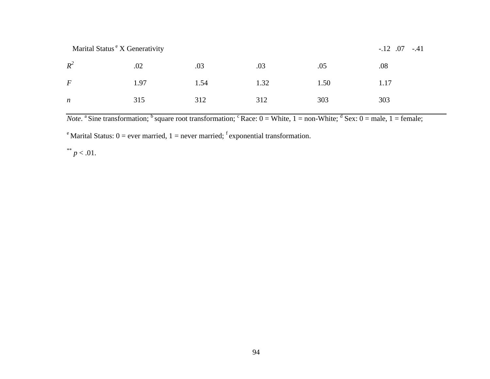Marital Status <sup>e</sup> X Generativity -.12 .07 -.41

| $R^2$            | $.02 \t\t 0.03 \t\t 0.03 \t\t 0.05$ |  | .08 |  |
|------------------|-------------------------------------|--|-----|--|
| $\bm{F}$         | 1.97 1.54 1.32 1.50 1.17            |  |     |  |
| $\boldsymbol{n}$ | 315 312 312 303 303                 |  |     |  |

*Note*. <sup>a</sup> Sine transformation; <sup>b</sup> square root transformation; <sup>c</sup> Race:  $0 =$  White,  $1 =$  non-White;  $\frac{d}{dx}$  Sex:  $0 =$  male,  $1 =$  female;

<sup>e</sup> Marital Status:  $0 =$  ever married,  $1 =$  never married; <sup>f</sup> exponential transformation.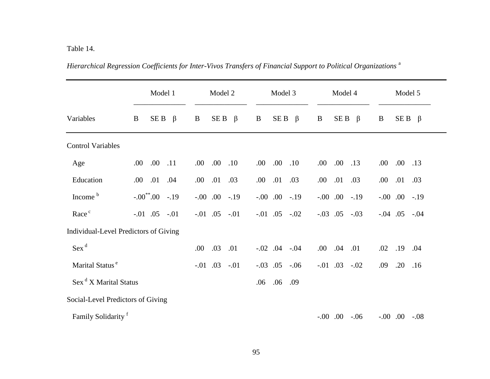## Table 14.

|                                       | Model 1                     | Model 2                     | Model 3                     | Model 4               | Model 5               |
|---------------------------------------|-----------------------------|-----------------------------|-----------------------------|-----------------------|-----------------------|
| Variables                             | $\bf{B}$<br>SE B<br>$\beta$ | SE B<br>$\bf{B}$<br>$\beta$ | SE B<br>$\bf{B}$<br>$\beta$ | SE B<br>B<br>$\beta$  | B<br>$SE B \beta$     |
| <b>Control Variables</b>              |                             |                             |                             |                       |                       |
| Age                                   | .00.<br>.00<br>.11          | .00.<br>.00.<br>.10         | .00.<br>.00.<br>.10         | .00.<br>.00<br>.13    | .00.<br>.00.<br>.13   |
| Education                             | .01<br>.00<br>.04           | .01<br>.00<br>.03           | .01<br>.00<br>.03           | .01<br>.00<br>.03     | .01<br>.00<br>.03     |
| Income <sup>b</sup>                   | $-.00^{**}.00-.19$          | $-0.00$ .00<br>$-.19$       | $-0.00$ .00<br>$-.19$       | $-0.00$ .00<br>$-.19$ | $-0.00$ .00<br>$-.19$ |
| Race <sup>c</sup>                     | $-.01$ $.05$ $-.01$         | $-0.01$ $0.05$ $-0.01$      | $-.01$ $.05$ $-.02$         | $-.03$ .05<br>$-.03$  | $-.04$ $.05$ $-.04$   |
| Individual-Level Predictors of Giving |                             |                             |                             |                       |                       |
| $Sex^d$                               |                             | .03<br>.00<br>.01           | $-.02$ $.04$ $-.04$         | .04<br>.00.<br>.01    | .02<br>.19<br>.04     |
| Marital Status <sup>e</sup>           |                             | $-0.01$ .03<br>$-.01$       | $-.03$ $.05$ $-.06$         | $-.01$ $.03$ $-.02$   | .20<br>.09<br>.16     |
| Sex <sup>d</sup> X Marital Status     |                             |                             | .06<br>.09<br>.06           |                       |                       |
| Social-Level Predictors of Giving     |                             |                             |                             |                       |                       |
| Family Solidarity <sup>f</sup>        |                             |                             |                             | $-0.00$ .00<br>$-.06$ | $-0.00$ .00<br>$-.08$ |

*Hierarchical Regression Coefficients for Inter-Vivos Transfers of Financial Support to Political Organizations* <sup>a</sup>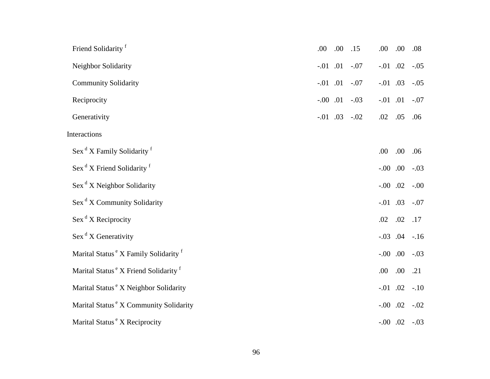| Friend Solidarity <sup>f</sup>                               | .00 | .00.           | .15                    | .00            | .00  | .08                 |
|--------------------------------------------------------------|-----|----------------|------------------------|----------------|------|---------------------|
| Neighbor Solidarity                                          |     |                | $-0.01$ $0.01$ $-0.07$ | $-.01$ .02     |      | $-.05$              |
| <b>Community Solidarity</b>                                  |     | $-0.01$ $0.01$ | $-.07$                 | $-.01$ .03     |      | $-.05$              |
| Reciprocity                                                  |     |                | $-.00$ $.01$ $-.03$    | $-0.01$ $0.01$ |      | $-.07$              |
| Generativity                                                 |     |                | $-.01$ $.03$ $-.02$    | $.02$ .05      |      | .06                 |
| Interactions                                                 |     |                |                        |                |      |                     |
| Sex <sup>d</sup> X Family Solidarity <sup>f</sup>            |     |                |                        | .00            | .00. | .06                 |
| Sex <sup>d</sup> X Friend Solidarity <sup>f</sup>            |     |                |                        | $-0.00$ .00    |      | $-.03$              |
| $\operatorname{Sex}^d X$ Neighbor Solidarity                 |     |                |                        | $-.00$ .02     |      | $-.00$              |
| Sex <sup>d</sup> X Community Solidarity                      |     |                |                        | $-.01$ .03     |      | $-.07$              |
| $\operatorname{Sex}^d X$ Reciprocity                         |     |                |                        | .02            | .02  | .17                 |
| $\operatorname{Sex}^d X$ Generativity                        |     |                |                        |                |      | $-.03$ $.04$ $-.16$ |
| Marital Status <sup>e</sup> X Family Solidarity <sup>f</sup> |     |                |                        | $-0.00$ .00    |      | $-.03$              |
| Marital Status <sup>e</sup> X Friend Solidarity <sup>f</sup> |     |                |                        | .00            | .00. | .21                 |
| Marital Status <sup>e</sup> X Neighbor Solidarity            |     |                |                        | $-.01$ .02     |      | $-.10$              |
| Marital Status <sup>e</sup> X Community Solidarity           |     |                |                        | $-.00$ .02     |      | $-.02$              |
| Marital Status <sup>e</sup> X Reciprocity                    |     |                |                        |                |      | $-.00$ $.02$ $-.03$ |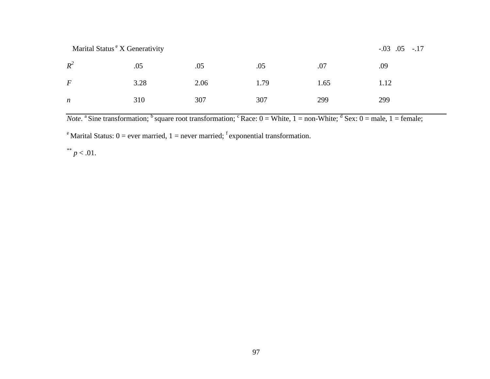Marital Status <sup>e</sup> X Generativity -.03 .05 -.17

| $R^2$            | .05  | .05       | .05 | .07  | .09  |
|------------------|------|-----------|-----|------|------|
| $\,F$            | 3.28 | 2.06 1.79 |     | 1.65 | 1.12 |
| $\boldsymbol{n}$ | 310  | 307       | 307 | 299  | 299  |

*Note*. <sup>a</sup> Sine transformation; <sup>b</sup> square root transformation; <sup>c</sup> Race:  $0 =$  White,  $1 =$  non-White;  $\frac{d}{dx}$  Sex:  $0 =$  male,  $1 =$  female;

<sup>e</sup> Marital Status:  $0 =$  ever married,  $1 =$  never married; <sup>f</sup> exponential transformation.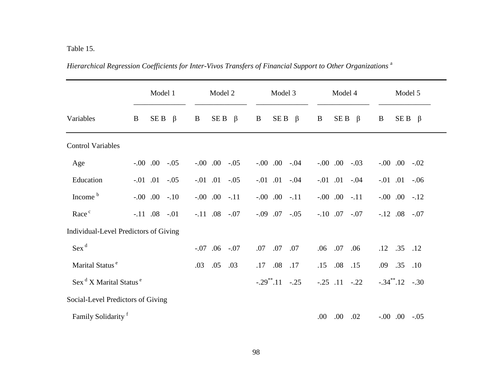|                                                | Model 1                     | Model 2                     | Model 3                        | Model 4                | Model 5                        |
|------------------------------------------------|-----------------------------|-----------------------------|--------------------------------|------------------------|--------------------------------|
| Variables                                      | SE B<br>$\bf{B}$<br>$\beta$ | SE B<br>$\bf{B}$<br>$\beta$ | SE B<br>$\bf{B}$<br>$\beta$    | SE B<br>B<br>$\beta$   | $SE B \beta$<br>B              |
| <b>Control Variables</b>                       |                             |                             |                                |                        |                                |
| Age                                            | $-.00$ $.00$ $-.05$         | $-.00$ $.00$ $-.05$         | $-0.00$ $0.00$ $-0.04$         | $-.00$ $.00$ $-.03$    | $-.00$ $.00$ $-.02$            |
| Education                                      | $-.01$ $.01$ $-.05$         | $-.01$ $.01$ $-.05$         | $-0.01$ $0.01$ $-0.04$         | $-0.01$ $0.01$ $-0.04$ | $-0.01$ $0.01$<br>$-.06$       |
| Income <sup>b</sup>                            | $-.00$ $.00$ $-.10$         | $-0.00$ .00<br>$-.11$       | $-0.00$ 0.0<br>$-.11$          | $-0.00$ .00<br>$-.11$  | $-0.00$ .00<br>$-.12$          |
| Race <sup>c</sup>                              | $-.11$ $.08$ $-.01$         | $-.11$ .08 $-.07$           | $-0.09$ 0.07<br>$-.05$         | $-.10$ .07<br>$-.07$   | $-.12$ $.08$ $-.07$            |
| Individual-Level Predictors of Giving          |                             |                             |                                |                        |                                |
| Sex <sup>d</sup>                               |                             | $-0.07$ 0.06<br>$-.07$      | .07<br>.07<br>.07              | .06 .07<br>.06         | $.12$ $.35$ $.12$              |
| Marital Status <sup>e</sup>                    |                             | .05<br>.03<br>.03           | .17<br>.08<br>.17              | .15<br>$.08\,$<br>.15  | .09 .35<br>.10                 |
| Sex <sup>d</sup> X Marital Status <sup>e</sup> |                             |                             | $-.29$ <sup>**</sup> $.11-.25$ | $-.25$ $.11$ $-.22$    | $-.34$ <sup>**</sup> $.12-.30$ |
| Social-Level Predictors of Giving              |                             |                             |                                |                        |                                |
| Family Solidarity <sup>f</sup>                 |                             |                             |                                | .00.<br>.00.<br>.02    | $-.00$ $.00$ $-.05$            |

*Hierarchical Regression Coefficients for Inter-Vivos Transfers of Financial Support to Other Organizations* <sup>a</sup>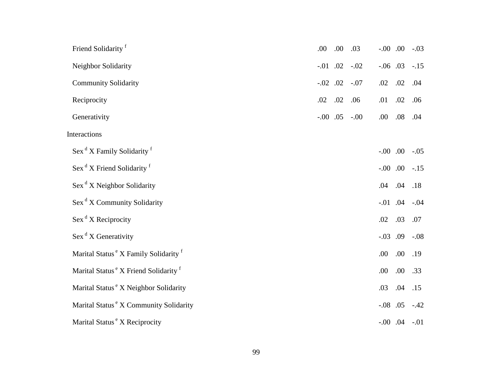| Friend Solidarity <sup>f</sup>                               | .00        | .00 | .03                 | $-0.00$ .   |                     | $-.03$ |
|--------------------------------------------------------------|------------|-----|---------------------|-------------|---------------------|--------|
| Neighbor Solidarity                                          |            |     | $-.01$ $.02$ $-.02$ | $-.06$ .03  |                     | $-.15$ |
| <b>Community Solidarity</b>                                  | $-.02$ .02 |     | $-.07$              | .02         | .02                 | .04    |
| Reciprocity                                                  | .02        | .02 | .06                 | .01         | .02                 | .06    |
| Generativity                                                 |            |     | $-.00$ $.05$ $-.00$ | .00         | $.08$               | .04    |
| Interactions                                                 |            |     |                     |             |                     |        |
| Sex <sup>d</sup> X Family Solidarity <sup>f</sup>            |            |     |                     | $-0.00$ .00 |                     | $-.05$ |
| Sex <sup>d</sup> X Friend Solidarity <sup>f</sup>            |            |     |                     | $-0.00$ .00 |                     | $-.15$ |
| $\operatorname{Sex}^d X$ Neighbor Solidarity                 |            |     |                     | .04         | .04                 | .18    |
| Sex <sup>d</sup> X Community Solidarity                      |            |     |                     | $-.01$ .04  |                     | $-.04$ |
| $\operatorname{Sex}^d X$ Reciprocity                         |            |     |                     | .02         | .03                 | .07    |
| $\operatorname{Sex}^d X$ Generativity                        |            |     |                     | $-.03$ .09  |                     | $-.08$ |
| Marital Status <sup>e</sup> X Family Solidarity <sup>f</sup> |            |     |                     | .00         | .00.                | .19    |
| Marital Status <sup>e</sup> X Friend Solidarity <sup>f</sup> |            |     |                     | .00         | .00.                | .33    |
| Marital Status <sup>e</sup> X Neighbor Solidarity            |            |     |                     | .03         | .04                 | .15    |
| Marital Status <sup>e</sup> X Community Solidarity           |            |     |                     | $-.08$ .05  |                     | $-.42$ |
| Marital Status <sup>e</sup> X Reciprocity                    |            |     |                     |             | $-.00$ $.04$ $-.01$ |        |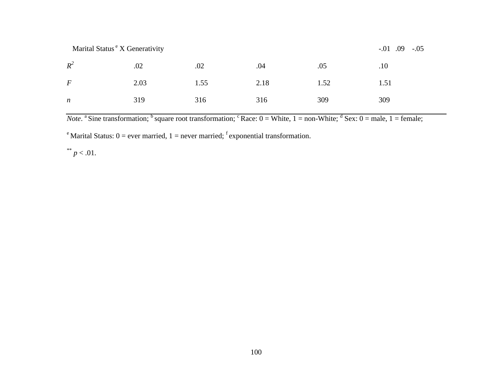Marital Status <sup>e</sup> X Generativity -.01 .09 -.05

| $R^2$            | $.02 \t\t 0.02$          | $.04 \t\t 0.05$ | $\overline{10}$ |     |
|------------------|--------------------------|-----------------|-----------------|-----|
| $\bm{F}$         | 2.03 1.55 2.18 1.52 1.51 |                 |                 |     |
| $\boldsymbol{n}$ | 319                      | 316 316 309     |                 | 309 |

*Note*. <sup>a</sup> Sine transformation; <sup>b</sup> square root transformation; <sup>c</sup> Race:  $0 =$  White,  $1 =$  non-White;  $\frac{d}{dx}$  Sex:  $0 =$  male,  $1 =$  female;

<sup>e</sup> Marital Status:  $0 =$  ever married,  $1 =$  never married; <sup>f</sup> exponential transformation.

\*\*  $p < .01$ .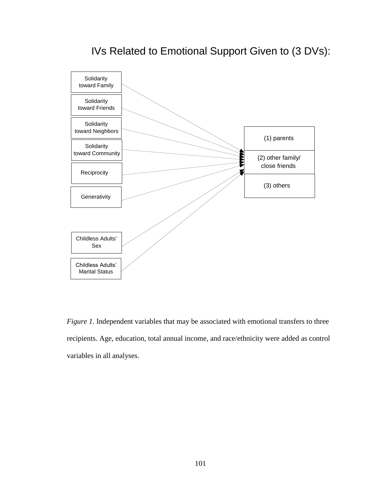## IVs Related to Emotional Support Given to (3 DVs):



*Figure 1*. Independent variables that may be associated with emotional transfers to three recipients. Age, education, total annual income, and race/ethnicity were added as control variables in all analyses.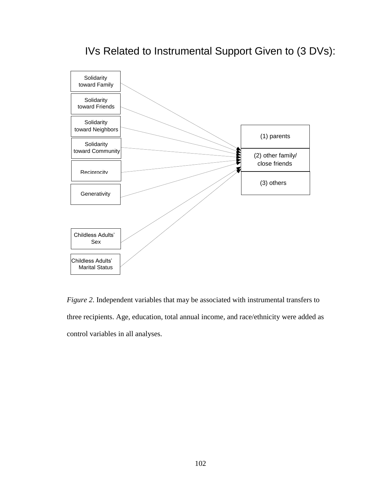## IVs Related to Instrumental Support Given to (3 DVs):



*Figure 2.* Independent variables that may be associated with instrumental transfers to three recipients. Age, education, total annual income, and race/ethnicity were added as control variables in all analyses.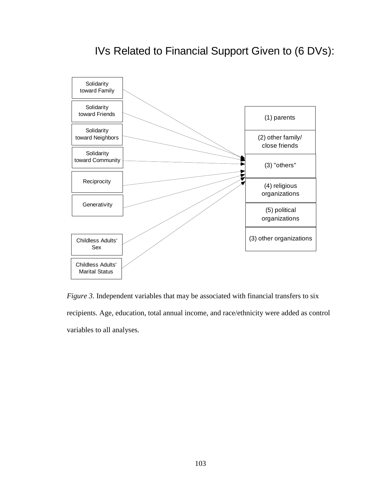# IVs Related to Financial Support Given to (6 DVs):



*Figure 3*. Independent variables that may be associated with financial transfers to six recipients. Age, education, total annual income, and race/ethnicity were added as control variables to all analyses.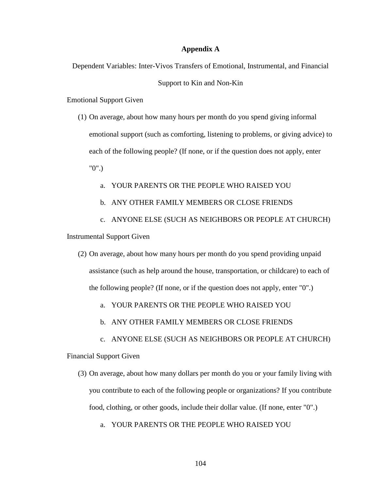#### **Appendix A**

Dependent Variables: Inter-Vivos Transfers of Emotional, Instrumental, and Financial

#### Support to Kin and Non-Kin

Emotional Support Given

- (1) On average, about how many hours per month do you spend giving informal emotional support (such as comforting, listening to problems, or giving advice) to each of the following people? (If none, or if the question does not apply, enter "0".)
	- a. YOUR PARENTS OR THE PEOPLE WHO RAISED YOU
	- b. ANY OTHER FAMILY MEMBERS OR CLOSE FRIENDS
- c. ANYONE ELSE (SUCH AS NEIGHBORS OR PEOPLE AT CHURCH) Instrumental Support Given
	- (2) On average, about how many hours per month do you spend providing unpaid assistance (such as help around the house, transportation, or childcare) to each of the following people? (If none, or if the question does not apply, enter "0".)
		- a. YOUR PARENTS OR THE PEOPLE WHO RAISED YOU
		- b. ANY OTHER FAMILY MEMBERS OR CLOSE FRIENDS
		- c. ANYONE ELSE (SUCH AS NEIGHBORS OR PEOPLE AT CHURCH)

Financial Support Given

- (3) On average, about how many dollars per month do you or your family living with you contribute to each of the following people or organizations? If you contribute food, clothing, or other goods, include their dollar value. (If none, enter "0".)
	- a. YOUR PARENTS OR THE PEOPLE WHO RAISED YOU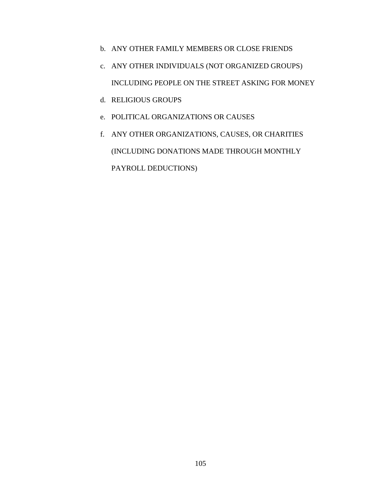- b. ANY OTHER FAMILY MEMBERS OR CLOSE FRIENDS
- c. ANY OTHER INDIVIDUALS (NOT ORGANIZED GROUPS) INCLUDING PEOPLE ON THE STREET ASKING FOR MONEY
- d. RELIGIOUS GROUPS
- e. POLITICAL ORGANIZATIONS OR CAUSES
- f. ANY OTHER ORGANIZATIONS, CAUSES, OR CHARITIES (INCLUDING DONATIONS MADE THROUGH MONTHLY PAYROLL DEDUCTIONS)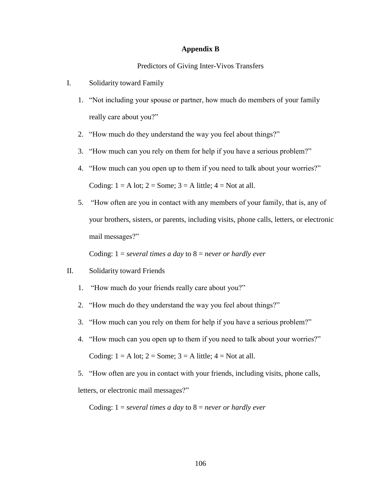#### **Appendix B**

#### Predictors of Giving Inter-Vivos Transfers

- I. Solidarity toward Family
	- 1. "Not including your spouse or partner, how much do members of your family really care about you?"
	- 2. "How much do they understand the way you feel about things?"
	- 3. "How much can you rely on them for help if you have a serious problem?"
	- 4. "How much can you open up to them if you need to talk about your worries?" Coding:  $1 = A$  lot;  $2 = Some$ ;  $3 = A$  little;  $4 = Not$  at all.
	- 5. "How often are you in contact with any members of your family, that is, any of your brothers, sisters, or parents, including visits, phone calls, letters, or electronic mail messages?"

Coding: 1 = *several times a day* to 8 = *never or hardly ever*

## II. Solidarity toward Friends

- 1. "How much do your friends really care about you?"
- 2. "How much do they understand the way you feel about things?"
- 3. "How much can you rely on them for help if you have a serious problem?"
- 4. "How much can you open up to them if you need to talk about your worries?" Coding:  $1 = A$  lot;  $2 = Some$ ;  $3 = A$  little;  $4 = Not$  at all.
- 5. "How often are you in contact with your friends, including visits, phone calls,

letters, or electronic mail messages?"

Coding: 1 = *several times a day* to 8 = *never or hardly ever*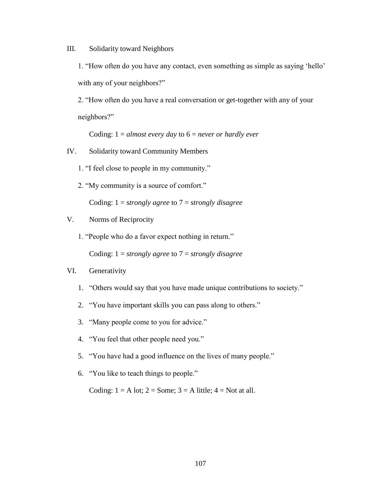III. Solidarity toward Neighbors

1. "How often do you have any contact, even something as simple as saying 'hello' with any of your neighbors?"

2. "How often do you have a real conversation or get-together with any of your neighbors?"

Coding: 1 = *almost every day* to 6 = *never or hardly ever*

- IV. Solidarity toward Community Members
	- 1. "I feel close to people in my community."
	- 2. "My community is a source of comfort."

Coding: 1 = *strongly agree* to 7 = *strongly disagree*

## V. Norms of Reciprocity

1. "People who do a favor expect nothing in return."

Coding: 1 = *strongly agree* to 7 = *strongly disagree*

### VI. Generativity

- 1. "Others would say that you have made unique contributions to society."
- 2. "You have important skills you can pass along to others."
- 3. "Many people come to you for advice."
- 4. "You feel that other people need you."
- 5. "You have had a good influence on the lives of many people."
- 6. "You like to teach things to people."

Coding:  $1 = A$  lot;  $2 = Some$ ;  $3 = A$  little;  $4 = Not$  at all.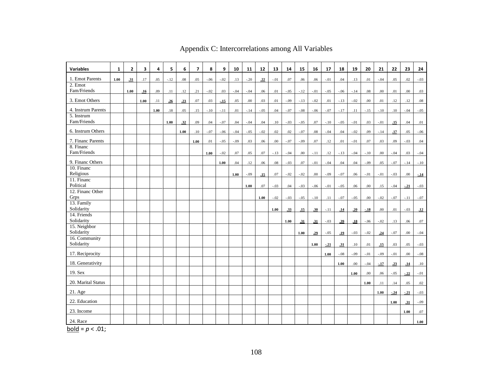| <b>Variables</b>                     | $\mathbf{1}$ | $\overline{2}$ | 3    | 4    | 5      | 6       | $\overline{7}$ | 8      | 9      | 10     | 11     | 12     | 13      | 14      | 15      | 16               | 17     | 18     | 19      | 20      | 21      | 22      | 23     | 24      |
|--------------------------------------|--------------|----------------|------|------|--------|---------|----------------|--------|--------|--------|--------|--------|---------|---------|---------|------------------|--------|--------|---------|---------|---------|---------|--------|---------|
| 1. Emot Parents                      | 1.00         | .31            | .17  | .05  | $-.12$ | $.08\,$ | .05            | $-.06$ | $-.02$ | .13    | $-.20$ | .22    | $-.01$  | $.07\,$ | .06     | .06              | $-.01$ | .04    | .13     | .01     | $-.04$  | .05     | .02    | $-.03$  |
| $2.$ Emot                            |              |                |      |      |        |         |                |        |        |        |        |        |         |         |         |                  |        |        |         |         |         |         |        |         |
| Fam/Friends                          |              | 1.00           | .16  | .09  | .11    | .12     | .21            | $-.02$ | .03    | $-.04$ | $-.04$ | .06    | .01     | $-.05$  | $-.12$  | $-.01$           | $-.05$ | $-.06$ | $-.14$  | $.08\,$ | .00     | .01     | .00    | .03     |
| 3. Emot Others                       |              |                | 1.00 | .11  | .26    | .23     | .07            | .03    | $-15$  | .05    | .00    | .03    | .01     | $-.09$  | $-.13$  | $-.02$           | .01    | $-.13$ | $-0.02$ | .00     | .01     | .12     | .12    | .08     |
| 4. Instrum Parents                   |              |                |      | 1.00 | .18    | .05     | .15            | $-.10$ | $-.11$ | .01    | $-.14$ | $-.05$ | .04     | $-.07$  | $-.08$  | $-.06$           | $-.07$ | $-.17$ | .11     | $-.15$  | $-.10$  | .10     | $-.04$ | $-.05$  |
| 5. Instrum                           |              |                |      |      |        |         |                |        |        |        |        |        |         |         |         |                  |        |        |         |         |         |         |        |         |
| Fam/Friends                          |              |                |      |      | 1.00   | .32     | .09            | .04    | $-.07$ | .04    | $-.04$ | .04    | .10     | $-.03$  | $-.05$  | .07              | $-.10$ | $-.05$ | $-.01$  | .03     | $-.01$  | .15     | .04    | $.01\,$ |
| 6. Instrum Others                    |              |                |      |      |        | 1.00    | .10            | $-.07$ | $-.06$ | $-.04$ | $-.05$ | $-.02$ | .02     | .02     | $-.07$  | $.08\,$          | $-.04$ | .04    | $-0.02$ | .09     | $-.14$  | .17     | .05    | $-.06$  |
| 7. Financ Parents                    |              |                |      |      |        |         | 1.00           | .01    | $-.05$ | $-.09$ | .03    | .06    | .00     | $-.07$  | $-.09$  | .07              | .12    | .01    | $-.01$  | .07     | .03     | .09     | $-.03$ | .04     |
| 8. Financ                            |              |                |      |      |        |         |                |        |        |        |        |        |         |         |         |                  |        |        |         |         |         |         |        |         |
| Fam/Friends                          |              |                |      |      |        |         |                | 1.00   | $-.02$ | .07    | .05    | .07    | $-.13$  | $-.04$  | $.00\,$ | $-.11$           | .12    | $-.13$ | $-.04$  | $-.10$  | .00.    | $-.04$  | .03    | $-.04$  |
| 9. Financ Others                     |              |                |      |      |        |         |                |        | 1.00   | .04    | .12    | .06    | $.08\,$ | $-.03$  | .07     | $-.01$           | $-.04$ | .04    | .04     | $-.09$  | .05     | $-.07$  | $-.14$ | $-.10$  |
| 10. Financ                           |              |                |      |      |        |         |                |        |        |        |        |        |         |         |         |                  |        |        |         |         |         |         |        |         |
| Religious<br>$11.$ Financ            |              |                |      |      |        |         |                |        |        | 1.00   | $-.09$ | .15    | .07     | $-.02$  | $-.02$  | $.00\,$          | $-.09$ | $-.07$ | .06     | $-.01$  | $-.01$  | $-.03$  | .00.   | $-14$   |
| Political                            |              |                |      |      |        |         |                |        |        |        | 1.00   | .07    | $-.03$  | .04     | $-.03$  | $-.06$           | $-.01$ | $-.05$ | .06     | .00     | .15     | $-.04$  | $-21$  | $-.03$  |
| 12. Financ Other                     |              |                |      |      |        |         |                |        |        |        |        |        |         |         |         |                  |        |        |         |         |         |         |        |         |
| Grps                                 |              |                |      |      |        |         |                |        |        |        |        | 1.00   | $-.02$  | $-.03$  | $-.05$  | $-.10$           | .11    | $-.07$ | $-.05$  | $.00\,$ | $-.02$  | $-.07$  | $-.11$ | $-.07$  |
| 13. Family                           |              |                |      |      |        |         |                |        |        |        |        |        |         |         |         |                  |        |        |         |         |         |         |        |         |
| Solidarity<br>14. Friends            |              |                |      |      |        |         |                |        |        |        |        |        | 1.00    | .33     | .15     | .30 <sub>1</sub> | $-.11$ | .14    | .20     | $-.18$  | .00.    | .01     | $-.03$ | .12     |
| Solidarity                           |              |                |      |      |        |         |                |        |        |        |        |        |         | 1.00    | .31     | .31              | $-.03$ | .39    | .18     | $-.06$  | $-.02$  | .13     | .06    | .07     |
| 15. Neighbor                         |              |                |      |      |        |         |                |        |        |        |        |        |         |         |         |                  |        |        |         |         |         |         |        |         |
| Solidarity                           |              |                |      |      |        |         |                |        |        |        |        |        |         |         | 1.00    | .29              | $-.05$ | .19    | $-.03$  | $-.02$  | .24     | $-.07$  | .00    | $-.04$  |
| 16. Community                        |              |                |      |      |        |         |                |        |        |        |        |        |         |         |         |                  |        |        |         |         |         |         |        |         |
| Solidarity                           |              |                |      |      |        |         |                |        |        |        |        |        |         |         |         | 1.00             | $-21$  | .31    | .10     | .01     | .15     | .03     | .05    | $-.03$  |
| 17. Reciprocity                      |              |                |      |      |        |         |                |        |        |        |        |        |         |         |         |                  | 1.00   | $-.08$ | $-0.09$ | $-.01$  | $-0.09$ | $-.01$  | .00    | $-.08$  |
| 18. Generativity                     |              |                |      |      |        |         |                |        |        |        |        |        |         |         |         |                  |        | 1.00   | .00     | $-.04$  | $-17$   | .23     | .14    | $.10\,$ |
| 19. Sex                              |              |                |      |      |        |         |                |        |        |        |        |        |         |         |         |                  |        |        | 1.00    | .00     | .06     | $-.05$  | $-22$  | $-.01$  |
| 20. Marital Status                   |              |                |      |      |        |         |                |        |        |        |        |        |         |         |         |                  |        |        |         | 1.00    | .11     | .14     | .05    | $.02\,$ |
| $21.$ Age                            |              |                |      |      |        |         |                |        |        |        |        |        |         |         |         |                  |        |        |         |         | 1.00    | $-0.24$ | $-21$  | $-.03$  |
| 22. Education                        |              |                |      |      |        |         |                |        |        |        |        |        |         |         |         |                  |        |        |         |         |         | 1.00    | .31    | $-.09$  |
| 23. Income                           |              |                |      |      |        |         |                |        |        |        |        |        |         |         |         |                  |        |        |         |         |         |         | 1.00   | .07     |
|                                      |              |                |      |      |        |         |                |        |        |        |        |        |         |         |         |                  |        |        |         |         |         |         |        |         |
| 24. Race<br>ta a trata<br>$\sim$ 0.4 |              |                |      |      |        |         |                |        |        |        |        |        |         |         |         |                  |        |        |         |         |         |         |        | 1.00    |

Appendix C: Intercorrelations among All Variables

 $bold = p < .01;$ </u>